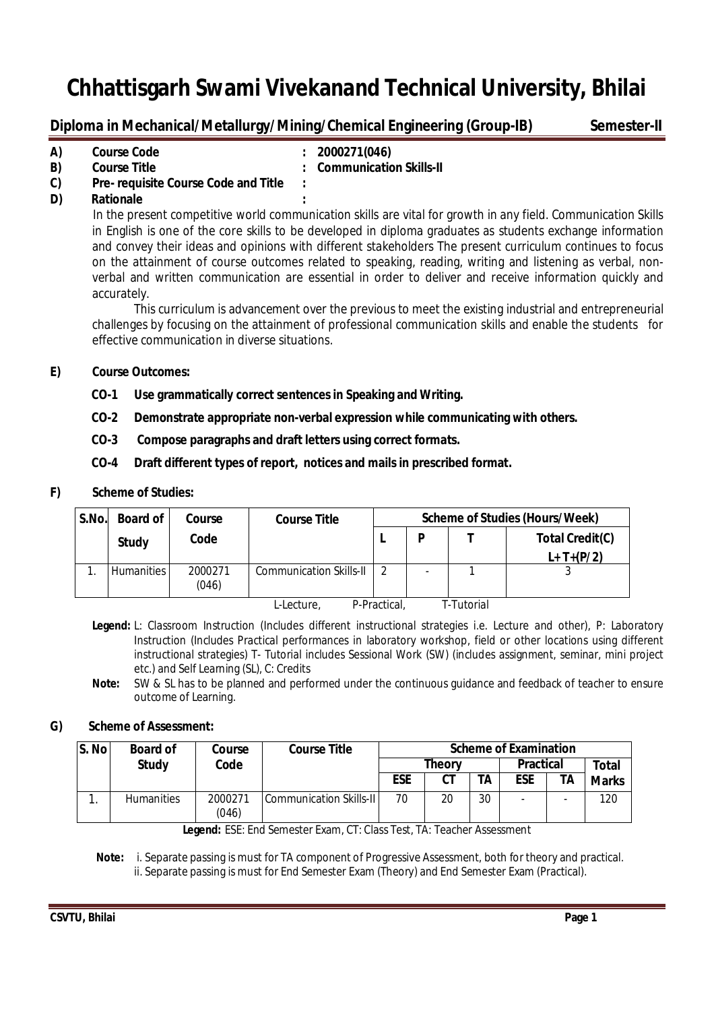# **Diploma in Mechanical/Metallurgy/Mining/Chemical Engineering (Group-IB) Semester-II**

| A) | <b>Course Code</b>                   | : 2000271(046)            |
|----|--------------------------------------|---------------------------|
| B) | <b>Course Title</b>                  | : Communication Skills-II |
| C) | Pre- requisite Course Code and Title |                           |

**D) Rationale :**

In the present competitive world communication skills are vital for growth in any field. Communication Skills in English is one of the core skills to be developed in diploma graduates as students exchange information and convey their ideas and opinions with different stakeholders The present curriculum continues to focus on the attainment of course outcomes related to speaking, reading, writing and listening as verbal, nonverbal and written communication are essential in order to deliver and receive information quickly and accurately.

This curriculum is advancement over the previous to meet the existing industrial and entrepreneurial challenges by focusing on the attainment of professional communication skills and enable the students for effective communication in diverse situations.

## **E) Course Outcomes:**

- **CO-1 Use grammatically correct sentences in Speaking and Writing.**
- **CO-2 Demonstrate appropriate non-verbal expression while communicating with others.**
- **CO-3 Compose paragraphs and draft letters using correct formats.**
- **CO-4 Draft different types of report, notices and mails in prescribed format.**

## **F) Scheme of Studies:**

| S.No. | <b>Board of</b>   | Course           | <b>Course Title</b>            |              | <b>Scheme of Studies (Hours/Week)</b> |            |                 |  |
|-------|-------------------|------------------|--------------------------------|--------------|---------------------------------------|------------|-----------------|--|
|       | Study             | Code             |                                |              | P                                     |            | Total Credit(C) |  |
|       |                   |                  |                                |              |                                       |            | $L+T+(P/2)$     |  |
|       | <b>Humanities</b> | 2000271<br>(046) | <b>Communication Skills-II</b> |              |                                       |            |                 |  |
|       |                   |                  | L-Lecture,                     | P-Practical. |                                       | T-Tutorial |                 |  |

**Legend:** L: Classroom Instruction (Includes different instructional strategies i.e. Lecture and other), P: Laboratory Instruction (Includes Practical performances in laboratory workshop, field or other locations using different instructional strategies) T- Tutorial includes Sessional Work (SW) (includes assignment, seminar, mini project etc.) and Self Learning (SL), C: Credits

**Note:** SW & SL has to be planned and performed under the continuous guidance and feedback of teacher to ensure outcome of Learning.

## **G) Scheme of Assessment:**

| S. No | <b>Board of</b>   | Course           | <b>Course Title</b>               | <b>Scheme of Examination</b> |    |    |     |       |              |
|-------|-------------------|------------------|-----------------------------------|------------------------------|----|----|-----|-------|--------------|
|       | <b>Study</b>      | Code             | <b>Theory</b><br><b>Practical</b> |                              |    |    |     | Total |              |
|       |                   |                  |                                   | <b>ESE</b>                   | CТ | TА | ESE | ΤA    | <b>Marks</b> |
|       | <b>Humanities</b> | 2000271<br>(046) | Communication Skills-II           | 70                           | 20 | 30 |     |       | 120          |

**Legend:** ESE: End Semester Exam, CT: Class Test, TA: Teacher Assessment

 **Note:** i. Separate passing is must for TA component of Progressive Assessment, both for theory and practical. ii. Separate passing is must for End Semester Exam (Theory) and End Semester Exam (Practical).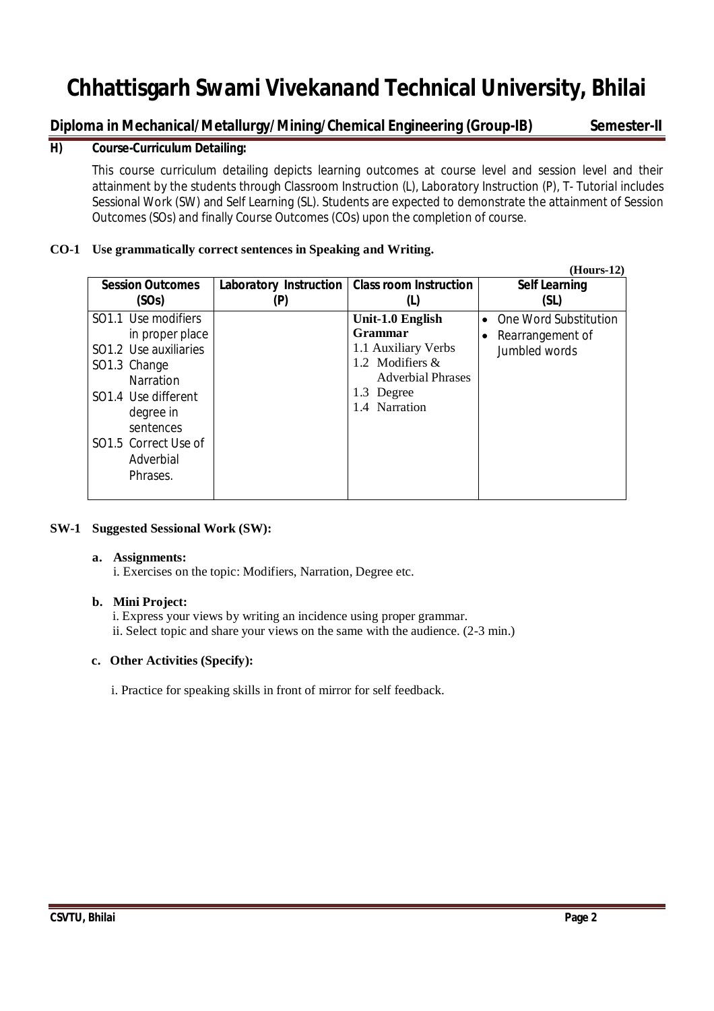# **Diploma in Mechanical/Metallurgy/Mining/Chemical Engineering (Group-IB) Semester-II**

# **H) Course-Curriculum Detailing:**

This course curriculum detailing depicts learning outcomes at course level and session level and their attainment by the students through Classroom Instruction (L), Laboratory Instruction (P), T- Tutorial includes Sessional Work (SW) and Self Learning (SL). Students are expected to demonstrate the attainment of Session Outcomes (SOs) and finally Course Outcomes (COs) upon the completion of course.

# **CO-1 Use grammatically correct sentences in Speaking and Writing.**

|                                                                                                                                                                                                                               |                        |                                                                                                                                  | $(Hours-12)$                                               |
|-------------------------------------------------------------------------------------------------------------------------------------------------------------------------------------------------------------------------------|------------------------|----------------------------------------------------------------------------------------------------------------------------------|------------------------------------------------------------|
| <b>Session Outcomes</b>                                                                                                                                                                                                       | Laboratory Instruction | <b>Class room Instruction</b>                                                                                                    | <b>Self Learning</b>                                       |
| (SOs)                                                                                                                                                                                                                         | (P)                    | (L)                                                                                                                              | (SL)                                                       |
| SO1.1 Use modifiers<br>in proper place<br>SO1.2 Use auxiliaries<br>SO1.3 Change<br><b>Narration</b><br>SO <sub>1.4</sub> Use different<br>degree in<br>sentences<br>SO <sub>1.5</sub> Correct Use of<br>Adverbial<br>Phrases. |                        | Unit-1.0 English<br>Grammar<br>1.1 Auxiliary Verbs<br>1.2 Modifiers &<br><b>Adverbial Phrases</b><br>1.3 Degree<br>1.4 Narration | One Word Substitution<br>Rearrangement of<br>Jumbled words |

## **SW-1 Suggested Sessional Work (SW):**

### **a. Assignments:**

i. Exercises on the topic: Modifiers, Narration, Degree etc.

## **b. Mini Project:**

 i. Express your views by writing an incidence using proper grammar. ii. Select topic and share your views on the same with the audience. (2-3 min.)

## **c. Other Activities (Specify):**

i. Practice for speaking skills in front of mirror for self feedback.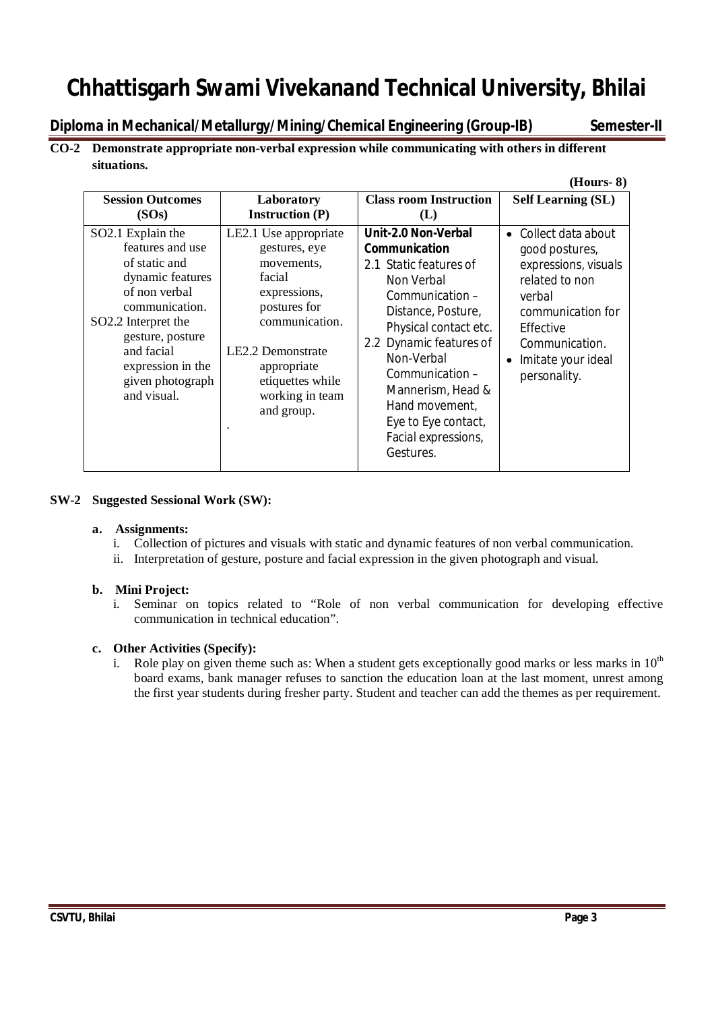**Diploma in Mechanical/Metallurgy/Mining/Chemical Engineering (Group-IB) Semester-II** 

# **CO-2 Demonstrate appropriate non-verbal expression while communicating with others in different situations.**

|                                                                                                                                                                                                                                            |                                                                                                                                                                                                           |                                                                                                                                                                                                                                                                                                                     | $(Hours-8)$                                                                                                                                                                                  |
|--------------------------------------------------------------------------------------------------------------------------------------------------------------------------------------------------------------------------------------------|-----------------------------------------------------------------------------------------------------------------------------------------------------------------------------------------------------------|---------------------------------------------------------------------------------------------------------------------------------------------------------------------------------------------------------------------------------------------------------------------------------------------------------------------|----------------------------------------------------------------------------------------------------------------------------------------------------------------------------------------------|
| <b>Session Outcomes</b><br>(SOs)                                                                                                                                                                                                           | Laboratory<br><b>Instruction (P)</b>                                                                                                                                                                      | <b>Class room Instruction</b><br>(L)                                                                                                                                                                                                                                                                                | <b>Self Learning (SL)</b>                                                                                                                                                                    |
| SO2.1 Explain the<br>features and use<br>of static and<br>dynamic features<br>of non verbal<br>communication.<br>SO <sub>2.2</sub> Interpret the<br>gesture, posture<br>and facial<br>expression in the<br>given photograph<br>and visual. | LE2.1 Use appropriate<br>gestures, eye<br>movements.<br>facial<br>expressions,<br>postures for<br>communication.<br>LE2.2 Demonstrate<br>appropriate<br>etiquettes while<br>working in team<br>and group. | <b>Unit-2.0 Non-Verbal</b><br>Communication<br>2.1 Static features of<br>Non Verbal<br>Communication -<br>Distance, Posture,<br>Physical contact etc.<br>2.2 Dynamic features of<br>Non-Verbal<br>Communication -<br>Mannerism, Head &<br>Hand movement,<br>Eye to Eye contact,<br>Facial expressions,<br>Gestures. | $\bullet$ Collect data about<br>good postures,<br>expressions, visuals<br>related to non<br>verbal<br>communication for<br>Effective<br>Communication.<br>Imitate your ideal<br>personality. |

## **SW-2 Suggested Sessional Work (SW):**

### **a. Assignments:**

- i. Collection of pictures and visuals with static and dynamic features of non verbal communication.
- ii. Interpretation of gesture, posture and facial expression in the given photograph and visual.

## **b. Mini Project:**

i. Seminar on topics related to "Role of non verbal communication for developing effective communication in technical education".

## **c. Other Activities (Specify):**

i. Role play on given theme such as: When a student gets exceptionally good marks or less marks in  $10<sup>th</sup>$ board exams, bank manager refuses to sanction the education loan at the last moment, unrest among the first year students during fresher party. Student and teacher can add the themes as per requirement.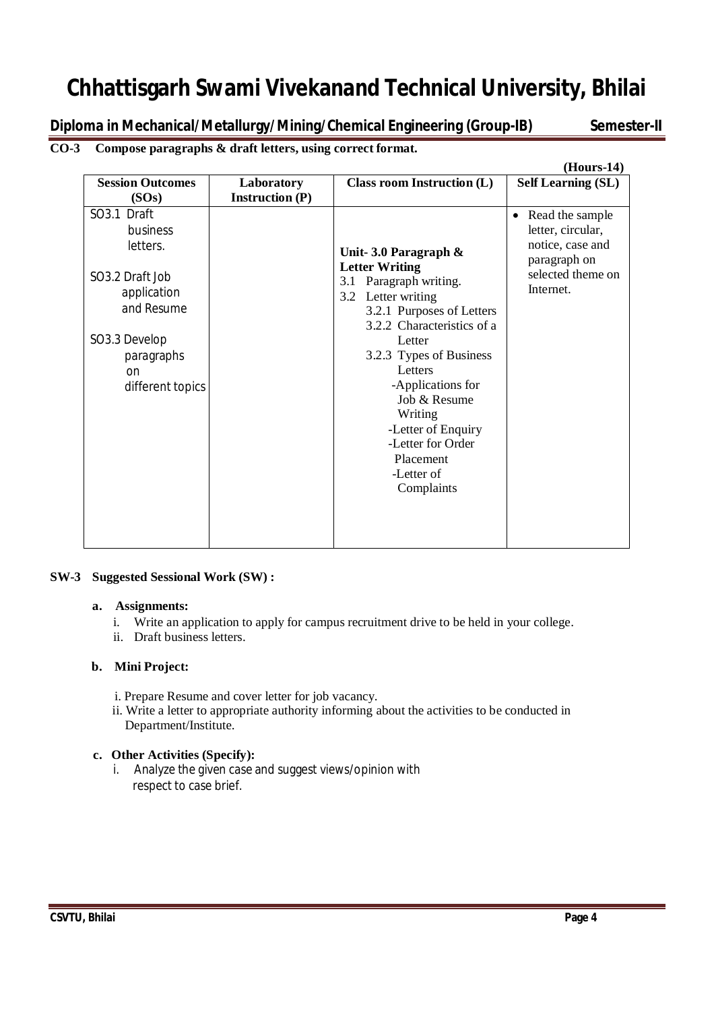**Diploma in Mechanical/Metallurgy/Mining/Chemical Engineering (Group-IB) Semester-II**

# **CO-3 Compose paragraphs & draft letters, using correct format.**

|                                                                                                                                                         |                        |                                                                                                                                                                                                                                                                                                                                                  | $(Hours-14)$                                                                                                            |
|---------------------------------------------------------------------------------------------------------------------------------------------------------|------------------------|--------------------------------------------------------------------------------------------------------------------------------------------------------------------------------------------------------------------------------------------------------------------------------------------------------------------------------------------------|-------------------------------------------------------------------------------------------------------------------------|
| <b>Session Outcomes</b>                                                                                                                                 | Laboratory             | <b>Class room Instruction (L)</b>                                                                                                                                                                                                                                                                                                                | <b>Self Learning (SL)</b>                                                                                               |
| (SOs)                                                                                                                                                   | <b>Instruction (P)</b> |                                                                                                                                                                                                                                                                                                                                                  |                                                                                                                         |
| SO3.1 Draft<br>business<br>letters.<br>SO3.2 Draft Job<br>application<br>and Resume<br>SO3.3 Develop<br>paragraphs<br><sub>on</sub><br>different topics |                        | Unit- 3.0 Paragraph $\&$<br><b>Letter Writing</b><br>3.1 Paragraph writing.<br>3.2 Letter writing<br>3.2.1 Purposes of Letters<br>3.2.2 Characteristics of a<br>Letter<br>3.2.3 Types of Business<br>Letters<br>-Applications for<br>Job & Resume<br>Writing<br>-Letter of Enquiry<br>-Letter for Order<br>Placement<br>-Letter of<br>Complaints | Read the sample<br>$\bullet$<br>letter, circular,<br>notice, case and<br>paragraph on<br>selected theme on<br>Internet. |

### **SW-3 Suggested Sessional Work (SW) :**

### **a. Assignments:**

- i. Write an application to apply for campus recruitment drive to be held in your college.
- ii. Draft business letters.

## **b. Mini Project:**

- i. Prepare Resume and cover letter for job vacancy.
- ii. Write a letter to appropriate authority informing about the activities to be conducted in Department/Institute.

## **c. Other Activities (Specify):**

i. Analyze the given case and suggest views/opinion with respect to case brief.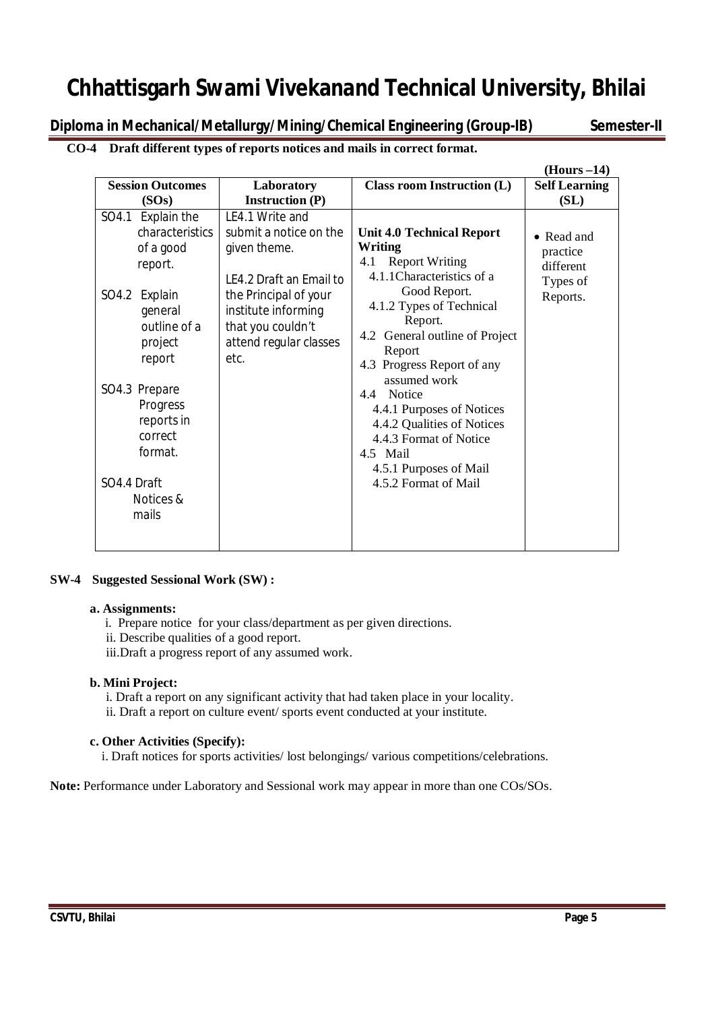**Diploma in Mechanical/Metallurgy/Mining/Chemical Engineering (Group-IB) Semester-II**

**CO-4 Draft different types of reports notices and mails in correct format.**

|                                                                                                                                                                                                                                                  |                                                                                                                                                                                             |                                                                                                                                                                                                                                                                                                                                                                                                                             | $(Hours -14)$                                               |
|--------------------------------------------------------------------------------------------------------------------------------------------------------------------------------------------------------------------------------------------------|---------------------------------------------------------------------------------------------------------------------------------------------------------------------------------------------|-----------------------------------------------------------------------------------------------------------------------------------------------------------------------------------------------------------------------------------------------------------------------------------------------------------------------------------------------------------------------------------------------------------------------------|-------------------------------------------------------------|
| <b>Session Outcomes</b>                                                                                                                                                                                                                          | Laboratory                                                                                                                                                                                  | <b>Class room Instruction (L)</b>                                                                                                                                                                                                                                                                                                                                                                                           | <b>Self Learning</b>                                        |
| (SOs)                                                                                                                                                                                                                                            | <b>Instruction (P)</b>                                                                                                                                                                      |                                                                                                                                                                                                                                                                                                                                                                                                                             | (SL)                                                        |
| Explain the<br>SO4.1<br><i>characteristics</i><br>of a good<br>report.<br>Explain<br>SO4.2<br>general<br>outline of a<br>project<br>report<br>SO4.3 Prepare<br>Progress<br>reports in<br>correct<br>format.<br>SO4.4 Draft<br>Notices &<br>mails | LE4.1 Write and<br>submit a notice on the<br>given theme.<br>LE4.2 Draft an Email to<br>the Principal of your<br>institute informing<br>that you couldn't<br>attend regular classes<br>etc. | <b>Unit 4.0 Technical Report</b><br>Writing<br>4.1 Report Writing<br>4.1.1 Characteristics of a<br>Good Report.<br>4.1.2 Types of Technical<br>Report.<br>4.2 General outline of Project<br>Report<br>4.3 Progress Report of any<br>assumed work<br><b>Notice</b><br>4.4<br>4.4.1 Purposes of Notices<br>4.4.2 Qualities of Notices<br>4.4.3 Format of Notice<br>4.5 Mail<br>4.5.1 Purposes of Mail<br>4.5.2 Format of Mail | • Read and<br>practice<br>different<br>Types of<br>Reports. |

## **SW-4 Suggested Sessional Work (SW) :**

### **a. Assignments:**

i. Prepare notice for your class/department as per given directions.

ii. Describe qualities of a good report.

iii.Draft a progress report of any assumed work.

### **b. Mini Project:**

 i. Draft a report on any significant activity that had taken place in your locality. ii. Draft a report on culture event/ sports event conducted at your institute.

### **c. Other Activities (Specify):**

i. Draft notices for sports activities/ lost belongings/ various competitions/celebrations.

**Note:** Performance under Laboratory and Sessional work may appear in more than one COs/SOs.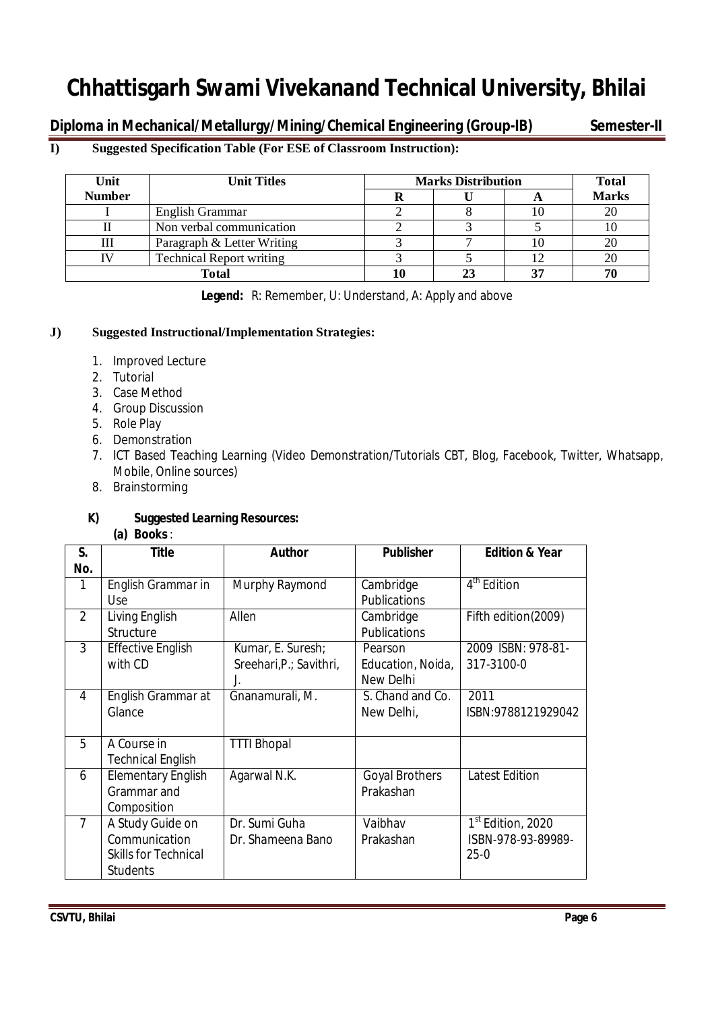**Diploma in Mechanical/Metallurgy/Mining/Chemical Engineering (Group-IB) Semester-II**

# **I) Suggested Specification Table (For ESE of Classroom Instruction):**

| Unit          | <b>Unit Titles</b>              | <b>Marks Distribution</b> | <b>Total</b> |              |
|---------------|---------------------------------|---------------------------|--------------|--------------|
| <b>Number</b> |                                 |                           |              | <b>Marks</b> |
|               | English Grammar                 |                           |              | 20           |
|               | Non verbal communication        |                           |              | 10           |
|               | Paragraph & Letter Writing      |                           |              |              |
|               | <b>Technical Report writing</b> |                           |              |              |
|               | Total                           |                           |              |              |

**Legend:** R: Remember, U: Understand, A: Apply and above

# **J) Suggested Instructional/Implementation Strategies:**

- 1. Improved Lecture
- 2. Tutorial
- 3. Case Method
- 4. Group Discussion
- 5. Role Play
- 6. Demonstration
- 7. ICT Based Teaching Learning (Video Demonstration/Tutorials CBT, Blog, Facebook, Twitter, Whatsapp, Mobile, Online sources)
- 8. Brainstorming

# **K) Suggested Learning Resources:**

**(a) Books** :

| S.<br>No.      | <b>Title</b>                                                                        | <b>Author</b>                                      | <b>Publisher</b>                          | <b>Edition &amp; Year</b>                                       |
|----------------|-------------------------------------------------------------------------------------|----------------------------------------------------|-------------------------------------------|-----------------------------------------------------------------|
| 1              | English Grammar in<br>Use                                                           | Murphy Raymond                                     | Cambridge<br>Publications                 | 4 <sup>th</sup> Edition                                         |
| $\overline{2}$ | Living English<br>Structure                                                         | Allen                                              | Cambridge<br><b>Publications</b>          | Fifth edition(2009)                                             |
| $\mathcal{S}$  | <b>Effective English</b><br>with CD                                                 | Kumar, E. Suresh;<br>Sreehari, P.; Savithri,<br>J. | Pearson<br>Education, Noida,<br>New Delhi | 2009 ISBN: 978-81-<br>317-3100-0                                |
| 4              | English Grammar at<br>Glance                                                        | Gnanamurali, M.                                    | S. Chand and Co.<br>New Delhi,            | 2011<br>ISBN:9788121929042                                      |
| 5              | A Course in<br><b>Technical English</b>                                             | <b>TTTI Bhopal</b>                                 |                                           |                                                                 |
| 6              | <b>Elementary English</b><br>Grammar and<br>Composition                             | Agarwal N.K.                                       | <b>Goyal Brothers</b><br>Prakashan        | <b>Latest Edition</b>                                           |
| $\overline{7}$ | A Study Guide on<br>Communication<br><b>Skills for Technical</b><br><b>Students</b> | Dr. Sumi Guha<br>Dr. Shameena Bano                 | Vaibhav<br>Prakashan                      | 1 <sup>st</sup> Edition, 2020<br>ISBN-978-93-89989-<br>$25 - 0$ |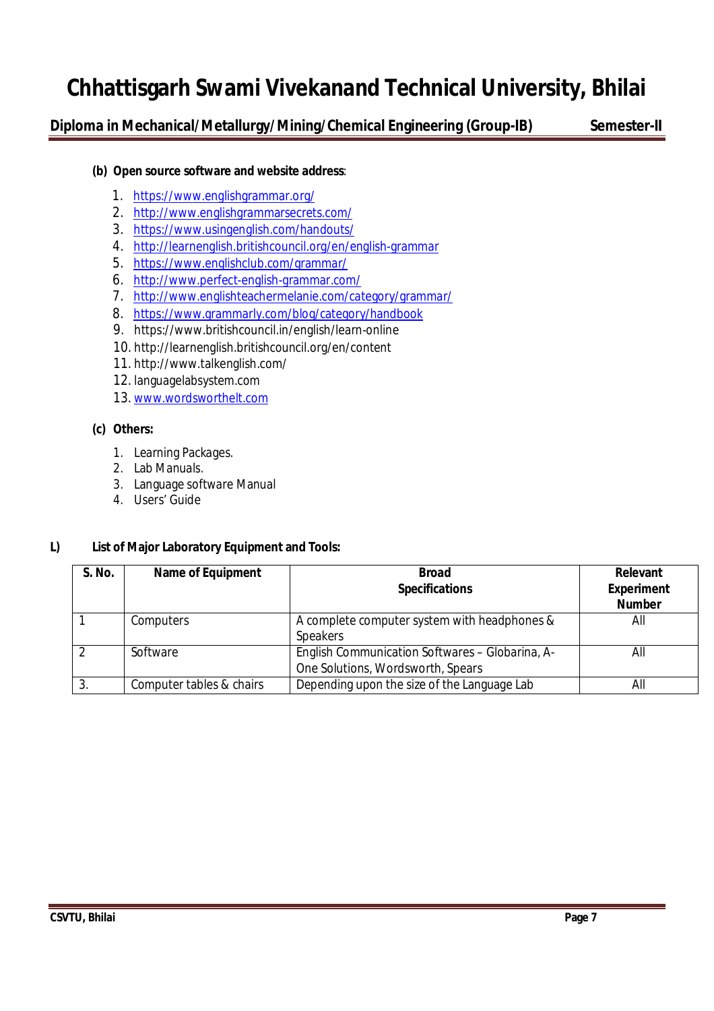**Diploma in Mechanical/Metallurgy/Mining/Chemical Engineering (Group-IB) Semester-II**

# **(b) Open source software and website address**:

- 1. https://www.englishgrammar.org/
- 2. http://www.englishgrammarsecrets.com/
- 3. https://www.usingenglish.com/handouts/
- 4. http://learnenglish.britishcouncil.org/en/english-grammar
- 5. https://www.englishclub.com/grammar/
- 6. http://www.perfect-english-grammar.com/
- 7. http://www.englishteachermelanie.com/category/grammar/
- 8. https://www.grammarly.com/blog/category/handbook
- 9. https://www.britishcouncil.in/english/learn-online
- 10. http://learnenglish.britishcouncil.org/en/content
- 11. http://www.talkenglish.com/
- 12. languagelabsystem.com
- 13. www.wordsworthelt.com

# **(c) Others:**

- 1. Learning Packages.
- 2. Lab Manuals.
- 3. Language software Manual
- 4. Users' Guide

## **L) List of Major Laboratory Equipment and Tools:**

| S. No. | <b>Name of Equipment</b> | <b>Broad</b><br><b>Specifications</b>                                                | Relevant<br><b>Experiment</b><br><b>Number</b> |
|--------|--------------------------|--------------------------------------------------------------------------------------|------------------------------------------------|
|        | Computers                | A complete computer system with headphones &<br>Speakers                             | All                                            |
|        | Software                 | English Communication Softwares - Globarina, A-<br>One Solutions, Wordsworth, Spears | All                                            |
| 3.     | Computer tables & chairs | Depending upon the size of the Language Lab                                          | All                                            |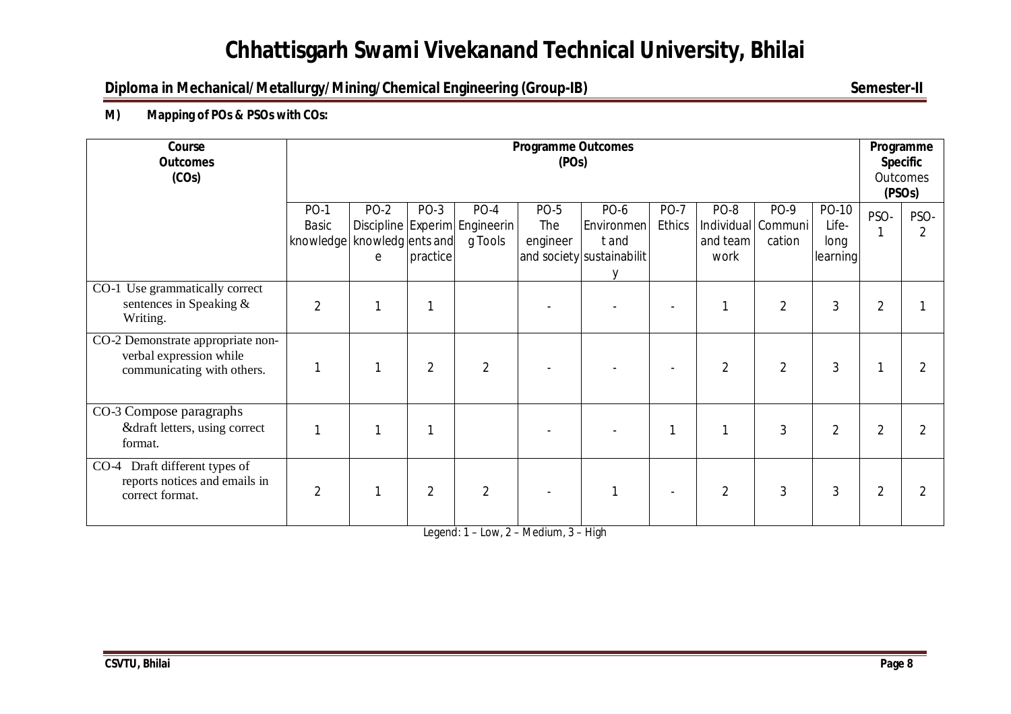# **Diploma in Mechanical/Metallurgy/Mining/Chemical Engineering (Group-IB)** Semester-II

**M) Mapping of POs & PSOs with COs:**

| Course<br><b>Outcomes</b><br>(COs)                                                         |                                                       | <b>Programme Outcomes</b><br>(POS) |                  |                                                    |                                |                                                         |                              |                          |                                      |                                    | Programme<br><b>Specific</b><br><b>Outcomes</b><br>(PSO <sub>S</sub> ) |                        |
|--------------------------------------------------------------------------------------------|-------------------------------------------------------|------------------------------------|------------------|----------------------------------------------------|--------------------------------|---------------------------------------------------------|------------------------------|--------------------------|--------------------------------------|------------------------------------|------------------------------------------------------------------------|------------------------|
|                                                                                            | <b>PO-1</b><br>Basic<br>knowledge   knowledg ents and | <b>PO-2</b><br>e                   | PO-3<br>practice | $PO-4$<br>Discipline Experim Engineerin<br>g Tools | <b>PO-5</b><br>The<br>engineer | PO-6<br>Environmen<br>tand<br>and society sustainabilit | <b>PO-7</b><br><b>Ethics</b> | PO-8<br>and team<br>work | PO-9<br>Individual Communi<br>cation | PO-10<br>Life-<br>long<br>learning | PSO-                                                                   | PSO-<br>$\mathfrak{D}$ |
| CO-1 Use grammatically correct<br>sentences in Speaking &<br>Writing.                      | $\overline{2}$                                        |                                    |                  |                                                    |                                |                                                         |                              |                          | $\overline{2}$                       | 3                                  | $\overline{2}$                                                         |                        |
| CO-2 Demonstrate appropriate non-<br>verbal expression while<br>communicating with others. |                                                       |                                    | $\overline{2}$   | $\overline{2}$                                     |                                |                                                         |                              | $\overline{2}$           | $\overline{2}$                       | 3                                  |                                                                        |                        |
| CO-3 Compose paragraphs<br>&draft letters, using correct<br>format.                        |                                                       |                                    |                  |                                                    |                                |                                                         |                              |                          | 3                                    | $\overline{2}$                     | $\overline{2}$                                                         |                        |
| CO-4 Draft different types of<br>reports notices and emails in<br>correct format.          | $\overline{2}$                                        |                                    | 2                | $\overline{2}$                                     |                                |                                                         | $\blacksquare$               | 2                        | $\mathbf{3}$                         | $\mathfrak{Z}$                     | $\overline{2}$                                                         |                        |

Legend: 1 – Low, 2 – Medium, 3 – High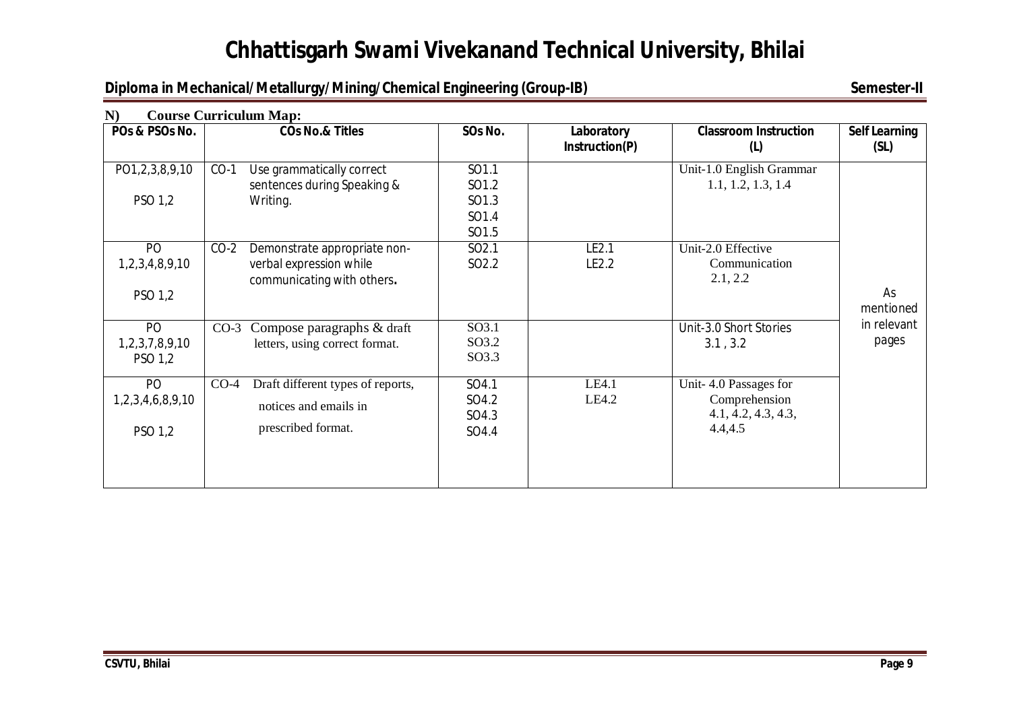# **Diploma in Mechanical/Metallurgy/Mining/Chemical Engineering (Group-IB)** Semester-II

| N)                                | <b>Course Curriculum Map:</b>                                                                   |                                           |                              |                                                                          |                              |
|-----------------------------------|-------------------------------------------------------------------------------------------------|-------------------------------------------|------------------------------|--------------------------------------------------------------------------|------------------------------|
| POs & PSOs No.                    | <b>COs No.&amp; Titles</b>                                                                      | SOs No.                                   | Laboratory<br>Instruction(P) | <b>Classroom Instruction</b><br>(L)                                      | <b>Self Learning</b><br>(SL) |
| PO1,2,3,8,9,10<br>PSO 1,2         | Use grammatically correct<br>$CO-1$<br>sentences during Speaking &<br>Writing.                  | SO1.1<br>SO1.2<br>SO1.3<br>SO1.4<br>SO1.5 |                              | Unit-1.0 English Grammar<br>1.1, 1.2, 1.3, 1.4                           |                              |
| PO<br>1,2,3,4,8,9,10<br>PSO 1,2   | $CO-2$<br>Demonstrate appropriate non-<br>verbal expression while<br>communicating with others. | SO <sub>2.1</sub><br>SO <sub>2.2</sub>    | LE2.1<br>LE2.2               | Unit-2.0 Effective<br>Communication<br>2.1, 2.2                          | As<br>mentioned              |
| PO<br>1,2,3,7,8,9,10<br>PSO 1,2   | CO-3 Compose paragraphs & draft<br>letters, using correct format.                               | SO3.1<br>SO3.2<br>SO3.3                   |                              | Unit-3.0 Short Stories<br>3.1, 3.2                                       | in relevant<br>pages         |
| PO<br>1,2,3,4,6,8,9,10<br>PSO 1,2 | Draft different types of reports,<br>$CO-4$<br>notices and emails in<br>prescribed format.      | SO4.1<br>SO4.2<br>SO4.3<br>SO4.4          | LE4.1<br>LE4.2               | Unit-4.0 Passages for<br>Comprehension<br>4.1, 4.2, 4.3, 4.3,<br>4.4,4.5 |                              |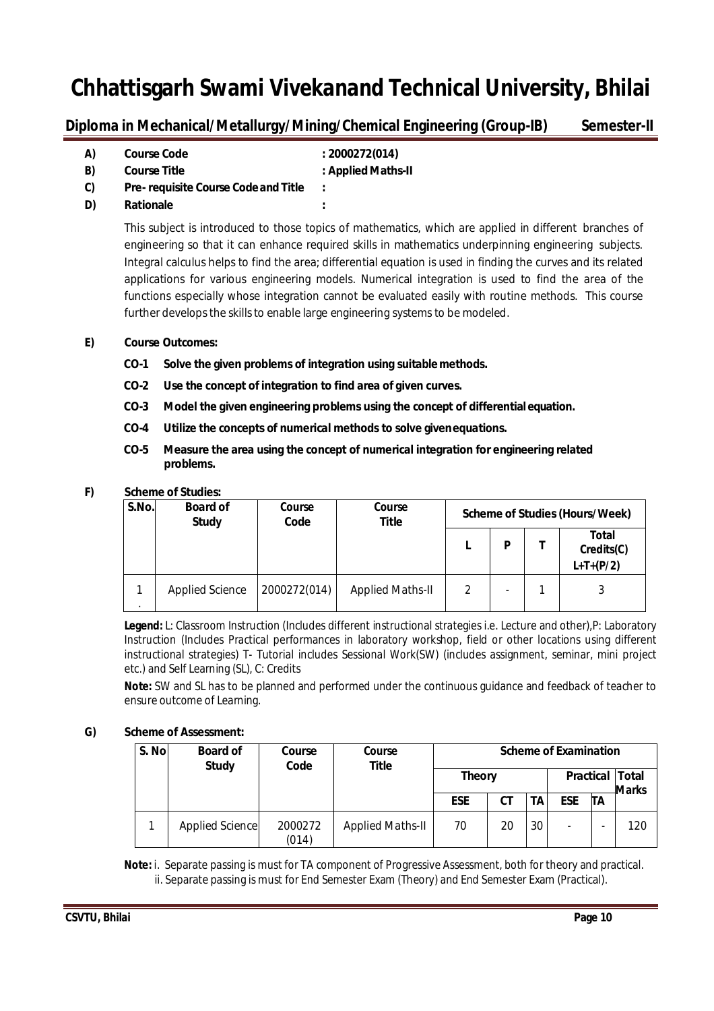Diploma in Mechanical/Metallurgy/Mining/Chemical Engineering (Group-IB) Semester-II

| A) | <b>Course Code</b>                         | : 2000272(014)     |
|----|--------------------------------------------|--------------------|
| B) | <b>Course Title</b>                        | : Applied Maths-II |
| C) | <b>Pre-requisite Course Code and Title</b> |                    |

**D) Rationale :**

This subject is introduced to those topics of mathematics, which are applied in different branches of engineering so that it can enhance required skills in mathematics underpinning engineering subjects. Integral calculus helps to find the area; differential equation is used in finding the curves and its related applications for various engineering models. Numerical integration is used to find the area of the functions especially whose integration cannot be evaluated easily with routine methods. This course further develops the skills to enable large engineering systems to be modeled.

### **E) Course Outcomes:**

- **CO-1 Solve the given problems of integration using suitable methods.**
- **CO-2 Use the concept of integration to find area of given curves.**
- **CO-3 Model the given engineering problems using the concept of differentialequation.**
- **CO-4 Utilize the concepts of numerical methods to solve givenequations.**
- **CO-5 Measure the area using the concept of numerical integration for engineering related problems.**

### **F) Scheme of Studies:**

| S.No. | <b>Board of</b><br><b>Study</b> | Course<br>Code | Course<br><b>Title</b>  | <b>Scheme of Studies (Hours/Week)</b> |   |  |                                    |
|-------|---------------------------------|----------------|-------------------------|---------------------------------------|---|--|------------------------------------|
|       |                                 |                |                         |                                       | P |  | Total<br>Credits(C)<br>$L+T+(P/2)$ |
|       | Applied Science                 | 2000272(014)   | <b>Applied Maths-II</b> |                                       |   |  |                                    |

**Legend:** L: Classroom Instruction (Includes different instructional strategies i.e. Lecture and other),P: Laboratory Instruction (Includes Practical performances in laboratory workshop, field or other locations using different instructional strategies) T- Tutorial includes Sessional Work(SW) (includes assignment, seminar, mini project etc.) and Self Learning (SL), C: Credits

**Note:** SW and SL has to be planned and performed under the continuous guidance and feedback of teacher to ensure outcome of Learning.

### **G) Scheme ofAssessment:**

| S. No | <b>Board of</b><br><b>Study</b> | Course<br>Code   | Course<br>Title         | <b>Scheme of Examination</b> |    |    |                  |                              |     |
|-------|---------------------------------|------------------|-------------------------|------------------------------|----|----|------------------|------------------------------|-----|
|       |                                 |                  |                         | <b>Theory</b>                |    |    | <b>Practical</b> | <b>Total</b><br><b>Marks</b> |     |
|       |                                 |                  |                         | <b>ESE</b>                   | CТ | ΤА | <b>ESE</b>       | ΠA                           |     |
|       | Applied Science                 | 2000272<br>(014) | <b>Applied Maths-II</b> | 70                           | 20 | 30 | -                |                              | 120 |

 **Note:** i. Separate passing is must for TA component of Progressive Assessment, both for theory and practical. ii. Separate passing is must for End Semester Exam (Theory) and End Semester Exam (Practical).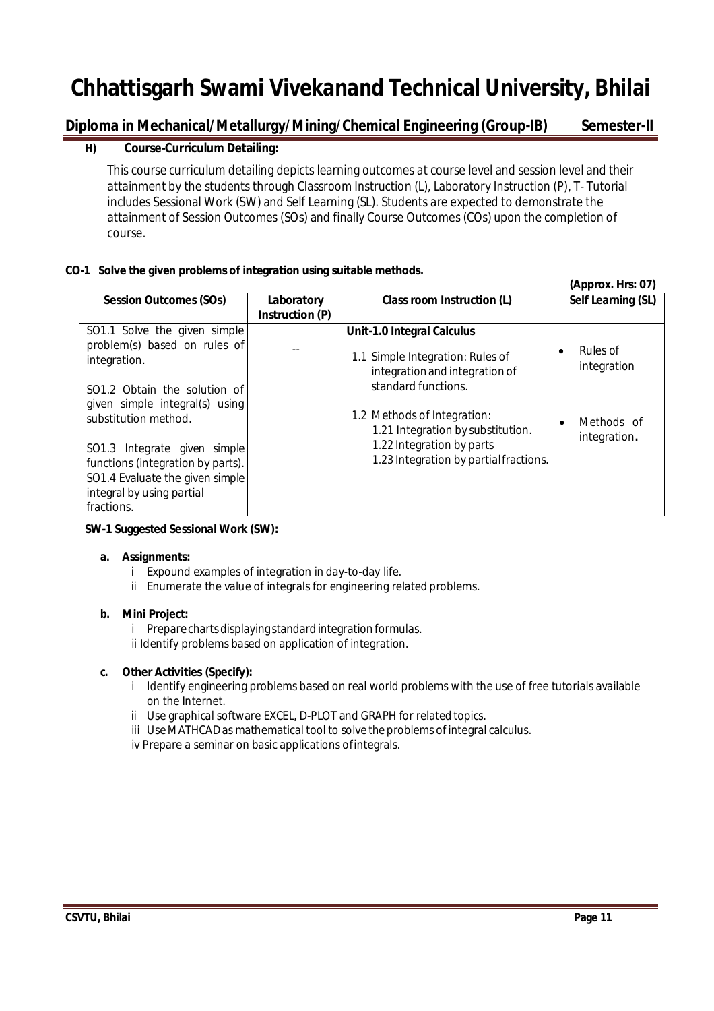# **Diploma in Mechanical/Metallurgy/Mining/Chemical Engineering (Group-IB) Semester-II**

# **H) Course-Curriculum Detailing:**

This course curriculum detailing depicts learning outcomes at course level and session level and their attainment by the students through Classroom Instruction (L), Laboratory Instruction (P), T- Tutorial includes Sessional Work (SW) and Self Learning (SL). Students are expected to demonstrate the attainment of Session Outcomes (SOs) and finally Course Outcomes (COs) upon the completion of course.

### **CO-1 Solve the given problems of integration using suitable methods.**

| Class room Instruction (L)<br><b>Session Outcomes (SOs)</b><br>Laboratory                                                                                                                                                                                                                                                                                                                                                                                                                                                                                                                                                | Self Learning (SL)                                    |
|--------------------------------------------------------------------------------------------------------------------------------------------------------------------------------------------------------------------------------------------------------------------------------------------------------------------------------------------------------------------------------------------------------------------------------------------------------------------------------------------------------------------------------------------------------------------------------------------------------------------------|-------------------------------------------------------|
| Instruction (P)                                                                                                                                                                                                                                                                                                                                                                                                                                                                                                                                                                                                          |                                                       |
| SO1.1 Solve the given simple<br><b>Unit-1.0 Integral Calculus</b><br>problem(s) based on rules of<br>٠<br>1.1 Simple Integration: Rules of<br>integration.<br>integration and integration of<br>standard functions.<br>SO1.2 Obtain the solution of<br>given simple integral(s) using<br>1.2 Methods of Integration:<br>substitution method.<br>$\bullet$<br>1.21 Integration by substitution.<br>1.22 Integration by parts<br>SO1.3 Integrate given simple<br>1.23 Integration by partial fractions.<br>functions (integration by parts).<br>SO1.4 Evaluate the given simple<br>integral by using partial<br>fractions. | Rules of<br>integration<br>Methods of<br>integration. |

### **SW-1 Suggested Sessional Work (SW):**

### **a. Assignments:**

- i Expound examples of integration in day-to-day life.
- ii Enumerate the value of integrals for engineering related problems.

### **b. Mini Project:**

- i Prepare charts displaying standard integration formulas.
- ii Identify problems based on application of integration.

### **c. Other Activities (Specify):**

- i Identify engineering problems based on real world problems with the use of free tutorials available on the Internet.
- ii Use graphical software EXCEL, D-PLOT and GRAPH for related topics.
- iii Use MATHCAD as mathematical tool to solve the problems of integral calculus.

iv Prepare a seminar on basic applications ofintegrals.

 **(Approx. Hrs: 07)**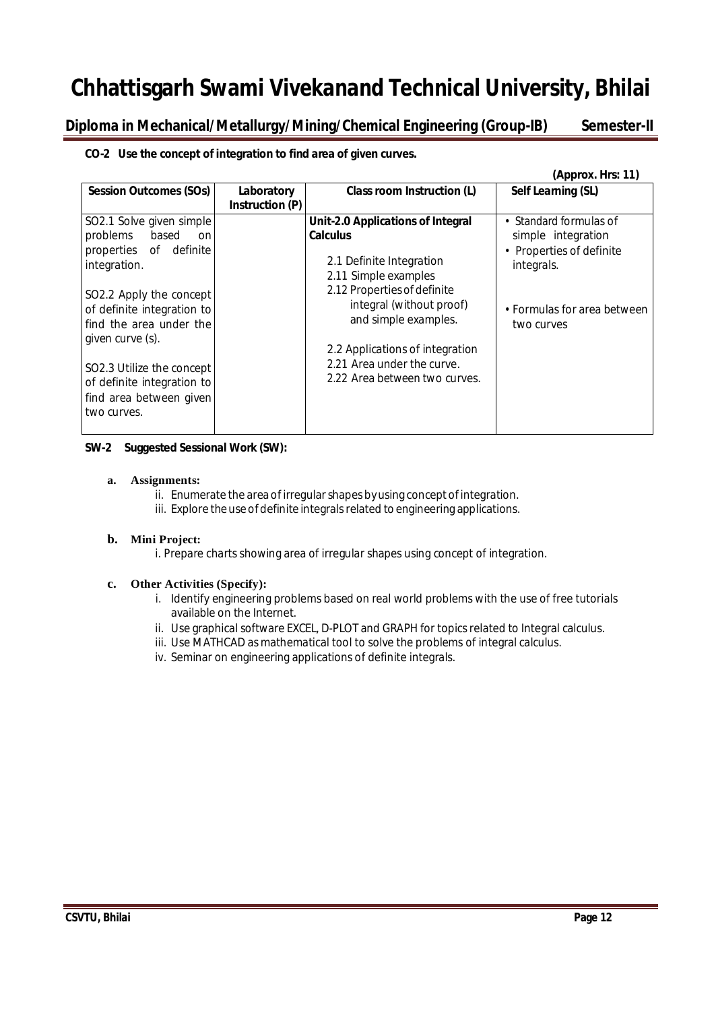Diploma in Mechanical/Metallurgy/Mining/Chemical Engineering (Group-IB) Semester-II

### **CO-2 Use the concept of integration to find area of given curves.**

|                                                                                                                                                                                                                                                                                                         |                                      |                                                                                                                                                                                                                                                                                               | (Approx. Hrs: 11)                                                                                                                   |
|---------------------------------------------------------------------------------------------------------------------------------------------------------------------------------------------------------------------------------------------------------------------------------------------------------|--------------------------------------|-----------------------------------------------------------------------------------------------------------------------------------------------------------------------------------------------------------------------------------------------------------------------------------------------|-------------------------------------------------------------------------------------------------------------------------------------|
| <b>Session Outcomes (SOs)</b>                                                                                                                                                                                                                                                                           | Laboratory<br><b>Instruction (P)</b> | Class room Instruction (L)                                                                                                                                                                                                                                                                    | Self Learning (SL)                                                                                                                  |
| SO2.1 Solve given simple<br>problems based<br>on<br>properties of definite<br>integration.<br>SO2.2 Apply the concept<br>of definite integration to<br>find the area under the<br>given curve (s).<br>SO2.3 Utilize the concept<br>of definite integration to<br>find area between given<br>two curves. |                                      | Unit-2.0 Applications of Integral<br><b>Calculus</b><br>2.1 Definite Integration<br>2.11 Simple examples<br>2.12 Properties of definite<br>integral (without proof)<br>and simple examples.<br>2.2 Applications of integration<br>2.21 Area under the curve.<br>2.22 Area between two curves. | • Standard formulas of<br>simple integration<br>• Properties of definite<br>integrals.<br>• Formulas for area between<br>two curves |

#### **SW-2 Suggested Sessional Work (SW):**

#### **a. Assignments:**

- ii. Enumerate the area of irregular shapes by using concept of integration.
- iii. Explore the use of definite integrals related to engineering applications.

### **b. Mini Project:**

i. Prepare charts showing area of irregular shapes using concept of integration.

### **c. Other Activities (Specify):**

- i. Identify engineering problems based on real world problems with the use of free tutorials available on the Internet.
- ii. Use graphical software EXCEL, D-PLOT and GRAPH for topics related to Integral calculus.
- iii. Use MATHCAD as mathematical tool to solve the problems of integral calculus.
- iv. Seminar on engineering applications of definite integrals.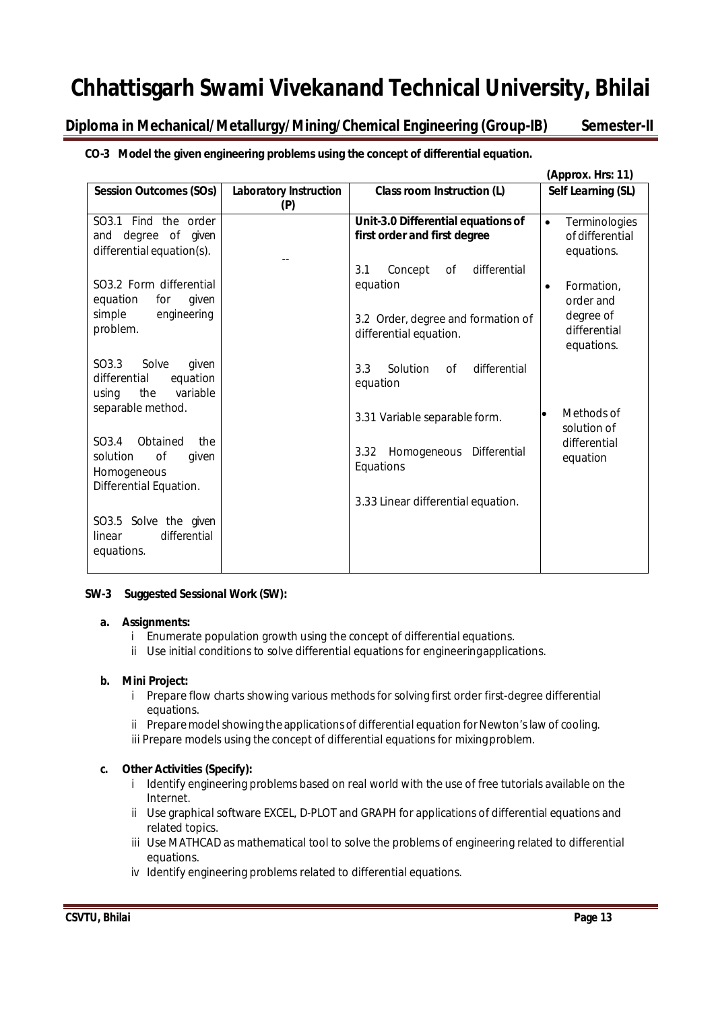**Diploma in Mechanical/Metallurgy/Mining/Chemical Engineering (Group-IB) Semester-II** 

**CO-3 Model the given engineering problems using the concept of differential equation.**

|                                                                                                          |                                      |                                                                                                                  | (Approx. Hrs: 11)                                                               |
|----------------------------------------------------------------------------------------------------------|--------------------------------------|------------------------------------------------------------------------------------------------------------------|---------------------------------------------------------------------------------|
| <b>Session Outcomes (SOs)</b>                                                                            | <b>Laboratory Instruction</b><br>(P) | <b>Class room Instruction (L)</b>                                                                                | Self Learning (SL)                                                              |
| SO3.1 Find the order<br>and degree of given<br>differential equation(s).                                 |                                      | Unit-3.0 Differential equations of<br>first order and first degree                                               | Terminologies<br>$\bullet$<br>of differential<br>equations.                     |
| SO <sub>3.2</sub> Form differential<br>equation<br>given<br>for<br>engineering<br>simple<br>problem.     |                                      | differential<br>3.1<br>Concept<br>0f<br>equation<br>3.2 Order, degree and formation of<br>differential equation. | Formation,<br>$\bullet$<br>order and<br>degree of<br>differential<br>equations. |
| SO3.3<br>Solve<br>given<br>equation<br>differential<br>variable<br>the<br>using                          |                                      | 3.3<br>Solution<br>differential<br>of<br>equation                                                                |                                                                                 |
| separable method.                                                                                        |                                      | 3.31 Variable separable form.                                                                                    | Methods of<br>solution of                                                       |
| SO <sub>3.4</sub><br>Obtained<br>the<br>of<br>solution<br>given<br>Homogeneous<br>Differential Equation. |                                      | Homogeneous Differential<br>3.32<br>Equations                                                                    | differential<br>equation                                                        |
| SO3.5 Solve the given<br>differential<br>linear<br>equations.                                            |                                      | 3.33 Linear differential equation.                                                                               |                                                                                 |

### **SW-3 Suggested Sessional Work (SW):**

### **a. Assignments:**

- i Enumerate population growth using the concept of differential equations.
- ii Use initial conditions to solve differential equations for engineeringapplications.

### **b. Mini Project:**

- i Prepare flow charts showing various methods for solving first order first-degree differential equations.
- ii Prepare model showing the applications of differential equation for Newton's law of cooling.
- iii Prepare models using the concept of differential equations for mixingproblem.

## **c. Other Activities (Specify):**

- i Identify engineering problems based on real world with the use of free tutorials available on the Internet.
- ii Use graphical software EXCEL, D-PLOT and GRAPH for applications of differential equations and related topics.
- iii Use MATHCAD as mathematical tool to solve the problems of engineering related to differential equations.
- iv Identify engineering problems related to differential equations.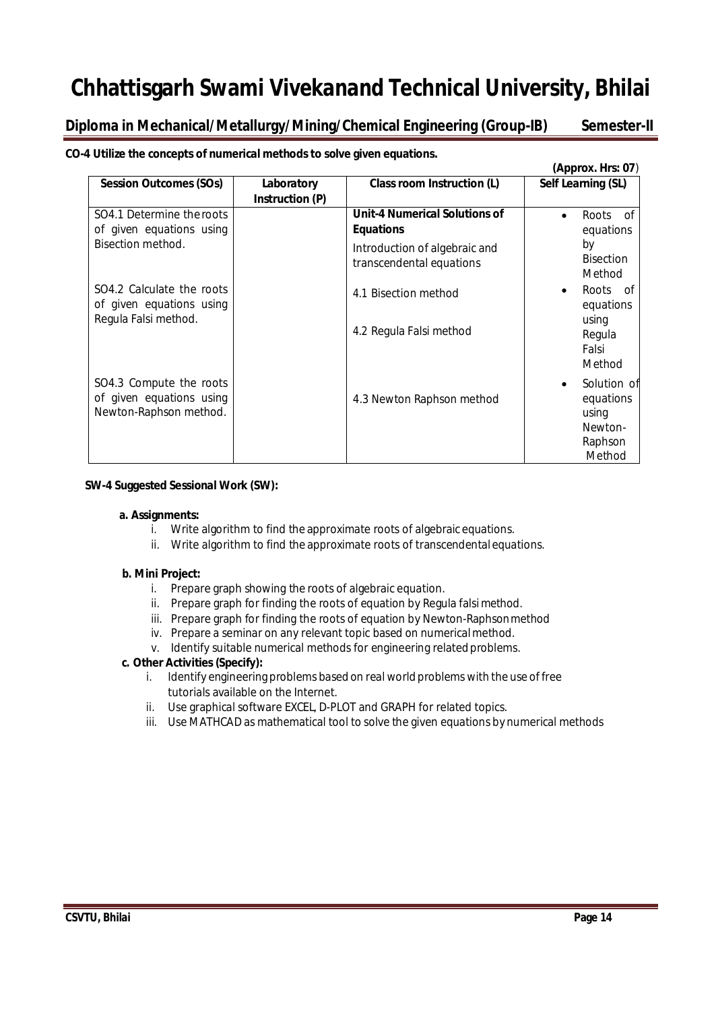**Diploma in Mechanical/Metallurgy/Mining/Chemical Engineering (Group-IB) Semester-II** 

**CO-4 Utilize the concepts of numerical methods to solve given equations.**

|                                                                               |                               |                                                           | (Approx. Hrs: 07)                                                 |
|-------------------------------------------------------------------------------|-------------------------------|-----------------------------------------------------------|-------------------------------------------------------------------|
| <b>Session Outcomes (SOs)</b>                                                 | Laboratory<br>Instruction (P) | Class room Instruction (L)                                | Self Learning (SL)                                                |
| SO4.1 Determine the roots<br>of given equations using                         |                               | <b>Unit-4 Numerical Solutions of</b><br><b>Equations</b>  | Roots of<br>$\bullet$<br>equations                                |
| Bisection method.                                                             |                               | Introduction of algebraic and<br>transcendental equations | by<br><b>Bisection</b><br>Method                                  |
| SO4.2 Calculate the roots<br>of given equations using<br>Regula Falsi method. |                               | 4.1 Bisection method                                      | Roots of<br>equations                                             |
|                                                                               |                               | 4.2 Regula Falsi method                                   | using<br>Regula<br>Falsi<br>Method                                |
| SO4.3 Compute the roots<br>of given equations using<br>Newton-Raphson method. |                               | 4.3 Newton Raphson method                                 | Solution of<br>equations<br>using<br>Newton-<br>Raphson<br>Method |

#### **SW-4 Suggested Sessional Work (SW):**

#### **a. Assignments:**

- i. Write algorithm to find the approximate roots of algebraic equations.
- ii. Write algorithm to find the approximate roots of transcendentalequations.

#### **b. Mini Project:**

- i. Prepare graph showing the roots of algebraic equation.
- ii. Prepare graph for finding the roots of equation by Regula falsimethod.
- iii. Prepare graph for finding the roots of equation by Newton-Raphsonmethod
- iv. Prepare a seminar on any relevant topic based on numericalmethod.
- v. Identify suitable numerical methods for engineering relatedproblems.

### **c. Other Activities(Specify):**

- i. Identify engineering problems based on real world problems with the use of free tutorials available on the Internet.
- ii. Use graphical software EXCEL, D-PLOT and GRAPH for related topics.
- iii. Use MATHCAD as mathematical tool to solve the given equations by numerical methods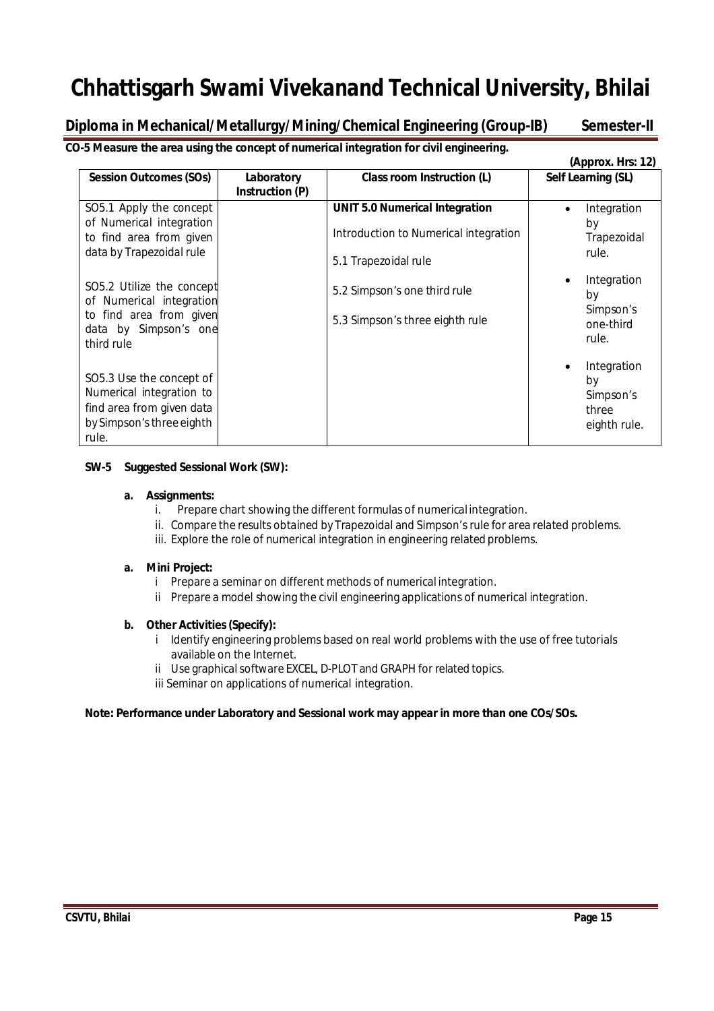# **Diploma in Mechanical/Metallurgy/Mining/Chemical Engineering (Group-IB) Semester-II**

**CO-5 Measure the area using the concept of numerical integration for civil engineering.** 

|                                                                                                                         |                                      |                                                                                                        | (Approx. Hrs: 12)                                       |
|-------------------------------------------------------------------------------------------------------------------------|--------------------------------------|--------------------------------------------------------------------------------------------------------|---------------------------------------------------------|
| <b>Session Outcomes (SOs)</b>                                                                                           | Laboratory<br><b>Instruction (P)</b> | Class room Instruction (L)                                                                             | Self Learning (SL)                                      |
| SO5.1 Apply the concept<br>of Numerical integration<br>to find area from given<br>data by Trapezoidal rule              |                                      | <b>UNIT 5.0 Numerical Integration</b><br>Introduction to Numerical integration<br>5.1 Trapezoidal rule | Integration<br>$\bullet$<br>by<br>Trapezoidal<br>rule.  |
| SO5.2 Utilize the concept<br>of Numerical integration<br>to find area from given<br>data by Simpson's one<br>third rule |                                      | 5.2 Simpson's one third rule<br>5.3 Simpson's three eighth rule                                        | Integration<br>by<br>Simpson's<br>one-third<br>rule.    |
| SO5.3 Use the concept of<br>Numerical integration to<br>find area from given data<br>by Simpson's three eighth<br>rule. |                                      |                                                                                                        | Integration<br>by<br>Simpson's<br>three<br>eighth rule. |

## **SW-5 Suggested Sessional Work (SW):**

### **a. Assignments:**

- i. Prepare chart showing the different formulas of numerical integration.
- ii. Compare the results obtained by Trapezoidal and Simpson's rule for area related problems.
- iii. Explore the role of numerical integration in engineering related problems.

### **a. Mini Project:**

- i Prepare a seminar on different methods of numerical integration.
- ii Prepare a model showing the civil engineering applications of numerical integration.

## **b. Other Activities(Specify):**

- i Identify engineering problems based on real world problems with the use of free tutorials available on the Internet.
- ii Use graphical software EXCEL, D-PLOT and GRAPH for related topics.
- iii Seminar on applications of numerical integration.

## **Note: Performance under Laboratory and Sessional work may appear in more than one COs/SOs.**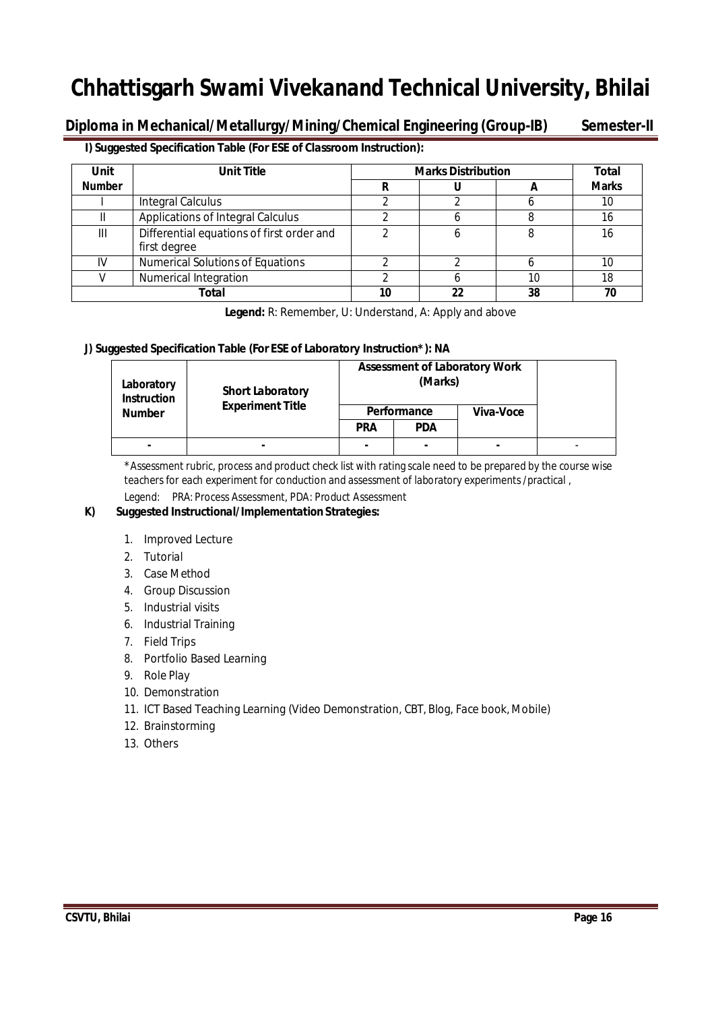Diploma in Mechanical/Metallurgy/Mining/Chemical Engineering (Group-IB) Semester-II

### **I) Suggested Specification Table (For ESE of Classroom Instruction):**

| Unit          | <b>Unit Title</b>                                         | <b>Marks Distribution</b> | <b>Total</b> |    |              |
|---------------|-----------------------------------------------------------|---------------------------|--------------|----|--------------|
| <b>Number</b> |                                                           |                           |              | Ħ  | <b>Marks</b> |
|               | <b>Integral Calculus</b>                                  |                           |              |    | 10           |
|               | Applications of Integral Calculus                         |                           |              |    | 16           |
| Ш             | Differential equations of first order and<br>first degree |                           | 6            | 8  | 16           |
| IV            | <b>Numerical Solutions of Equations</b>                   |                           |              |    | 10           |
|               | <b>Numerical Integration</b>                              |                           |              | 10 | 18           |
|               | Total                                                     |                           | 22           | 38 | 70           |

**Legend:** R: Remember, U: Understand, A: Apply and above

## **J) Suggested Specification Table (For ESE of Laboratory Instruction\*): NA**

| Laboratory<br><b>Instruction</b> | <b>Short Laboratory</b> | <b>Assessment of Laboratory Work</b> |                          |           |  |
|----------------------------------|-------------------------|--------------------------------------|--------------------------|-----------|--|
| <b>Number</b>                    | <b>Experiment Title</b> | Performance                          |                          | Viva-Voce |  |
|                                  |                         | <b>PRA</b>                           | <b>PDA</b>               |           |  |
| $\overline{\phantom{0}}$         | $\blacksquare$          | -                                    | $\overline{\phantom{0}}$ |           |  |

\*Assessment rubric, process and product check list with rating scale need to be prepared by the course wise teachers for each experiment for conduction and assessment of laboratory experiments /practical ,

Legend: PRA: Process Assessment, PDA: Product Assessment

### **K) Suggested Instructional/Implementation Strategies:**

- 1. Improved Lecture
- 2. Tutorial
- 3. Case Method
- 4. Group Discussion
- 5. Industrial visits
- 6. Industrial Training
- 7. Field Trips
- 8. Portfolio Based Learning
- 9. Role Play
- 10. Demonstration
- 11. ICT Based Teaching Learning (Video Demonstration, CBT, Blog, Face book, Mobile)
- 12. Brainstorming
- 13. Others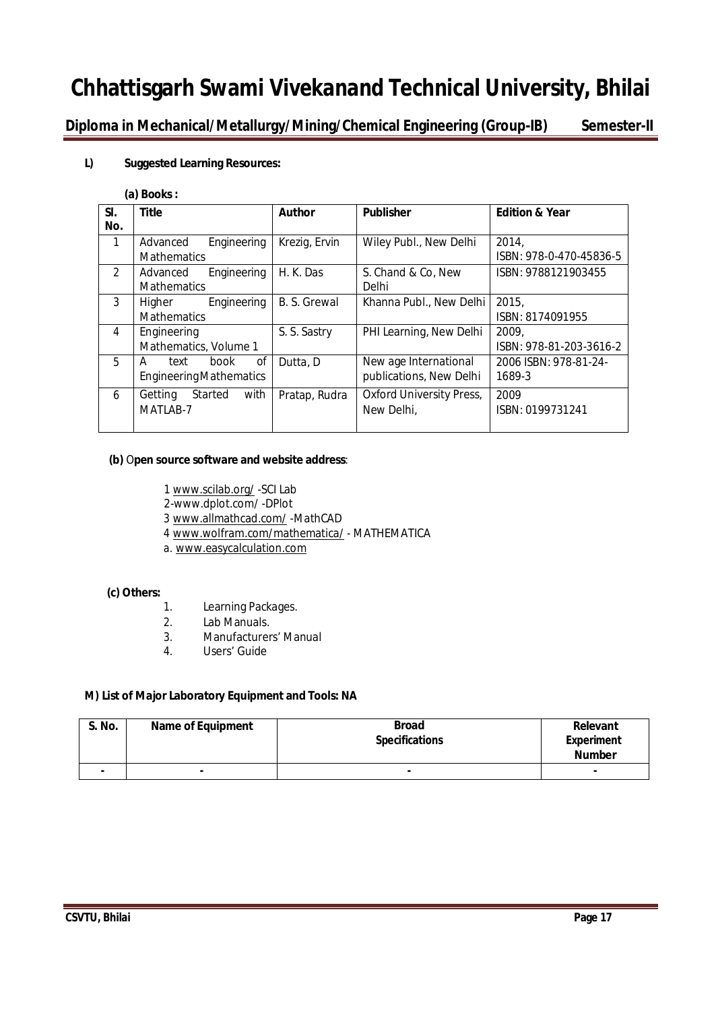**Diploma in Mechanical/Metallurgy/Mining/Chemical Engineering (Group-IB) Semester-II** 

### **L) Suggested Learning Resources:**

#### **(a) Books:**

| SI.            | <b>Title</b>                   | <b>Author</b> | <b>Publisher</b>                | <b>Edition &amp; Year</b> |
|----------------|--------------------------------|---------------|---------------------------------|---------------------------|
| No.            |                                |               |                                 |                           |
| $\mathbf{1}$   | Engineering<br>Advanced        | Krezig, Ervin | Wiley Publ., New Delhi          | 2014.                     |
|                | <b>Mathematics</b>             |               |                                 | ISBN: 978-0-470-45836-5   |
| $\mathfrak{D}$ | Engineering<br>Advanced        | H. K. Das     | S. Chand & Co, New              | ISBN: 9788121903455       |
|                | <b>Mathematics</b>             |               | Delhi                           |                           |
| 3              | Engineering<br>Higher          | B. S. Grewal  | Khanna Publ., New Delhi         | 2015,                     |
|                | <b>Mathematics</b>             |               |                                 | ISBN: 8174091955          |
| 4              | Engineering                    | S. S. Sastry  | PHI Learning, New Delhi         | 2009,                     |
|                | Mathematics, Volume 1          |               |                                 | ISBN: 978-81-203-3616-2   |
| 5              | of<br>book<br>text<br>A        | Dutta, D      | New age International           | 2006 ISBN: 978-81-24-     |
|                | <b>Engineering Mathematics</b> |               | publications, New Delhi         | 1689-3                    |
| 6              | with<br>Started<br>Getting     | Pratap, Rudra | <b>Oxford University Press,</b> | 2009                      |
|                | MATLAB-7                       |               | New Delhi,                      | ISBN: 0199731241          |
|                |                                |               |                                 |                           |

#### **(b)** O**pen source software and website address**:

- 1 www.scilab.org/ -SCI Lab
- 2-www.dplot.com/ -DPlot
- 3 www.allmathcad.com/ -MathCAD
- 4 www.wolfram.com/mathematica/ MATHEMATICA
- a. www.easycalculation.com

#### **(c) Others:**

- 1. Learning Packages.
- 2. Lab Manuals.
- 3. Manufacturers' Manual<br>4. Users' Guide
- Users' Guide

#### **M) List of Major Laboratory Equipment and Tools: NA**

| <b>S. No.</b> | <b>Name of Equipment</b> | <b>Broad</b>          | Relevant          |
|---------------|--------------------------|-----------------------|-------------------|
|               |                          | <b>Specifications</b> | <b>Experiment</b> |
|               |                          |                       | <b>Number</b>     |
|               |                          |                       | $\sim$            |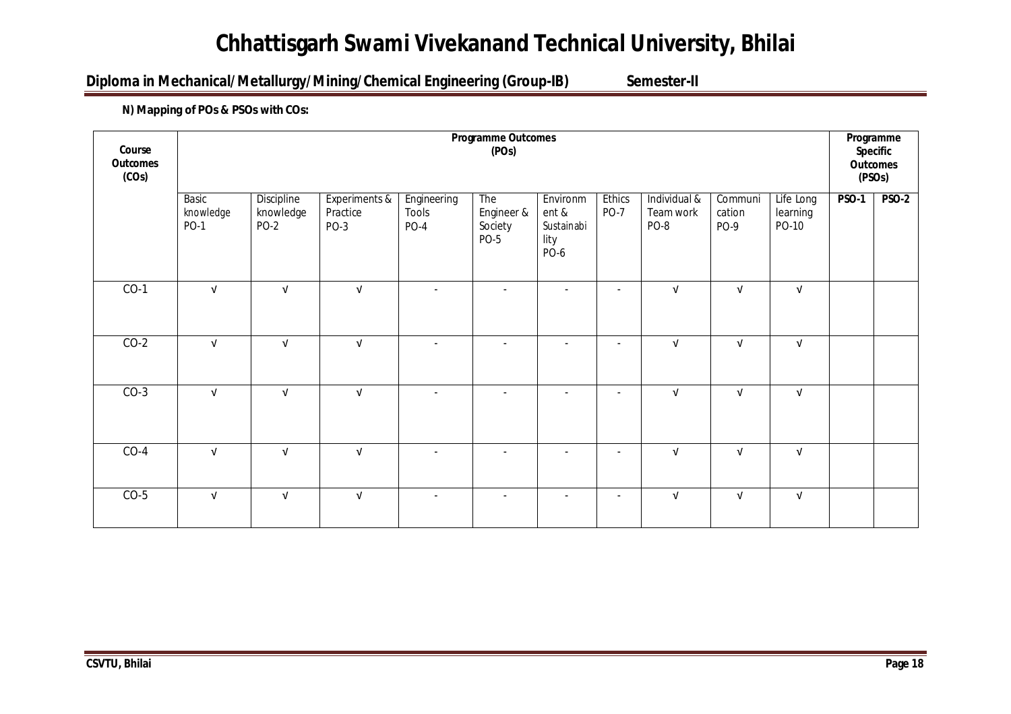# **Diploma in Mechanical/Metallurgy/Mining/Chemical Engineering (Group-IB) Semester-II**

# **N) Mapping of POs & PSOs with COs:**

| Course<br><b>Outcomes</b><br>(COs) | <b>Programme Outcomes</b><br>(POs) |                                        |                                   |                                     |                                             |                                                 |                              |                                   |                           | Programme<br>Specific<br><b>Outcomes</b><br>(PSOs) |              |              |
|------------------------------------|------------------------------------|----------------------------------------|-----------------------------------|-------------------------------------|---------------------------------------------|-------------------------------------------------|------------------------------|-----------------------------------|---------------------------|----------------------------------------------------|--------------|--------------|
|                                    | Basic<br>knowledge<br><b>PO-1</b>  | Discipline<br>knowledge<br><b>PO-2</b> | Experiments &<br>Practice<br>PO-3 | Engineering<br>Tools<br><b>PO-4</b> | The<br>Engineer &<br>Society<br><b>PO-5</b> | Environm<br>ent &<br>Sustainabi<br>lity<br>PO-6 | <b>Ethics</b><br><b>PO-7</b> | Individual &<br>Team work<br>PO-8 | Communi<br>cation<br>PO-9 | Life Long<br>learning<br>PO-10                     | <b>PSO-1</b> | <b>PSO-2</b> |
| $CO-1$                             | $\sqrt{ }$                         | $\sqrt{ }$                             | $\sqrt{ }$                        | $\overline{\phantom{a}}$            | $\frac{1}{2}$                               | $\overline{a}$                                  | $\overline{\phantom{a}}$     | $\sqrt{ }$                        | $\sqrt{ }$                | $\sqrt{ }$                                         |              |              |
| $CO-2$                             | $\sqrt{ }$                         | $\sqrt{ }$                             | $\sqrt{ }$                        | $\overline{\phantom{a}}$            | $\overline{\phantom{a}}$                    |                                                 | $\overline{\phantom{a}}$     | $\sqrt{ }$                        | $\sqrt{ }$                | $\sqrt{ }$                                         |              |              |
| $CO-3$                             | $\sqrt{ }$                         | $\sqrt{ }$                             | $\ensuremath{\mathsf{v}}$         | $\overline{\phantom{a}}$            | $\overline{\phantom{a}}$                    |                                                 | $\overline{\phantom{a}}$     | $\sqrt{ }$                        | $\ensuremath{\mathsf{V}}$ | $\sqrt{ }$                                         |              |              |
| $CO-4$                             | $\sqrt{ }$                         | $\sqrt{ }$                             | $\sqrt{ }$                        | $\overline{a}$                      | $\blacksquare$                              | $\overline{a}$                                  | $\overline{\phantom{a}}$     | $\sqrt{ }$                        | $\sqrt{ }$                | $\sqrt{ }$                                         |              |              |
| $CO-5$                             | $\sqrt{ }$                         | $\sqrt{ }$                             | $\sqrt{ }$                        | $\overline{a}$                      | $\overline{a}$                              | $\overline{\phantom{a}}$                        | $\overline{\phantom{a}}$     | $\sqrt{ }$                        | $\sqrt{ }$                | $\sqrt{ }$                                         |              |              |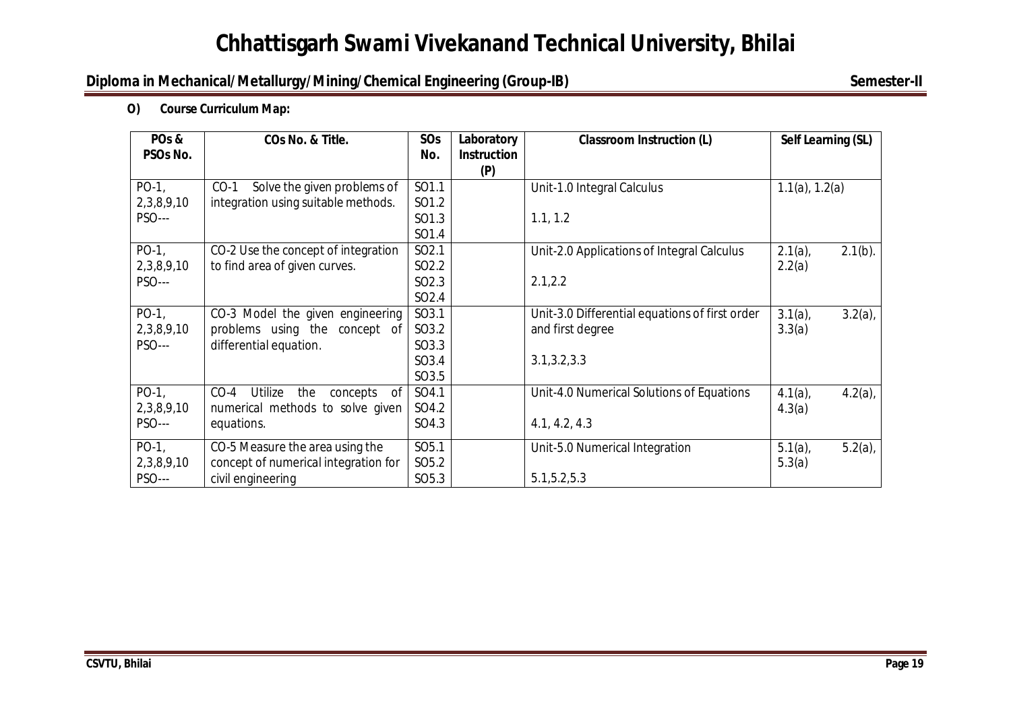# **Diploma in Mechanical/Metallurgy/Mining/Chemical Engineering (Group-IB)** Semester-II

**O) Course Curriculum Map:**

| PO <sub>s</sub> & | COs No. & Title.                            | SOs               | Laboratory         | <b>Classroom Instruction (L)</b>               | Self Learning (SL)       |
|-------------------|---------------------------------------------|-------------------|--------------------|------------------------------------------------|--------------------------|
| PSOs No.          |                                             | No.               | <b>Instruction</b> |                                                |                          |
|                   |                                             |                   | (P)                |                                                |                          |
| $PO-1$ ,          | $CO-1$<br>Solve the given problems of       | SO1.1             |                    | Unit-1.0 Integral Calculus                     | $1.1(a)$ , $1.2(a)$      |
| 2,3,8,9,10        | integration using suitable methods.         | SO1.2             |                    |                                                |                          |
| <b>PSO---</b>     |                                             | SO1.3             |                    | 1.1, 1.2                                       |                          |
|                   |                                             | SO1.4             |                    |                                                |                          |
| $PO-1$ ,          | CO-2 Use the concept of integration         | SO <sub>2.1</sub> |                    | Unit-2.0 Applications of Integral Calculus     | $2.1(a)$ ,<br>$2.1(b)$ . |
| 2,3,8,9,10        | to find area of given curves.               | SO <sub>2.2</sub> |                    |                                                | 2.2(a)                   |
| <b>PSO---</b>     |                                             | SO <sub>2.3</sub> |                    | 2.1, 2.2                                       |                          |
|                   |                                             | SO <sub>2.4</sub> |                    |                                                |                          |
| $PO-1$            | CO-3 Model the given engineering            | SO3.1             |                    | Unit-3.0 Differential equations of first order | $3.2(a)$ ,<br>$3.1(a)$ , |
| 2,3,8,9,10        | problems using the<br>concept of            | SO3.2             |                    | and first degree                               | 3.3(a)                   |
| <b>PSO---</b>     | differential equation.                      | SO3.3             |                    |                                                |                          |
|                   |                                             | SO3.4             |                    | 3.1, 3.2, 3.3                                  |                          |
|                   |                                             | SO3.5             |                    |                                                |                          |
| $PO-1$ ,          | $CO-4$<br>Utilize<br>the<br>concepts<br>-of | SO4.1             |                    | Unit-4.0 Numerical Solutions of Equations      | $4.1(a)$ ,<br>$4.2(a)$ , |
| 2,3,8,9,10        | numerical methods to solve given            | SO4.2             |                    |                                                | 4.3(a)                   |
| <b>PSO---</b>     | equations.                                  | SO4.3             |                    | 4.1, 4.2, 4.3                                  |                          |
| $PO-1$            | CO-5 Measure the area using the             | SO <sub>5.1</sub> |                    | Unit-5.0 Numerical Integration                 | $5.2(a)$ ,<br>5.1(a)     |
| 2,3,8,9,10        | concept of numerical integration for        | SO <sub>5.2</sub> |                    |                                                | 5.3(a)                   |
| <b>PSO---</b>     | civil engineering                           | SO <sub>5.3</sub> |                    | 5.1, 5.2, 5.3                                  |                          |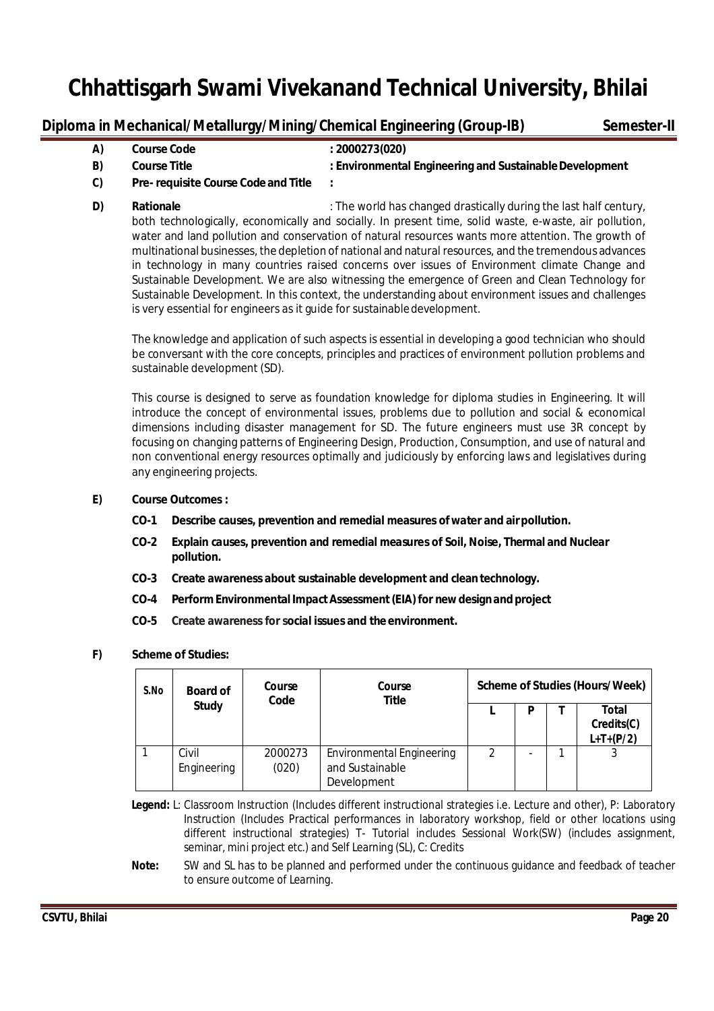# **Diploma in Mechanical/Metallurgy/Mining/Chemical Engineering (Group-IB)** Semester-II

| A) | <b>Course Code</b>                         | : 2000273(020)                                          |
|----|--------------------------------------------|---------------------------------------------------------|
| B) | <b>Course Title</b>                        | : Environmental Engineering and Sustainable Development |
| C) | <b>Pre-requisite Course Code and Title</b> |                                                         |

**D) Rationale Rationale Rationale** : The world has changed drastically during the last half century, both technologically, economically and socially. In present time, solid waste, e-waste, air pollution, water and land pollution and conservation of natural resources wants more attention. The growth of multinational businesses, the depletion of national and natural resources, and the tremendous advances in technology in many countries raised concerns over issues of Environment climate Change and Sustainable Development. We are also witnessing the emergence of Green and Clean Technology for Sustainable Development. In this context, the understanding about environment issues and challenges is very essential for engineers as it guide for sustainabledevelopment.

The knowledge and application of such aspects is essential in developing a good technician who should be conversant with the core concepts, principles and practices of environment pollution problems and sustainable development (SD).

This course is designed to serve as foundation knowledge for diploma studies in Engineering. It will introduce the concept of environmental issues, problems due to pollution and social & economical dimensions including disaster management for SD. The future engineers must use 3R concept by focusing on changing patterns of Engineering Design, Production, Consumption, and use of natural and non conventional energy resources optimally and judiciously by enforcing laws and legislatives during any engineering projects.

### **E) Course Outcomes :**

- **CO-1 Describe causes, prevention and remedial measures of water and airpollution.**
- **CO-2 Explain causes, prevention and remedial measures of Soil, Noise, Thermal and Nuclear pollution.**
- **CO-3 Create awareness about sustainable development and cleantechnology.**
- **CO-4 PerformEnvironmental ImpactAssessment(EIA)for newdesignandproject**
- **CO-5 Create awareness for social issues and the environment.**

### **F) Scheme of Studies:**

| S.No | Course<br>Course<br><b>Board of</b><br>Code |                  | <b>Title</b>                                                       |   |   | <b>Scheme of Studies (Hours/Week)</b> |
|------|---------------------------------------------|------------------|--------------------------------------------------------------------|---|---|---------------------------------------|
|      | <b>Study</b>                                |                  |                                                                    |   | n | Total<br>Credits(C)<br>$L+T+(P/2)$    |
|      | Civil<br>Engineering                        | 2000273<br>(020) | <b>Environmental Engineering</b><br>and Sustainable<br>Development | 2 |   |                                       |

**Legend:** L: Classroom Instruction (Includes different instructional strategies i.e. Lecture and other), P: Laboratory Instruction (Includes Practical performances in laboratory workshop, field or other locations using different instructional strategies) T- Tutorial includes Sessional Work(SW) (includes assignment, seminar, mini project etc.) and Self Learning (SL), C: Credits

**Note:** SW and SL has to be planned and performed under the continuous guidance and feedback of teacher to ensure outcome of Learning.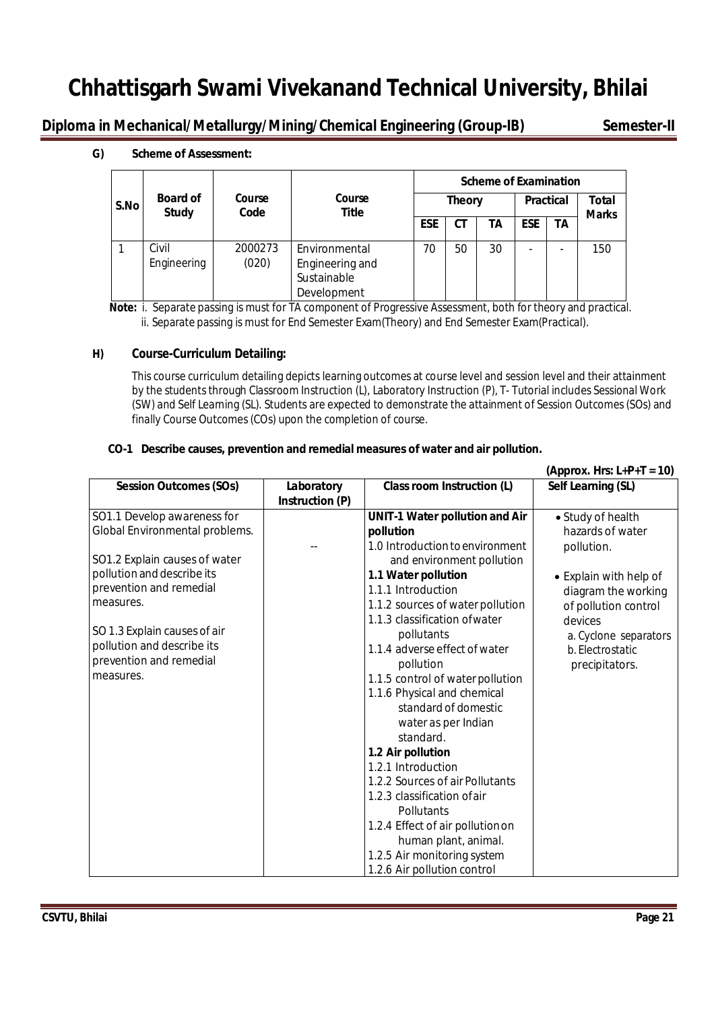**Diploma in Mechanical/Metallurgy/Mining/Chemical Engineering (Group-IB)** Semester-II

**G)** Scheme of Assessment:

|      |                                                   |                  |                                                                |            | <b>Scheme of Examination</b> |    |                  |    |                              |  |  |
|------|---------------------------------------------------|------------------|----------------------------------------------------------------|------------|------------------------------|----|------------------|----|------------------------------|--|--|
| S.No | <b>Board of</b><br>Course<br><b>Study</b><br>Code |                  | Course<br><b>Title</b>                                         |            | <b>Theory</b>                |    | <b>Practical</b> |    | <b>Total</b><br><b>Marks</b> |  |  |
|      |                                                   |                  |                                                                | <b>ESE</b> | СT                           | ΤA | <b>ESE</b>       | ΤA |                              |  |  |
|      | Civil<br>Engineering                              | 2000273<br>(020) | Environmental<br>Engineering and<br>Sustainable<br>Development | 70         | 50                           | 30 |                  |    | 150                          |  |  |

 **Note:** i. Separate passing is must for TA component of Progressive Assessment, both for theory and practical. ii. Separate passing is must for End Semester Exam(Theory) and End Semester Exam(Practical).

### **H) Course-Curriculum Detailing:**

This course curriculum detailing depicts learning outcomes at course level and session level and their attainment by the students through Classroom Instruction (L), Laboratory Instruction (P), T- Tutorial includes Sessional Work (SW) and Self Learning (SL). Students are expected to demonstrate the attainment of Session Outcomes (SOs) and finally Course Outcomes (COs) upon the completion of course.

### **CO-1 Describe causes, prevention and remedial measures of water and air pollution.**

|                                |                               |                                       | (Approx. Hrs: $L+P+T = 10$ ) |
|--------------------------------|-------------------------------|---------------------------------------|------------------------------|
| <b>Session Outcomes (SOs)</b>  | Laboratory<br>Instruction (P) | Class room Instruction (L)            | Self Learning (SL)           |
| SO1.1 Develop awareness for    |                               | <b>UNIT-1 Water pollution and Air</b> | • Study of health            |
| Global Environmental problems. |                               | pollution                             | hazards of water             |
|                                |                               | 1.0 Introduction to environment       | pollution.                   |
| SO1.2 Explain causes of water  |                               | and environment pollution             |                              |
| pollution and describe its     |                               | 1.1 Water pollution                   | • Explain with help of       |
| prevention and remedial        |                               | 1.1.1 Introduction                    | diagram the working          |
| measures.                      |                               | 1.1.2 sources of water pollution      | of pollution control         |
|                                |                               | 1.1.3 classification of water         | devices                      |
| SO 1.3 Explain causes of air   |                               | pollutants                            | a. Cyclone separators        |
| pollution and describe its     |                               | 1.1.4 adverse effect of water         | b. Electrostatic             |
| prevention and remedial        |                               | pollution                             | precipitators.               |
| measures.                      |                               | 1.1.5 control of water pollution      |                              |
|                                |                               | 1.1.6 Physical and chemical           |                              |
|                                |                               | standard of domestic                  |                              |
|                                |                               | water as per Indian                   |                              |
|                                |                               | standard.                             |                              |
|                                |                               | 1.2 Air pollution                     |                              |
|                                |                               | 1.2.1 Introduction                    |                              |
|                                |                               | 1.2.2 Sources of air Pollutants       |                              |
|                                |                               | 1.2.3 classification of air           |                              |
|                                |                               | Pollutants                            |                              |
|                                |                               | 1.2.4 Effect of air pollution on      |                              |
|                                |                               | human plant, animal.                  |                              |
|                                |                               | 1.2.5 Air monitoring system           |                              |
|                                |                               | 1.2.6 Air pollution control           |                              |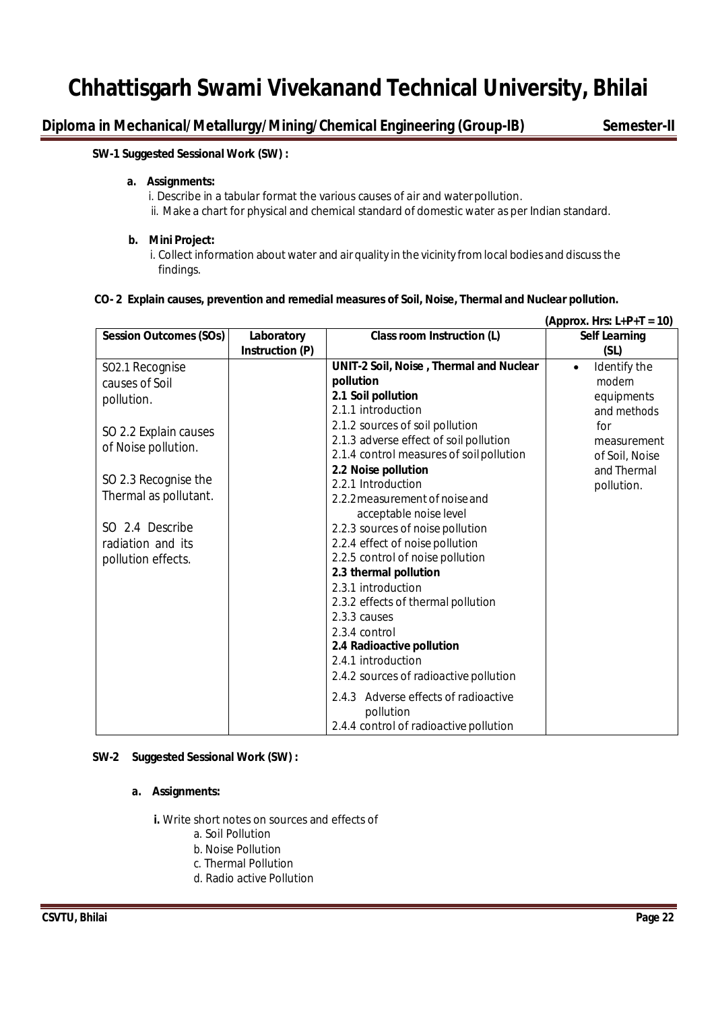# **Diploma in Mechanical/Metallurgy/Mining/Chemical Engineering (Group-IB)** Semester-II

#### **SW-1 Suggested Sessional Work (SW) :**

#### **a. Assignments:**

i. Describe in a tabular format the various causes of air and waterpollution. ii. Make a chart for physical and chemical standard of domestic water as per Indian standard.

#### **b. Mini Project:**

i. Collect information about water and air quality in the vicinity from local bodies and discuss the findings.

#### **CO- 2 Explain causes, prevention and remedial measures of Soil, Noise, Thermal and Nuclear pollution.**

|                               |                 |                                          | (Approx. Hrs: $L+P+T = 10$ ) |
|-------------------------------|-----------------|------------------------------------------|------------------------------|
| <b>Session Outcomes (SOs)</b> | Laboratory      | Class room Instruction (L)               | <b>Self Learning</b>         |
|                               | Instruction (P) |                                          | (SL)                         |
| SO2.1 Recognise               |                 | UNIT-2 Soil, Noise, Thermal and Nuclear  | Identify the<br>$\bullet$    |
| causes of Soil                |                 | pollution                                | modern                       |
| pollution.                    |                 | 2.1 Soil pollution                       | equipments                   |
|                               |                 | 2.1.1 introduction                       | and methods                  |
| SO 2.2 Explain causes         |                 | 2.1.2 sources of soil pollution          | for                          |
|                               |                 | 2.1.3 adverse effect of soil pollution   | measurement                  |
| of Noise pollution.           |                 | 2.1.4 control measures of soil pollution | of Soil, Noise               |
|                               |                 | 2.2 Noise pollution                      | and Thermal                  |
| SO 2.3 Recognise the          |                 | 2.2.1 Introduction                       | pollution.                   |
| Thermal as pollutant.         |                 | 2.2.2 measurement of noise and           |                              |
|                               |                 | acceptable noise level                   |                              |
| SO 2.4 Describe               |                 | 2.2.3 sources of noise pollution         |                              |
| radiation and its             |                 | 2.2.4 effect of noise pollution          |                              |
| pollution effects.            |                 | 2.2.5 control of noise pollution         |                              |
|                               |                 | 2.3 thermal pollution                    |                              |
|                               |                 | 2.3.1 introduction                       |                              |
|                               |                 | 2.3.2 effects of thermal pollution       |                              |
|                               |                 | 2.3.3 causes                             |                              |
|                               |                 | 2.3.4 control                            |                              |
|                               |                 | 2.4 Radioactive pollution                |                              |
|                               |                 | 2.4.1 introduction                       |                              |
|                               |                 | 2.4.2 sources of radioactive pollution   |                              |
|                               |                 | 2.4.3 Adverse effects of radioactive     |                              |
|                               |                 | pollution                                |                              |
|                               |                 | 2.4.4 control of radioactive pollution   |                              |

### **SW-2 Suggested Sessional Work (SW) :**

#### **a. Assignments:**

**i.** Write short notes on sources and effects of

- a. Soil Pollution
- b. Noise Pollution
- c. Thermal Pollution
- d. Radio active Pollution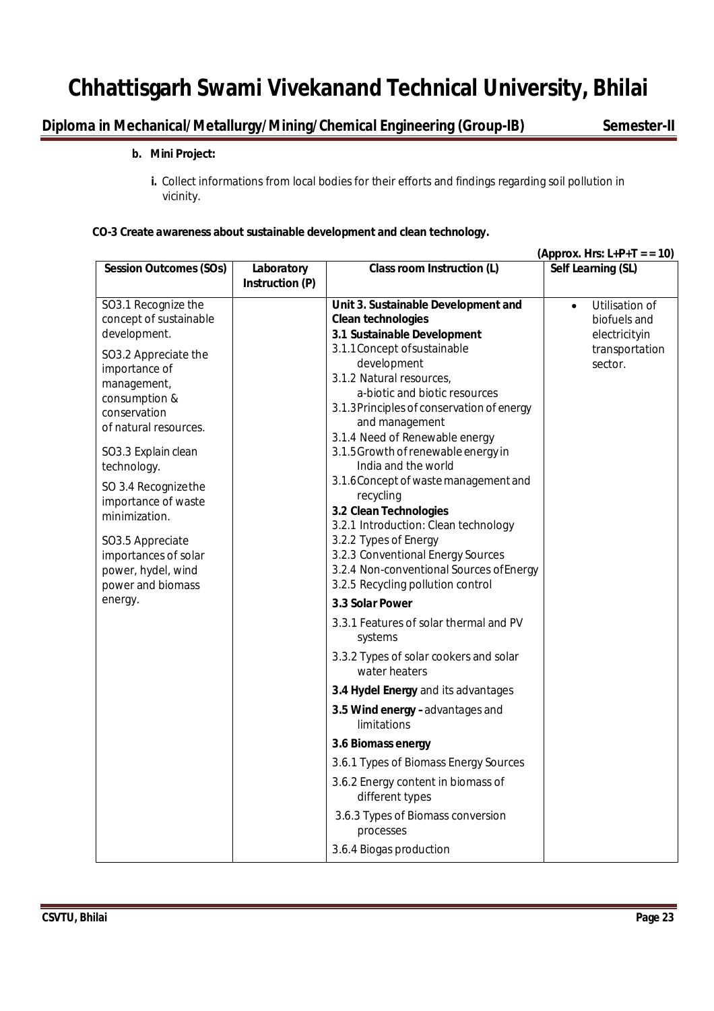# **Diploma in Mechanical/Metallurgy/Mining/Chemical Engineering (Group-IB) Semester-II**

## **b. Mini Project:**

**i.** Collect informations from local bodies for their efforts and findings regarding soil pollution in vicinity.

### **CO-3 Create awareness about sustainable development and clean technology.**

|                                                                                                                                                                                                                                                                                                                                   |                               |                                                                                                                                                                                                                                                                                                                                                                                                                                                                                                                                                                   | (Approx. Hrs: $L+P+T = 10$ )                                                              |
|-----------------------------------------------------------------------------------------------------------------------------------------------------------------------------------------------------------------------------------------------------------------------------------------------------------------------------------|-------------------------------|-------------------------------------------------------------------------------------------------------------------------------------------------------------------------------------------------------------------------------------------------------------------------------------------------------------------------------------------------------------------------------------------------------------------------------------------------------------------------------------------------------------------------------------------------------------------|-------------------------------------------------------------------------------------------|
| <b>Session Outcomes (SOs)</b>                                                                                                                                                                                                                                                                                                     | Laboratory<br>Instruction (P) | Class room Instruction (L)                                                                                                                                                                                                                                                                                                                                                                                                                                                                                                                                        | Self Learning (SL)                                                                        |
| SO3.1 Recognize the<br>concept of sustainable<br>development.<br>SO3.2 Appreciate the<br>importance of<br>management,<br>consumption &<br>conservation<br>of natural resources.<br>SO3.3 Explain clean<br>technology.<br>SO 3.4 Recognize the<br>importance of waste<br>minimization.<br>SO3.5 Appreciate<br>importances of solar |                               | Unit 3. Sustainable Development and<br><b>Clean technologies</b><br>3.1 Sustainable Development<br>3.1.1 Concept of sustainable<br>development<br>3.1.2 Natural resources,<br>a-biotic and biotic resources<br>3.1.3 Principles of conservation of energy<br>and management<br>3.1.4 Need of Renewable energy<br>3.1.5 Growth of renewable energy in<br>India and the world<br>3.1.6 Concept of waste management and<br>recycling<br>3.2 Clean Technologies<br>3.2.1 Introduction: Clean technology<br>3.2.2 Types of Energy<br>3.2.3 Conventional Energy Sources | Utilisation of<br>$\bullet$<br>biofuels and<br>electricityin<br>transportation<br>sector. |
| power, hydel, wind<br>power and biomass<br>energy.                                                                                                                                                                                                                                                                                |                               | 3.2.4 Non-conventional Sources of Energy<br>3.2.5 Recycling pollution control<br>3.3 Solar Power<br>3.3.1 Features of solar thermal and PV<br>systems<br>3.3.2 Types of solar cookers and solar<br>water heaters                                                                                                                                                                                                                                                                                                                                                  |                                                                                           |
|                                                                                                                                                                                                                                                                                                                                   |                               | 3.4 Hydel Energy and its advantages<br>3.5 Wind energy -advantages and                                                                                                                                                                                                                                                                                                                                                                                                                                                                                            |                                                                                           |
|                                                                                                                                                                                                                                                                                                                                   |                               | limitations<br>3.6 Biomass energy<br>3.6.1 Types of Biomass Energy Sources<br>3.6.2 Energy content in biomass of<br>different types<br>3.6.3 Types of Biomass conversion<br>processes<br>3.6.4 Biogas production                                                                                                                                                                                                                                                                                                                                                  |                                                                                           |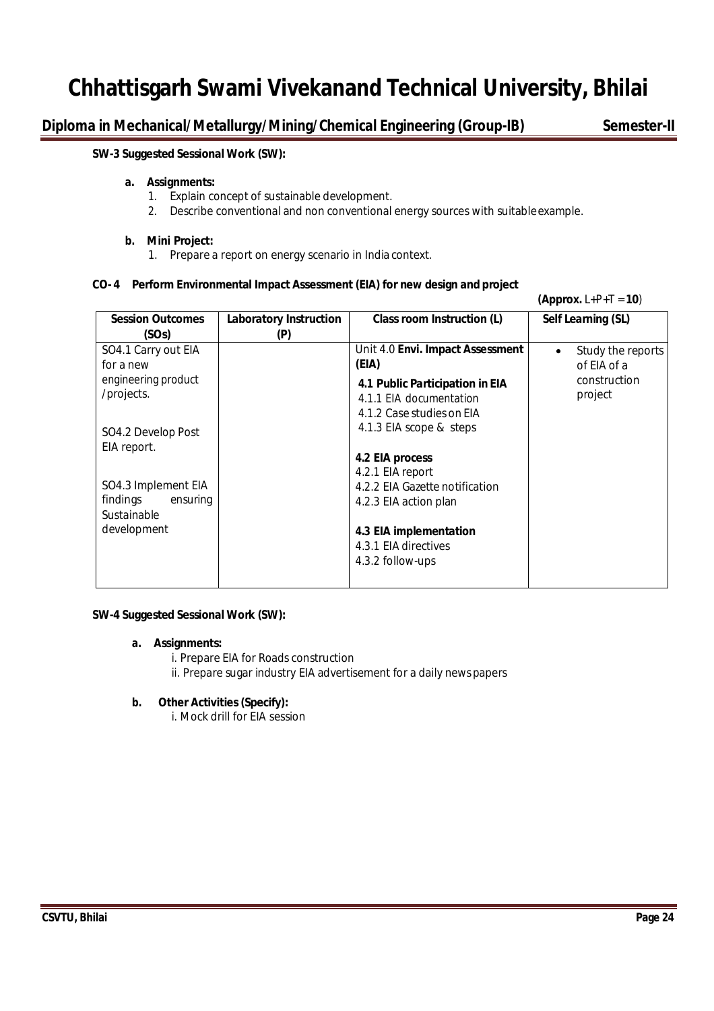**Diploma in Mechanical/Metallurgy/Mining/Chemical Engineering (Group-IB)** Semester-II

 $(4nnr_1 + P + T = 10)$ 

### **SW-3 Suggested Sessional Work (SW):**

#### **a. Assignments:**

- 1. Explain concept of sustainable development.
- 2. Describe conventional and non conventional energy sources with suitableexample.

#### **b. Mini Project:**

1. Prepare a report on energy scenario in India context.

### **CO- 4 Perform Environmental Impact Assessment (EIA) for new design and project**

|                                  |                                      |                                  | $\mathbf{v}$                   |
|----------------------------------|--------------------------------------|----------------------------------|--------------------------------|
| <b>Session Outcomes</b><br>(SOs) | <b>Laboratory Instruction</b><br>(P) | Class room Instruction (L)       | Self Learning (SL)             |
| SO4.1 Carry out EIA              |                                      | Unit 4.0 Envi. Impact Assessment | Study the reports<br>$\bullet$ |
| for a new                        |                                      | (EIA)                            | of EIA of a                    |
| engineering product              |                                      | 4.1 Public Participation in EIA  | construction                   |
| /projects.                       |                                      | 4.1.1 EIA documentation          | project                        |
|                                  |                                      | 4.1.2 Case studies on EIA        |                                |
|                                  |                                      | 4.1.3 EIA scope & steps          |                                |
| SO4.2 Develop Post               |                                      |                                  |                                |
| EIA report.                      |                                      | 4.2 EIA process                  |                                |
|                                  |                                      | 4.2.1 EIA report                 |                                |
| SO4.3 Implement EIA              |                                      | 4.2.2 EIA Gazette notification   |                                |
| findings<br>ensuring             |                                      | 4.2.3 EIA action plan            |                                |
| Sustainable                      |                                      |                                  |                                |
| development                      |                                      | 4.3 EIA implementation           |                                |
|                                  |                                      | 4.3.1 EIA directives             |                                |
|                                  |                                      | 4.3.2 follow-ups                 |                                |
|                                  |                                      |                                  |                                |
|                                  |                                      |                                  |                                |

#### **SW-4 Suggested Sessional Work (SW):**

#### **a. Assignments:**

- i. Prepare EIA for Roads construction
- ii. Prepare sugar industry EIA advertisement for a daily newspapers

### **b. Other Activities (Specify):**

i. Mock drill for EIA session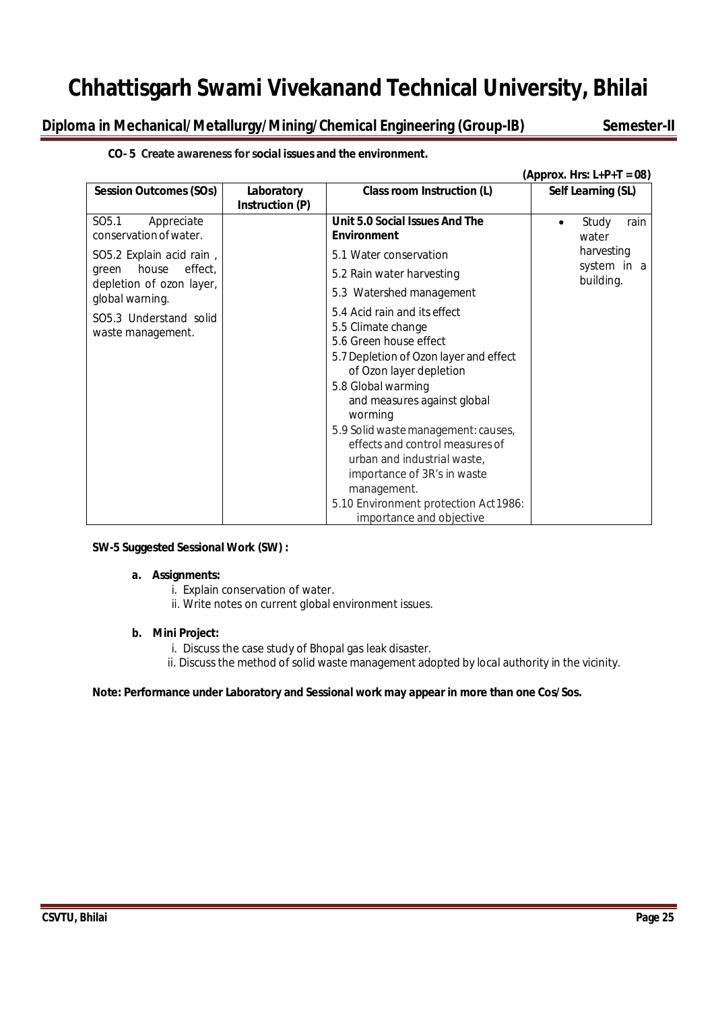**Diploma in Mechanical/Metallurgy/Mining/Chemical Engineering (Group-IB) Semester-II**

### **CO- 5 Create awareness for social issues and the environment.**

|                                                           |                               |                                                                                                                                                                                                                                                                                                                                                                                                                                               | (Approx. Hrs: $L+P+T = 08$ ) |
|-----------------------------------------------------------|-------------------------------|-----------------------------------------------------------------------------------------------------------------------------------------------------------------------------------------------------------------------------------------------------------------------------------------------------------------------------------------------------------------------------------------------------------------------------------------------|------------------------------|
| <b>Session Outcomes (SOs)</b>                             | Laboratory<br>Instruction (P) | Class room Instruction (L)                                                                                                                                                                                                                                                                                                                                                                                                                    | Self Learning (SL)           |
| SO <sub>5.1</sub><br>Appreciate<br>conservation of water. |                               | Unit 5.0 Social Issues And The<br><b>Environment</b>                                                                                                                                                                                                                                                                                                                                                                                          | Study<br>rain<br>water       |
| SO5.2 Explain acid rain,                                  |                               | 5.1 Water conservation                                                                                                                                                                                                                                                                                                                                                                                                                        | harvesting                   |
| effect,<br>house<br>green                                 |                               | 5.2 Rain water harvesting                                                                                                                                                                                                                                                                                                                                                                                                                     | system in a<br>building.     |
| depletion of ozon layer,<br>global warning.               |                               | 5.3 Watershed management                                                                                                                                                                                                                                                                                                                                                                                                                      |                              |
| SO5.3 Understand solid<br>waste management.               |                               | 5.4 Acid rain and its effect<br>5.5 Climate change<br>5.6 Green house effect<br>5.7 Depletion of Ozon layer and effect<br>of Ozon layer depletion<br>5.8 Global warming<br>and measures against global<br>worming<br>5.9 Solid waste management: causes,<br>effects and control measures of<br>urban and industrial waste,<br>importance of 3R's in waste<br>management.<br>5.10 Environment protection Act 1986:<br>importance and objective |                              |

### **SW-5 Suggested Sessional Work (SW) :**

### **a. Assignments:**

- i. Explain conservation of water.
- ii. Write notes on current global environment issues.

### **b. Mini Project:**

- i. Discuss the case study of Bhopal gas leak disaster.
- ii. Discussthe method of solid waste management adopted by local authority in the vicinity.

### **Note: Performance under Laboratory and Sessional work may appear in more than one Cos/Sos.**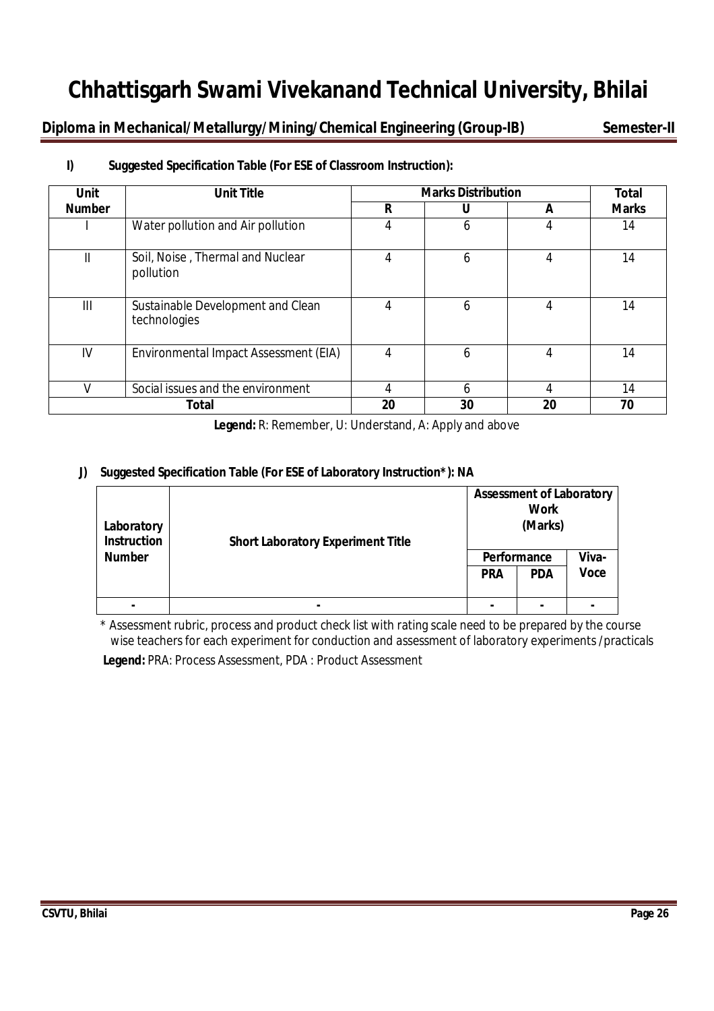**Diploma in Mechanical/Metallurgy/Mining/Chemical Engineering (Group-IB) Semester-II**

| <b>Unit</b>   | <b>Unit Title</b>                                 | <b>Marks Distribution</b> | <b>Total</b> |    |              |
|---------------|---------------------------------------------------|---------------------------|--------------|----|--------------|
| <b>Number</b> |                                                   | R                         |              | A  | <b>Marks</b> |
|               | Water pollution and Air pollution                 | 4                         | 6            | 4  | 14           |
| Ш             | Soil, Noise, Thermal and Nuclear<br>pollution     | 4                         | 6            | 4  | 14           |
| Ш             | Sustainable Development and Clean<br>technologies | 4                         | 6            | 4  | 14           |
| IV            | Environmental Impact Assessment (EIA)             | 4                         | 6            | 4  | 14           |
|               | Social issues and the environment                 | 4                         | 6            | 4  | 14           |
|               | <b>Total</b>                                      | 20                        | 30           | 20 | 70           |

# **I) Suggested Specification Table (For ESE of Classroom Instruction):**

**Legend:** R: Remember, U: Understand, A: Apply and above

# **J) Suggested Specification Table (For ESE of Laboratory Instruction\*): NA**

| Laboratory<br><b>Instruction</b><br><b>Number</b> | <b>Short Laboratory Experiment Title</b> | <b>Assessment of Laboratory</b><br><b>Work</b><br>(Marks) |             |             |  |  |
|---------------------------------------------------|------------------------------------------|-----------------------------------------------------------|-------------|-------------|--|--|
|                                                   |                                          |                                                           | Performance | Viva-       |  |  |
|                                                   |                                          | <b>PRA</b>                                                | <b>PDA</b>  | <b>Voce</b> |  |  |
|                                                   |                                          |                                                           |             |             |  |  |
|                                                   |                                          |                                                           |             |             |  |  |

\* Assessment rubric, process and product check list with rating scale need to be prepared by the course wise teachers for each experiment for conduction and assessment of laboratory experiments /practicals

**Legend:** PRA: Process Assessment, PDA : Product Assessment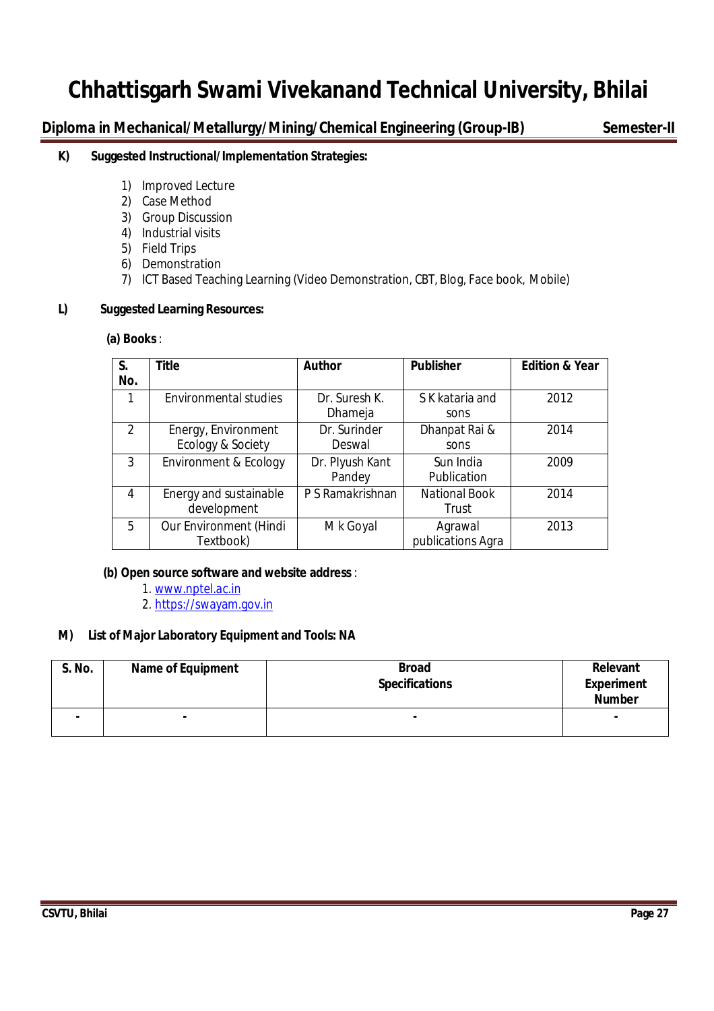**Diploma in Mechanical/Metallurgy/Mining/Chemical Engineering (Group-IB) Semester-II**

# **K) Suggested Instructional/Implementation Strategies:**

- 1) Improved Lecture
- 2) Case Method
- 3) Group Discussion
- 4) Industrial visits
- 5) Field Trips
- 6) Demonstration
- 7) ICT Based Teaching Learning (Video Demonstration, CBT, Blog, Face book, Mobile)

### **L) Suggested Learning Resources:**

### **(a) Books** :

| S.<br>No.     | <b>Title</b>                             | <b>Author</b>             | <b>Publisher</b>              | <b>Edition &amp; Year</b> |
|---------------|------------------------------------------|---------------------------|-------------------------------|---------------------------|
|               | <b>Environmental studies</b>             | Dr. Suresh K.<br>Dhameja  | S K kataria and<br>sons       | 2012                      |
| $\mathcal{P}$ | Energy, Environment<br>Ecology & Society | Dr. Surinder<br>Deswal    | Dhanpat Rai &<br>sons         | 2014                      |
| 3             | Environment & Ecology                    | Dr. Plyush Kant<br>Pandey | Sun India<br>Publication      | 2009                      |
| 4             | Energy and sustainable<br>development    | P S Ramakrishnan          | <b>National Book</b><br>Trust | 2014                      |
| 5             | Our Environment (Hindi<br>Textbook)      | M k Goyal                 | Agrawal<br>publications Agra  | 2013                      |

### **(b) Open source software and website address** :

- 1. www.nptel.ac.in
- 2. https://swayam.gov.in

### **M) List of Major Laboratory Equipment and Tools: NA**

| <b>S. No.</b> | <b>Name of Equipment</b> | <b>Broad</b><br><b>Specifications</b> | Relevant<br><b>Experiment</b><br><b>Number</b> |
|---------------|--------------------------|---------------------------------------|------------------------------------------------|
| ۰             |                          | ۰                                     | ۰                                              |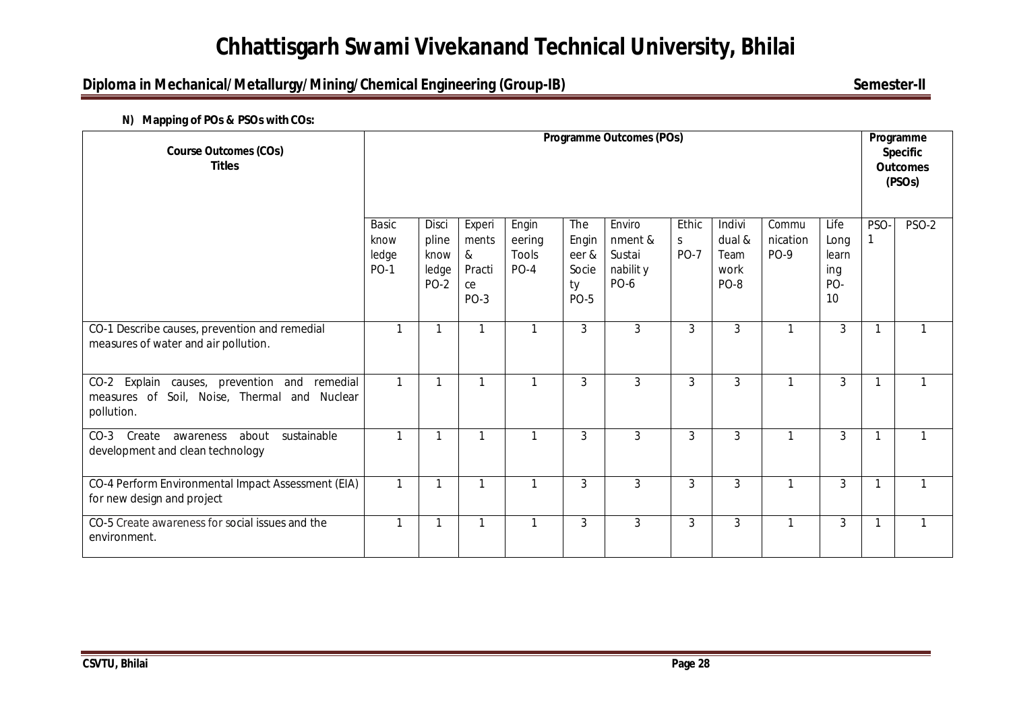# **Diploma in Mechanical/Metallurgy/Mining/Chemical Engineering (Group-IB)** Semester-II

### **N) Mapping of POs & PSOs with COs:**

| <b>Course Outcomes (COs)</b><br><b>Titles</b>                                                                         | <b>Programme Outcomes (POs)</b>              |                                                |                                                |                                    |                                                     |                                                         |                           | Programme<br><b>Specific</b><br><b>Outcomes</b><br>(PSO <sub>s</sub> ) |                           |                                           |      |              |
|-----------------------------------------------------------------------------------------------------------------------|----------------------------------------------|------------------------------------------------|------------------------------------------------|------------------------------------|-----------------------------------------------------|---------------------------------------------------------|---------------------------|------------------------------------------------------------------------|---------------------------|-------------------------------------------|------|--------------|
|                                                                                                                       | <b>Basic</b><br>know<br>ledge<br><b>PO-1</b> | Disci<br>pline<br>know<br>ledge<br><b>PO-2</b> | Experi<br>ments<br>&<br>Practi<br>ce<br>$PO-3$ | Engin<br>eering<br>Tools<br>$PO-4$ | The<br>Engin<br>eer &<br>Socie<br>ty<br><b>PO-5</b> | Enviro<br>nment &<br>Sustai<br>nabilit y<br><b>PO-6</b> | Ethic<br>S<br><b>PO-7</b> | Indivi<br>dual &<br>Team<br>work<br>PO-8                               | Commu<br>nication<br>PO-9 | Life<br>Long<br>learn<br>ing<br>PO-<br>10 | PSO- | PSO-2        |
| CO-1 Describe causes, prevention and remedial<br>measures of water and air pollution.                                 | $\mathbf{1}$                                 | -1                                             | $\mathbf{1}$                                   | 1                                  | 3                                                   | 3                                                       | 3                         | 3                                                                      | 1                         | 3                                         | 1    | 1            |
| Explain causes, prevention and<br>remedial<br>$CO-2$<br>measures of Soil, Noise, Thermal and<br>Nuclear<br>pollution. | $\mathbf{1}$                                 |                                                | $\mathbf{1}$                                   | 1                                  | 3                                                   | 3                                                       | 3                         | 3                                                                      |                           | 3                                         |      | $\mathbf{1}$ |
| Create<br>about sustainable<br>$CO-3$<br>awareness<br>development and clean technology                                | $\mathbf{1}$                                 | -1                                             | $\mathbf{1}$                                   | $\mathbf{1}$                       | 3                                                   | $\mathfrak{Z}$                                          | 3                         | 3                                                                      | 1                         | 3                                         | 1    | $\mathbf{1}$ |
| CO-4 Perform Environmental Impact Assessment (EIA)<br>for new design and project                                      | $\mathbf{1}$                                 |                                                | $\mathbf{1}$                                   | 1                                  | 3                                                   | 3                                                       | 3                         | 3                                                                      | 1                         | 3                                         | 1    | 1            |
| CO-5 Create awareness for social issues and the<br>environment.                                                       | 1                                            |                                                | 1                                              | -1                                 | 3                                                   | $\mathbf{3}$                                            | 3                         | 3                                                                      |                           | 3                                         | 1    | $\mathbf{1}$ |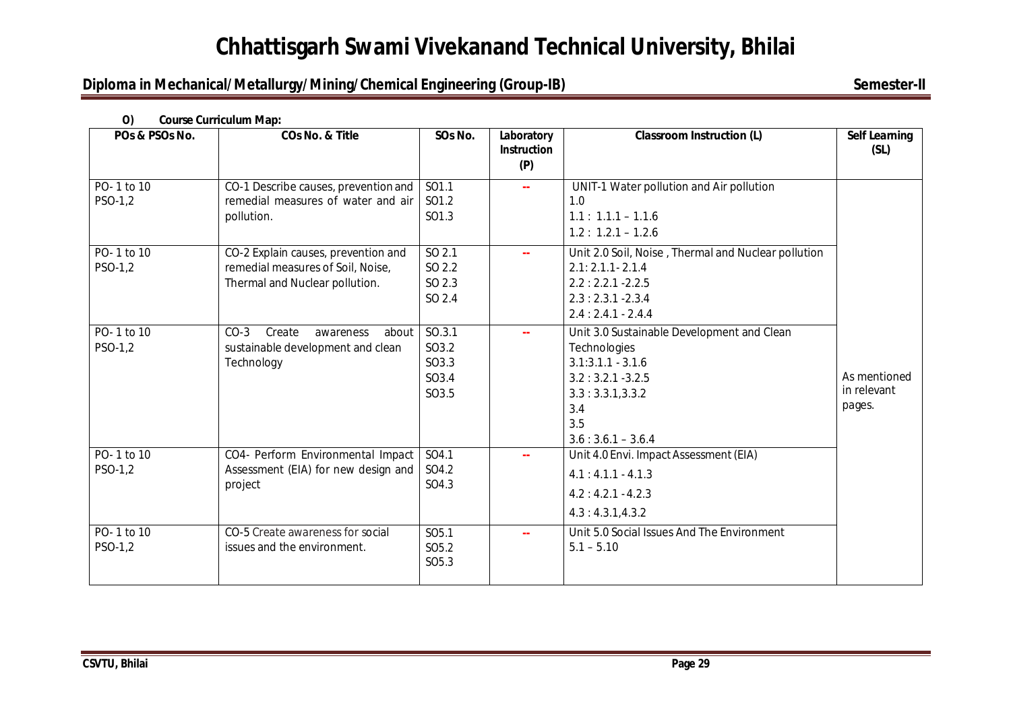# **Diploma in Mechanical/Metallurgy/Mining/Chemical Engineering (Group-IB)** Semester-II

| POs & PSOs No.        | <b>COs No. &amp; Title</b>                                                                                 | SOs No.                                                     | Laboratory<br><b>Instruction</b><br>(P) | <b>Classroom Instruction (L)</b>                                                                                                                                 | <b>Self Learning</b><br>(SL)          |
|-----------------------|------------------------------------------------------------------------------------------------------------|-------------------------------------------------------------|-----------------------------------------|------------------------------------------------------------------------------------------------------------------------------------------------------------------|---------------------------------------|
| PO-1 to 10<br>PSO-1,2 | CO-1 Describe causes, prevention and<br>remedial measures of water and air<br>pollution.                   | SO1.1<br>SO1.2<br>SO <sub>1.3</sub>                         | $\mathbf{u}$                            | UNIT-1 Water pollution and Air pollution<br>1.0<br>$1.1: 1.1.1 - 1.1.6$<br>$1.2: 1.2.1 - 1.2.6$                                                                  |                                       |
| PO-1 to 10<br>PSO-1,2 | CO-2 Explain causes, prevention and<br>remedial measures of Soil, Noise,<br>Thermal and Nuclear pollution. | SO 2.1<br>SO 2.2<br>SO 2.3<br>SO 2.4                        | $\mathbf{u}$                            | Unit 2.0 Soil, Noise, Thermal and Nuclear pollution<br>$2.1: 2.1.1 - 2.1.4$<br>$2.2:2.2.1 - 2.2.5$<br>$2.3:2.3.1 - 2.3.4$<br>$2.4:2.4.1-2.4.4$                   |                                       |
| PO-1 to 10<br>PSO-1,2 | Create<br>$CO-3$<br>awareness<br>about<br>sustainable development and clean<br>Technology                  | SO.3.1<br>SO3.2<br>SO3.3<br>SO3.4<br>SO3.5                  | $\mathbf{u}$                            | Unit 3.0 Sustainable Development and Clean<br>Technologies<br>$3.1:3.1.1 - 3.1.6$<br>$3.2:3.2.1 - 3.2.5$<br>3.3:3.3.1,3.3.2<br>3.4<br>3.5<br>$3.6:3.6.1 - 3.6.4$ | As mentioned<br>in relevant<br>pages. |
| PO-1 to 10<br>PSO-1,2 | CO4- Perform Environmental Impact<br>Assessment (EIA) for new design and<br>project                        | SO4.1<br>SO4.2<br>SO4.3                                     | $\sim$                                  | Unit 4.0 Envi. Impact Assessment (EIA)<br>$4.1:4.1.1 - 4.1.3$<br>$4.2:4.2.1 - 4.2.3$<br>4.3:4.3.1,4.3.2                                                          |                                       |
| PO-1 to 10<br>PSO-1,2 | CO-5 Create awareness for social<br>issues and the environment.                                            | SO <sub>5.1</sub><br>SO <sub>5.2</sub><br>SO <sub>5.3</sub> | $\sim$ $\sim$                           | Unit 5.0 Social Issues And The Environment<br>$5.1 - 5.10$                                                                                                       |                                       |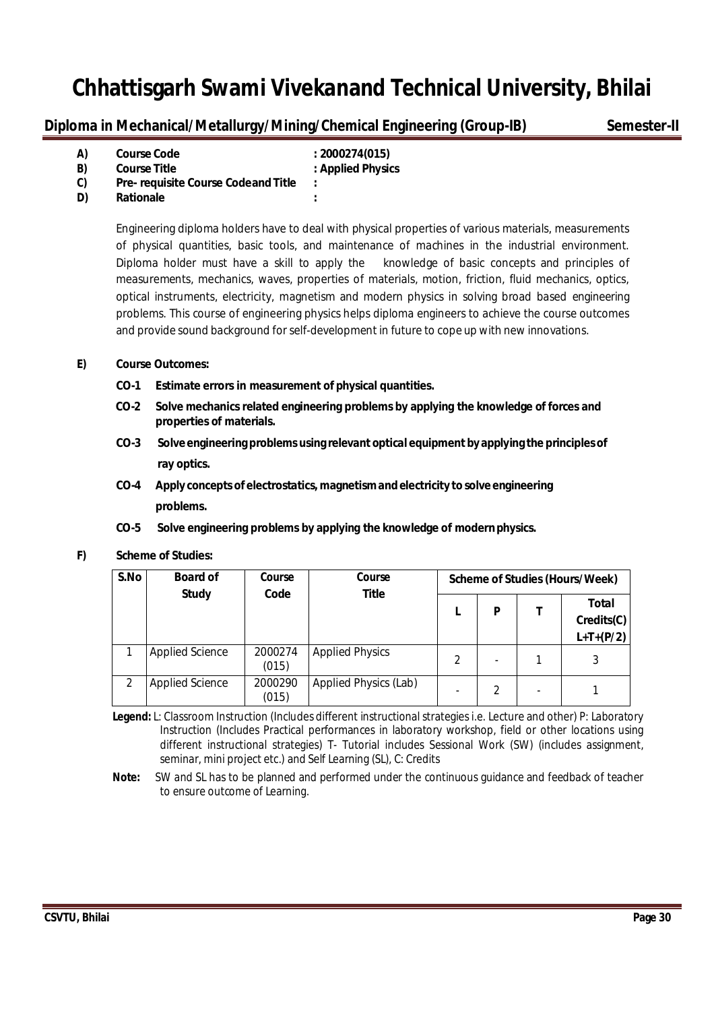**Diploma in Mechanical/Metallurgy/Mining/Chemical Engineering (Group-IB)** Semester-II

| A) | <b>Course Code</b>                         | : 2000274(015)    |
|----|--------------------------------------------|-------------------|
| B) | <b>Course Title</b>                        | : Applied Physics |
| C) | <b>Pre- requisite Course Codeand Title</b> | ÷                 |
| D) | <b>Rationale</b>                           | ٠                 |

Engineering diploma holders have to deal with physical properties of various materials, measurements of physical quantities, basic tools, and maintenance of machines in the industrial environment. Diploma holder must have a skill to apply the knowledge of basic concepts and principles of measurements, mechanics, waves, properties of materials, motion, friction, fluid mechanics, optics, optical instruments, electricity, magnetism and modern physics in solving broad based engineering problems. This course of engineering physics helps diploma engineers to achieve the course outcomes and provide sound background for self-development in future to cope up with new innovations.

### **E) Course Outcomes:**

- **CO-1 Estimate errors in measurement of physical quantities.**
- **CO-2 Solve mechanics related engineering problems by applying the knowledge of forces and properties of materials.**
- **CO-3 Solve engineering problems using relevant optical equipment byapplying the principlesof ray optics.**
- **CO-4 Apply concepts of electrostatics, magnetismandelectricity to solve engineering problems.**
- **CO-5 Solve engineering problems by applying the knowledge of modernphysics.**

#### **F) Scheme of Studies:**

| S.No | <b>Board of</b><br><b>Study</b> | Course<br>Code   | Course<br><b>Title</b> |                |                          |                          | Scheme of Studies (Hours/Week)     |
|------|---------------------------------|------------------|------------------------|----------------|--------------------------|--------------------------|------------------------------------|
|      |                                 |                  |                        |                | P                        |                          | Total<br>Credits(C)<br>$L+T+(P/2)$ |
|      | <b>Applied Science</b>          | 2000274<br>(015) | <b>Applied Physics</b> | $\mathfrak{D}$ | $\overline{\phantom{0}}$ |                          |                                    |
| 2    | <b>Applied Science</b>          | 2000290<br>(015) | Applied Physics (Lab)  |                | 2                        | $\overline{\phantom{0}}$ |                                    |

 **Legend:** L: Classroom Instruction (Includes different instructional strategies i.e. Lecture and other) P: Laboratory Instruction (Includes Practical performances in laboratory workshop, field or other locations using different instructional strategies) T- Tutorial includes Sessional Work (SW) (includes assignment, seminar, mini project etc.) and Self Learning (SL), C: Credits

**Note:** SW and SL has to be planned and performed under the continuous guidance and feedback of teacher to ensure outcome of Learning.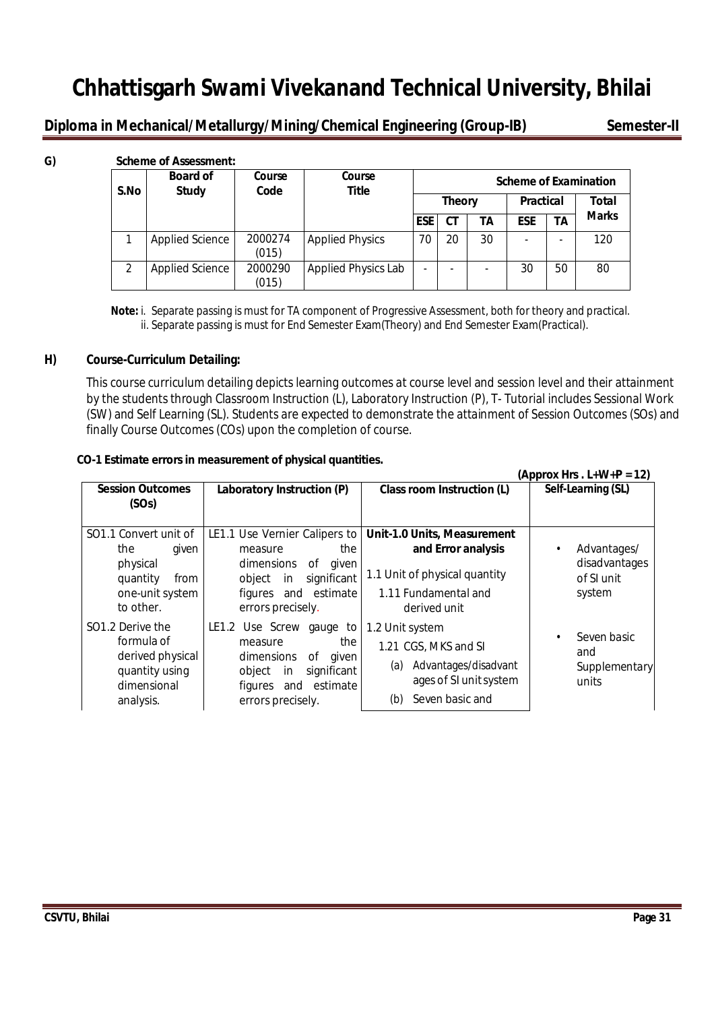**Diploma in Mechanical/Metallurgy/Mining/Chemical Engineering (Group-IB)** Semester-II

| G) |               | <b>Scheme of Assessment:</b>    |                  |                            |                          |               |    |                          |    |                              |
|----|---------------|---------------------------------|------------------|----------------------------|--------------------------|---------------|----|--------------------------|----|------------------------------|
|    | S.No          | <b>Board of</b><br><b>Study</b> | Course<br>Code   | Course<br><b>Title</b>     |                          |               |    |                          |    | <b>Scheme of Examination</b> |
|    |               |                                 |                  |                            |                          | <b>Theory</b> |    | <b>Practical</b>         |    | Total                        |
|    |               |                                 |                  |                            | <b>ESE</b>               | <b>CT</b>     | ΤА | <b>ESE</b>               | TA | <b>Marks</b>                 |
|    |               | <b>Applied Science</b>          | 2000274<br>(015) | <b>Applied Physics</b>     | 70                       | 20            | 30 | $\overline{\phantom{0}}$ | ۰  | 120                          |
|    | $\mathcal{P}$ | <b>Applied Science</b>          | 2000290<br>(015) | <b>Applied Physics Lab</b> | $\overline{\phantom{0}}$ |               | -  | 30                       | 50 | 80                           |

 **Note:** i. Separate passing is must for TA component of Progressive Assessment, both for theory and practical. ii. Separate passing is must for End Semester Exam(Theory) and End Semester Exam(Practical).

### **H) Course-Curriculum Detailing:**

This course curriculum detailing depicts learning outcomes at course level and session level and their attainment by the students through Classroom Instruction (L), Laboratory Instruction (P), T- Tutorial includes Sessional Work (SW) and Self Learning (SL). Students are expected to demonstrate the attainment of Session Outcomes (SOs) and finally Course Outcomes (COs) upon the completion of course.

### **CO-1 Estimate errors in measurement of physical quantities.**

|                                                                                                       |                                                                                                                                                                        |                                                                                                                            | (Approx Hrs. $L+W+P = 12$ )                          |
|-------------------------------------------------------------------------------------------------------|------------------------------------------------------------------------------------------------------------------------------------------------------------------------|----------------------------------------------------------------------------------------------------------------------------|------------------------------------------------------|
| <b>Session Outcomes</b><br>(SOs)                                                                      | Laboratory Instruction (P)                                                                                                                                             | Class room Instruction (L)                                                                                                 | Self-Learning (SL)                                   |
| SO1.1 Convert unit of<br>the<br>given<br>physical<br>quantity<br>from<br>one-unit system<br>to other. | LE1.1 Use Vernier Calipers to<br>the<br>measure<br>dimensions<br>οf<br>given<br>significant<br>object<br>in<br>figures and estimate<br>errors precisely.               | Unit-1.0 Units, Measurement<br>and Error analysis<br>1.1 Unit of physical quantity<br>1.11 Fundamental and<br>derived unit | Advantages/<br>disadvantages<br>of SI unit<br>system |
| SO1.2 Derive the<br>formula of<br>derived physical<br>quantity using<br>dimensional<br>analysis.      | LE1.2 Use Screw<br>gauge<br>to<br>the<br>measure<br>dimensions<br>οf<br>qiven<br>significant<br>object<br><i>in</i><br>estimate<br>and<br>figures<br>errors precisely. | 1.2 Unit system<br>1.21 CGS, MKS and SI<br>Advantages/disadvant<br>(a)<br>ages of SI unit system<br>Seven basic and<br>(b) | Seven basic<br>and<br><b>Supplementary</b><br>units  |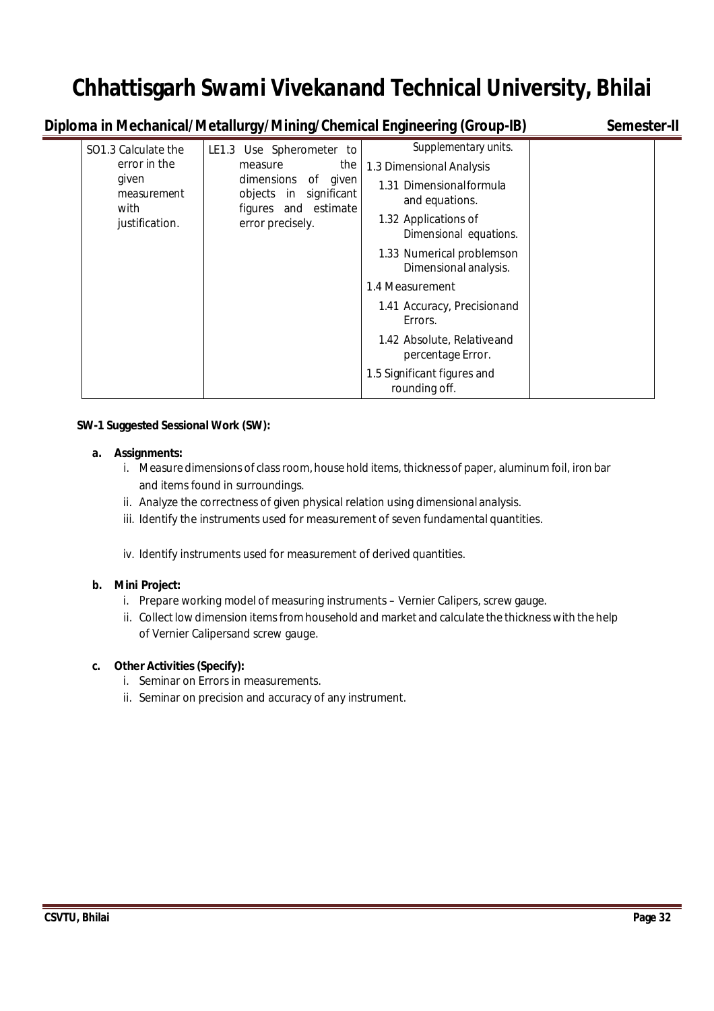**Diploma in Mechanical/Metallurgy/Mining/Chemical Engineering (Group-IB)** Semester-II

| SO1.3 Calculate the          | LE1.3 Use Spherometer to                                                 | Supplementary units.                               |  |
|------------------------------|--------------------------------------------------------------------------|----------------------------------------------------|--|
| error in the                 | the<br>measure                                                           | 1.3 Dimensional Analysis                           |  |
| given<br>measurement<br>with | dimensions of<br>given<br>objects in significant<br>figures and estimate | 1.31 Dimensionalformula<br>and equations.          |  |
| justification.               | error precisely.                                                         | 1.32 Applications of<br>Dimensional equations.     |  |
|                              |                                                                          | 1.33 Numerical problemson<br>Dimensional analysis. |  |
|                              |                                                                          | 1.4 Measurement                                    |  |
|                              |                                                                          | 1.41 Accuracy, Precisionand<br>Errors.             |  |
|                              |                                                                          | 1.42 Absolute, Relativeand<br>percentage Error.    |  |
|                              |                                                                          | 1.5 Significant figures and<br>rounding off.       |  |

### **SW-1 Suggested Sessional Work (SW):**

### **a. Assignments:**

- i. Measure dimensions of class room, house hold items, thickness of paper, aluminum foil, iron bar and items found in surroundings.
- ii. Analyze the correctness of given physical relation using dimensional analysis.
- iii. Identify the instruments used for measurement of seven fundamental quantities.
- iv. Identify instruments used for measurement of derived quantities.

## **b. Mini Project:**

- i. Prepare working model of measuring instruments Vernier Calipers, screw gauge.
- ii. Collect low dimension items from household and market and calculate the thickness with the help of Vernier Calipersand screw gauge.

## **c. Other Activities (Specify):**

- i. Seminar on Errors in measurements.
- ii. Seminar on precision and accuracy of any instrument.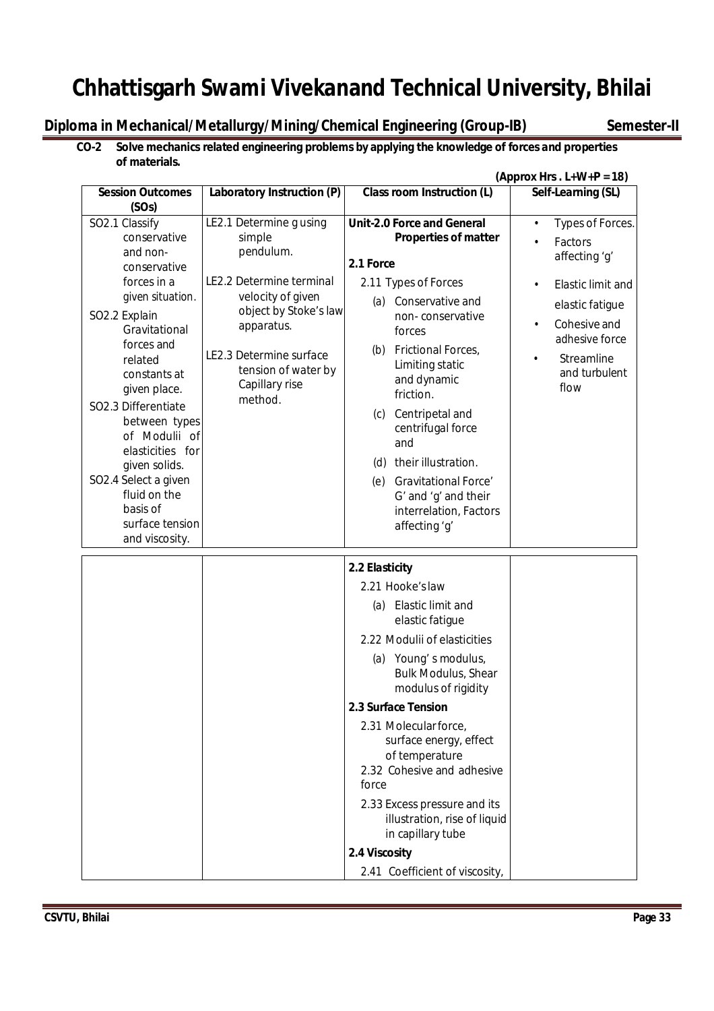**Diploma in Mechanical/Metallurgy/Mining/Chemical Engineering (Group-IB)** Semester-II

### **CO-2 Solve mechanics related engineering problems by applying the knowledge of forces and properties of materials.**

|                                                                                                                                                                                                                                                                                                                                                               | (Approx Hrs. $L+W+P = 18$ )                                                                                                                                                                                           |                                                                                                                                                                                                                                                                                                                                                                                                                                                                        |                                                                                                                                                                                   |
|---------------------------------------------------------------------------------------------------------------------------------------------------------------------------------------------------------------------------------------------------------------------------------------------------------------------------------------------------------------|-----------------------------------------------------------------------------------------------------------------------------------------------------------------------------------------------------------------------|------------------------------------------------------------------------------------------------------------------------------------------------------------------------------------------------------------------------------------------------------------------------------------------------------------------------------------------------------------------------------------------------------------------------------------------------------------------------|-----------------------------------------------------------------------------------------------------------------------------------------------------------------------------------|
| <b>Session Outcomes</b><br>(SOs)                                                                                                                                                                                                                                                                                                                              | Laboratory Instruction (P)                                                                                                                                                                                            | <b>Class room Instruction (L)</b>                                                                                                                                                                                                                                                                                                                                                                                                                                      | Self-Learning (SL)                                                                                                                                                                |
| SO2.1 Classify<br>conservative<br>and non-<br>conservative<br>forces in a<br>given situation.<br>SO2.2 Explain<br>Gravitational<br>forces and<br>related<br>constants at<br>given place.<br>SO2.3 Differentiate<br>between types<br>of Modulii of<br>elasticities for<br>given solids.<br>SO2.4 Select a given<br>fluid on the<br>basis of<br>surface tension | LE2.1 Determine g using<br>simple<br>pendulum.<br>LE2.2 Determine terminal<br>velocity of given<br>object by Stoke's law<br>apparatus.<br>LE2.3 Determine surface<br>tension of water by<br>Capillary rise<br>method. | <b>Unit-2.0 Force and General</b><br>Properties of matter<br>2.1 Force<br>2.11 Types of Forces<br>(a) Conservative and<br>non-conservative<br>forces<br>Frictional Forces,<br>(b)<br>Limiting static<br>and dynamic<br>friction.<br>(c) Centripetal and<br>centrifugal force<br>and<br>their illustration.<br>(d)<br><b>Gravitational Force'</b><br>(e)<br>G' and 'g' and their<br>interrelation, Factors<br>affecting 'g'                                             | Types of Forces.<br>$\bullet$<br>Factors<br>affecting 'g'<br><b>Elastic limit and</b><br>elastic fatigue<br>Cohesive and<br>adhesive force<br>Streamline<br>and turbulent<br>flow |
| and viscosity.                                                                                                                                                                                                                                                                                                                                                |                                                                                                                                                                                                                       | 2.2 Elasticity<br>2.21 Hooke's law<br>(a) Elastic limit and<br>elastic fatigue<br>2.22 Modulii of elasticities<br>(a) Young's modulus,<br><b>Bulk Modulus, Shear</b><br>modulus of rigidity<br>2.3 Surface Tension<br>2.31 Molecular force,<br>surface energy, effect<br>of temperature<br>2.32 Cohesive and adhesive<br>force<br>2.33 Excess pressure and its<br>illustration, rise of liquid<br>in capillary tube<br>2.4 Viscosity<br>2.41 Coefficient of viscosity, |                                                                                                                                                                                   |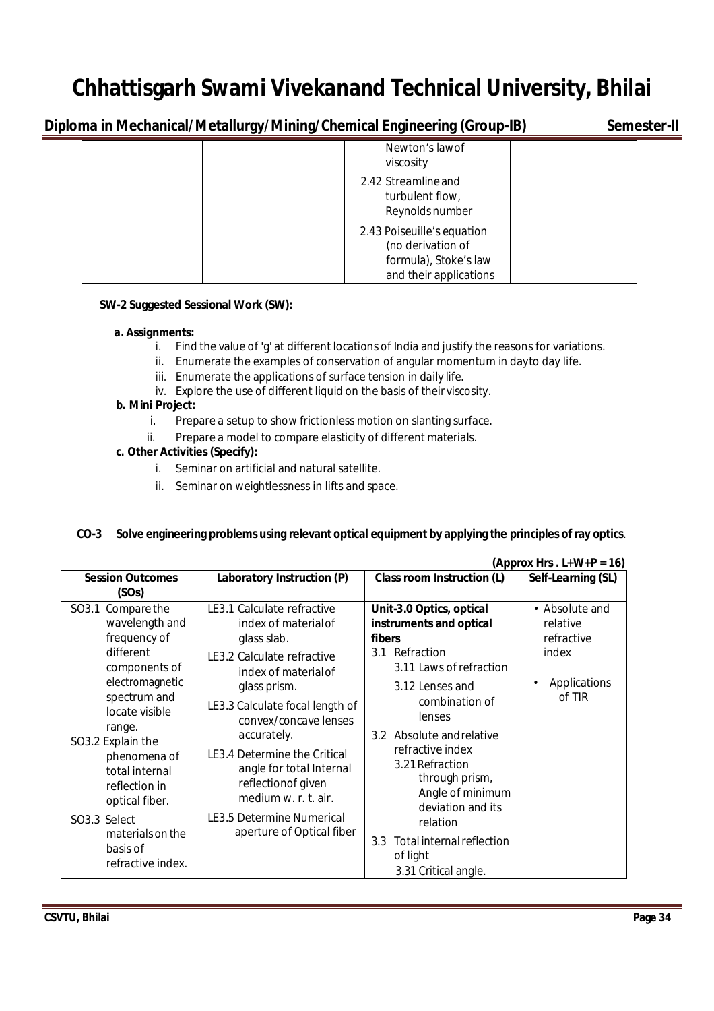**Diploma in Mechanical/Metallurgy/Mining/Chemical Engineering (Group-IB)** Semester-II

|  | -- |                                                                                                    |  |
|--|----|----------------------------------------------------------------------------------------------------|--|
|  |    | Newton's lawof<br>viscosity                                                                        |  |
|  |    | 2.42 Streamline and<br>turbulent flow,<br>Reynolds number                                          |  |
|  |    | 2.43 Poiseuille's equation<br>(no derivation of<br>formula), Stoke's law<br>and their applications |  |

### **SW-2 Suggested Sessional Work (SW):**

### **a. Assignments:**

- i. Find the value of 'g' at different locations of India and justify the reasons for variations.
- ii. Enumerate the examples of conservation of angular momentum in dayto day life.
- iii. Enumerate the applications of surface tension in daily life.
- iv. Explore the use of different liquid on the basis of their viscosity.

# **b. Mini Project:**

- i. Prepare a setup to show frictionless motion on slanting surface.
- ii. Prepare a model to compare elasticity of different materials.

## **c. Other Activities (Specify):**

- i. Seminar on artificial and natural satellite.
- ii. Seminar on weightlessness in lifts and space.

### **CO-3 Solve engineering problems using relevant optical equipment by applying the principles of ray optics**.

|                                                                                                                                                                                                                                                                                                                    |                                                                                                                                                                                                                                                                                                                                                                                        |                                                                                                                                                                                                                                                                                                                                                                                    | (Approx Hrs. $L+W+P = 16$ )                                                 |
|--------------------------------------------------------------------------------------------------------------------------------------------------------------------------------------------------------------------------------------------------------------------------------------------------------------------|----------------------------------------------------------------------------------------------------------------------------------------------------------------------------------------------------------------------------------------------------------------------------------------------------------------------------------------------------------------------------------------|------------------------------------------------------------------------------------------------------------------------------------------------------------------------------------------------------------------------------------------------------------------------------------------------------------------------------------------------------------------------------------|-----------------------------------------------------------------------------|
| <b>Session Outcomes</b>                                                                                                                                                                                                                                                                                            | Laboratory Instruction (P)                                                                                                                                                                                                                                                                                                                                                             | Class room Instruction (L)                                                                                                                                                                                                                                                                                                                                                         | Self-Learning (SL)                                                          |
| (SOs)                                                                                                                                                                                                                                                                                                              |                                                                                                                                                                                                                                                                                                                                                                                        |                                                                                                                                                                                                                                                                                                                                                                                    |                                                                             |
| Compare the<br>SO3.1<br>wavelength and<br>frequency of<br>different<br>components of<br>electromagnetic<br>spectrum and<br>locate visible<br>range.<br>SO3.2 Explain the<br>phenomena of<br>total internal<br>reflection in<br>optical fiber.<br>SO3.3 Select<br>materials on the<br>basis of<br>refractive index. | LE3.1 Calculate refractive<br>index of material of<br>glass slab.<br>LE3.2 Calculate refractive<br>index of material of<br>glass prism.<br>LE3.3 Calculate focal length of<br>convex/concave lenses<br>accurately.<br>LE3.4 Determine the Critical<br>angle for total Internal<br>reflectionof given<br>medium w. r. t. air.<br>LE3.5 Determine Numerical<br>aperture of Optical fiber | Unit-3.0 Optics, optical<br>instruments and optical<br>fibers<br>Refraction<br>3.1<br>3.11 Laws of refraction<br>3.12 Lenses and<br>combination of<br>lenses<br>Absolute and relative<br>3.2<br>refractive index<br>3.21 Refraction<br>through prism,<br>Angle of minimum<br>deviation and its<br>relation<br>Total internal reflection<br>3.3<br>of light<br>3.31 Critical angle. | • Absolute and<br>relative<br>refractive<br>index<br>Applications<br>of TIR |
|                                                                                                                                                                                                                                                                                                                    |                                                                                                                                                                                                                                                                                                                                                                                        |                                                                                                                                                                                                                                                                                                                                                                                    |                                                                             |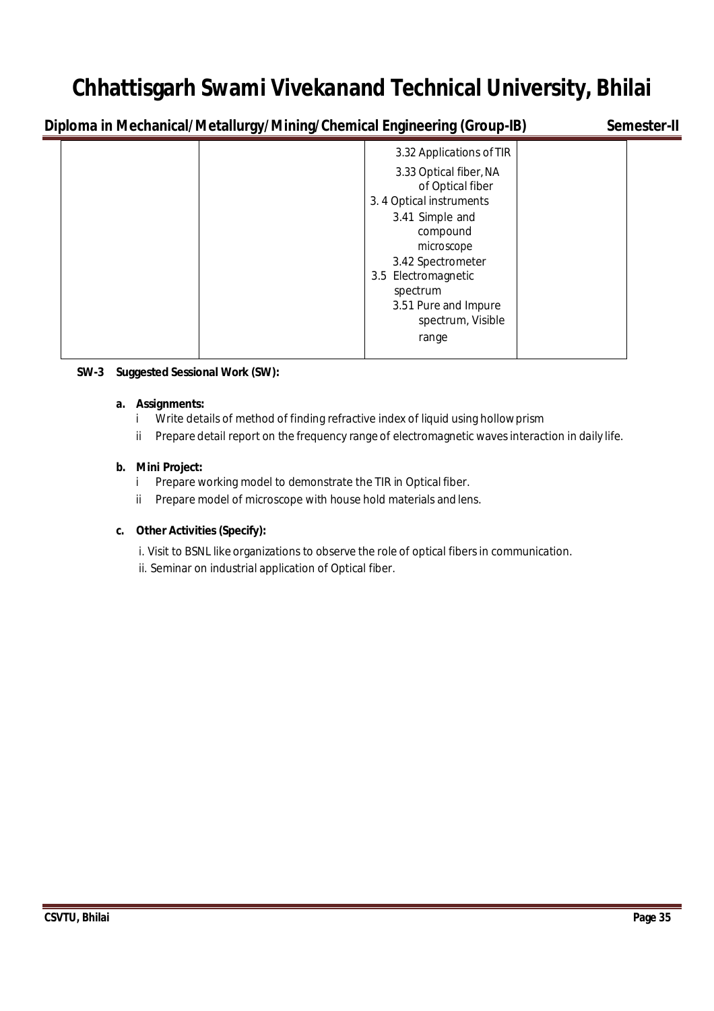**Diploma in Mechanical/Metallurgy/Mining/Chemical Engineering (Group-IB)** Semester-II

| 3.32 Applications of TIR |  |
|--------------------------|--|
| 3.33 Optical fiber, NA   |  |
| of Optical fiber         |  |
| 3.4 Optical instruments  |  |
| 3.41 Simple and          |  |
| compound                 |  |
| microscope               |  |
| 3.42 Spectrometer        |  |
| 3.5 Electromagnetic      |  |
| spectrum                 |  |
| 3.51 Pure and Impure     |  |
| spectrum, Visible        |  |
| range                    |  |
|                          |  |

## **SW-3 Suggested Sessional Work (SW):**

### **a. Assignments:**

- i Write details of method of finding refractive index of liquid using hollowprism
- ii Prepare detail report on the frequency range of electromagnetic waves interaction in daily life.

### **b. Mini Project:**

- i Prepare working model to demonstrate the TIR in Optical fiber.
- ii Prepare model of microscope with house hold materials and lens.

### **c. Other Activities(Specify):**

- i. Visit to BSNL like organizations to observe the role of optical fibers in communication.
- ii. Seminar on industrial application of Optical fiber.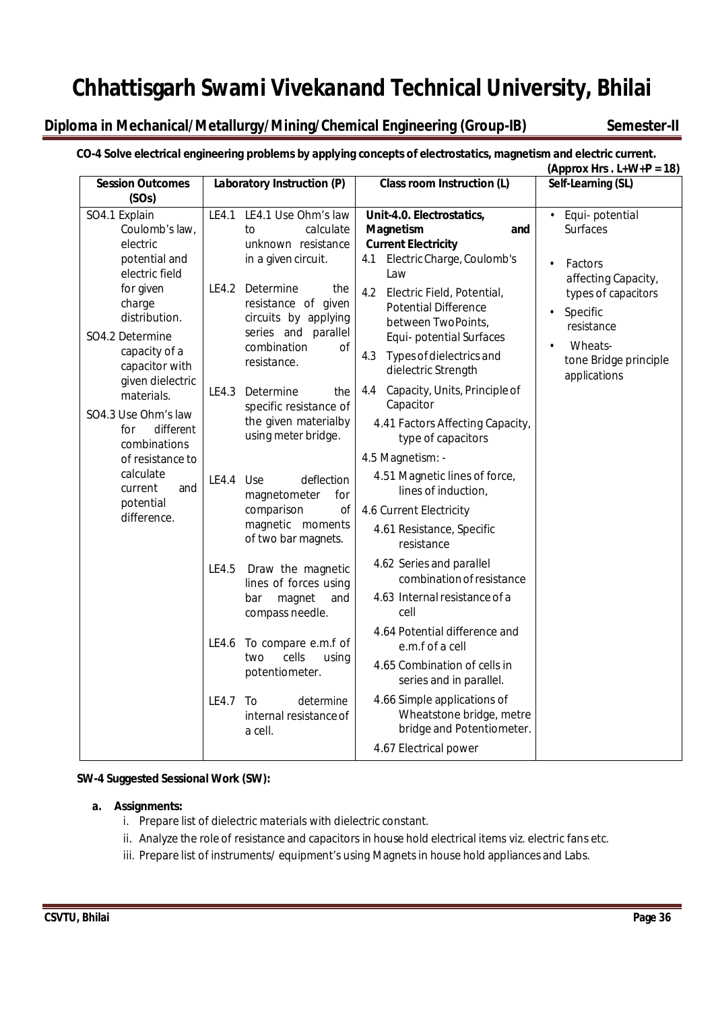# **Diploma in Mechanical/Metallurgy/Mining/Chemical Engineering (Group-IB)** Semester-II

# **CO-4 Solve electrical engineering problems by applying concepts of electrostatics, magnetism and electric current.**

|                                                                                | (Approx Hrs. $L+W+P = 18$ ) |                                                                                                                            |                                                                                                                         |                                                                                                                                                             |
|--------------------------------------------------------------------------------|-----------------------------|----------------------------------------------------------------------------------------------------------------------------|-------------------------------------------------------------------------------------------------------------------------|-------------------------------------------------------------------------------------------------------------------------------------------------------------|
| <b>Session Outcomes</b><br>Laboratory Instruction (P)                          |                             | <b>Class room Instruction (L)</b>                                                                                          | Self-Learning (SL)                                                                                                      |                                                                                                                                                             |
| (SOs)                                                                          |                             |                                                                                                                            |                                                                                                                         |                                                                                                                                                             |
| SO4.1 Explain<br>Coulomb's law,<br>electric<br>potential and<br>electric field | LE4.1                       | LE4.1 Use Ohm's law<br>calculate<br>to<br>unknown resistance<br>in a given circuit.                                        | Unit-4.0. Electrostatics,<br>Magnetism<br>and<br><b>Current Electricity</b><br>Electric Charge, Coulomb's<br>4.1<br>Law | Equi-potential<br>$\bullet$<br><b>Surfaces</b><br>Factors<br>$\bullet$<br>affecting Capacity,<br>types of capacitors<br>Specific<br>$\bullet$<br>resistance |
| for given<br>charge<br>distribution.                                           | LE4.2                       | Determine<br>the<br>resistance of given<br>circuits by applying<br>series and parallel<br>combination<br>of<br>resistance. | 4.2<br>Electric Field, Potential,<br><b>Potential Difference</b><br>between TwoPoints,                                  |                                                                                                                                                             |
| SO4.2 Determine<br>capacity of a<br>capacitor with<br>given dielectric         |                             |                                                                                                                            | Equi- potential Surfaces<br>Types of dielectrics and<br>4.3<br>dielectric Strength                                      | Wheats-<br>$\bullet$<br>tone Bridge principle<br>applications                                                                                               |
| materials.                                                                     | LE4.3                       | Determine<br>the<br>specific resistance of<br>the given materialby<br>using meter bridge.                                  | Capacity, Units, Principle of<br>4.4<br>Capacitor                                                                       |                                                                                                                                                             |
| SO4.3 Use Ohm's law<br>different<br>for<br>combinations                        |                             |                                                                                                                            | 4.41 Factors Affecting Capacity,<br>type of capacitors                                                                  |                                                                                                                                                             |
| of resistance to                                                               |                             |                                                                                                                            | 4.5 Magnetism: -                                                                                                        |                                                                                                                                                             |
| calculate<br>and<br>current                                                    | LE4.4                       | Use<br>deflection<br>magnetometer<br>for<br>comparison<br>of<br>magnetic moments<br>of two bar magnets.                    | 4.51 Magnetic lines of force,<br>lines of induction,                                                                    |                                                                                                                                                             |
| potential<br>difference.                                                       |                             |                                                                                                                            | 4.6 Current Electricity                                                                                                 |                                                                                                                                                             |
|                                                                                |                             |                                                                                                                            | 4.61 Resistance, Specific<br>resistance                                                                                 |                                                                                                                                                             |
|                                                                                | LE4.5                       | Draw the magnetic<br>lines of forces using<br>bar<br>magnet<br>and<br>compass needle.                                      | 4.62 Series and parallel<br>combination of resistance                                                                   |                                                                                                                                                             |
|                                                                                |                             |                                                                                                                            | 4.63 Internal resistance of a<br>cell                                                                                   |                                                                                                                                                             |
|                                                                                | LE4.6                       | To compare e.m.f of<br>cells<br>two<br>using<br>potentiometer.                                                             | 4.64 Potential difference and<br>e.m.f of a cell                                                                        |                                                                                                                                                             |
|                                                                                |                             |                                                                                                                            | 4.65 Combination of cells in<br>series and in parallel.                                                                 |                                                                                                                                                             |
|                                                                                | LE4.7                       | determine<br>To<br>internal resistance of<br>a cell.                                                                       | 4.66 Simple applications of<br>Wheatstone bridge, metre<br>bridge and Potentiometer.                                    |                                                                                                                                                             |
|                                                                                |                             |                                                                                                                            | 4.67 Electrical power                                                                                                   |                                                                                                                                                             |

### **SW-4 Suggested Sessional Work (SW):**

### **a. Assignments:**

- i. Prepare list of dielectric materials with dielectric constant.
- ii. Analyze the role of resistance and capacitors in house hold electrical items viz. electric fans etc.
- iii. Prepare list of instruments/ equipment's using Magnets in house hold appliances and Labs.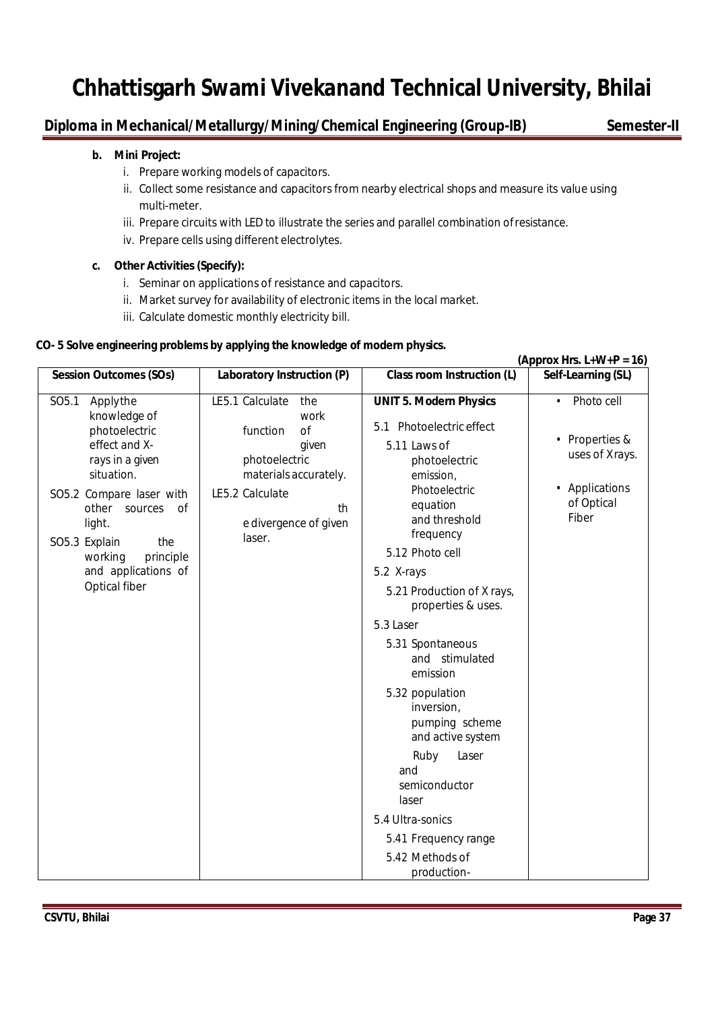### **Diploma in Mechanical/Metallurgy/Mining/Chemical Engineering (Group-IB)** Semester-II

#### **b. Mini Project:**

- i. Prepare working models of capacitors.
- ii. Collect some resistance and capacitors from nearby electrical shops and measure its value using multi-meter.
- iii. Prepare circuits with LED to illustrate the series and parallel combination ofresistance.
- iv. Prepare cells using different electrolytes.

#### **c. Other Activities (Specify):**

- i. Seminar on applications of resistance and capacitors.
- ii. Market survey for availability of electronic items in the local market.
- iii. Calculate domestic monthly electricity bill.

#### **CO- 5 Solve engineering problems by applying the knowledge of modern physics.**

|                                                                                                                                                                                                                                                                          |                                                                                                                                                                 |                                                                                                                                                                                                                                                                                                                                           | (Approx Hrs. $L+W+P = 16$ )                                                                                     |
|--------------------------------------------------------------------------------------------------------------------------------------------------------------------------------------------------------------------------------------------------------------------------|-----------------------------------------------------------------------------------------------------------------------------------------------------------------|-------------------------------------------------------------------------------------------------------------------------------------------------------------------------------------------------------------------------------------------------------------------------------------------------------------------------------------------|-----------------------------------------------------------------------------------------------------------------|
| <b>Session Outcomes (SOs)</b>                                                                                                                                                                                                                                            | Laboratory Instruction (P)                                                                                                                                      | <b>Class room Instruction (L)</b>                                                                                                                                                                                                                                                                                                         | Self-Learning (SL)                                                                                              |
| SO <sub>5.1</sub><br>Applythe<br>knowledge of<br>photoelectric<br>effect and X-<br>rays in a given<br>situation.<br>SO5.2 Compare laser with<br>other<br>sources<br>0f<br>light.<br>SO5.3 Explain<br>the<br>principle<br>working<br>and applications of<br>Optical fiber | LE5.1 Calculate<br>the<br>work<br>function<br>of<br>given<br>photoelectric<br>materials accurately.<br>LE5.2 Calculate<br>th<br>e divergence of given<br>laser. | <b>UNIT 5. Modern Physics</b><br>5.1 Photoelectric effect<br>5.11 Laws of<br>photoelectric<br>emission,<br>Photoelectric<br>equation<br>and threshold<br>frequency<br>5.12 Photo cell<br>5.2 X-rays<br>5.21 Production of X rays,<br>properties & uses.<br>5.3 Laser<br>5.31 Spontaneous<br>and stimulated<br>emission<br>5.32 population | Photo cell<br>$\bullet$<br>• Properties &<br>uses of Xrays.<br>Applications<br>$\bullet$<br>of Optical<br>Fiber |
|                                                                                                                                                                                                                                                                          |                                                                                                                                                                 | inversion,<br>pumping scheme<br>and active system                                                                                                                                                                                                                                                                                         |                                                                                                                 |
|                                                                                                                                                                                                                                                                          |                                                                                                                                                                 | Laser<br>Ruby<br>and<br>semiconductor<br>laser                                                                                                                                                                                                                                                                                            |                                                                                                                 |
|                                                                                                                                                                                                                                                                          |                                                                                                                                                                 | 5.4 Ultra-sonics                                                                                                                                                                                                                                                                                                                          |                                                                                                                 |
|                                                                                                                                                                                                                                                                          |                                                                                                                                                                 | 5.41 Frequency range                                                                                                                                                                                                                                                                                                                      |                                                                                                                 |
|                                                                                                                                                                                                                                                                          |                                                                                                                                                                 | 5.42 Methods of<br>production-                                                                                                                                                                                                                                                                                                            |                                                                                                                 |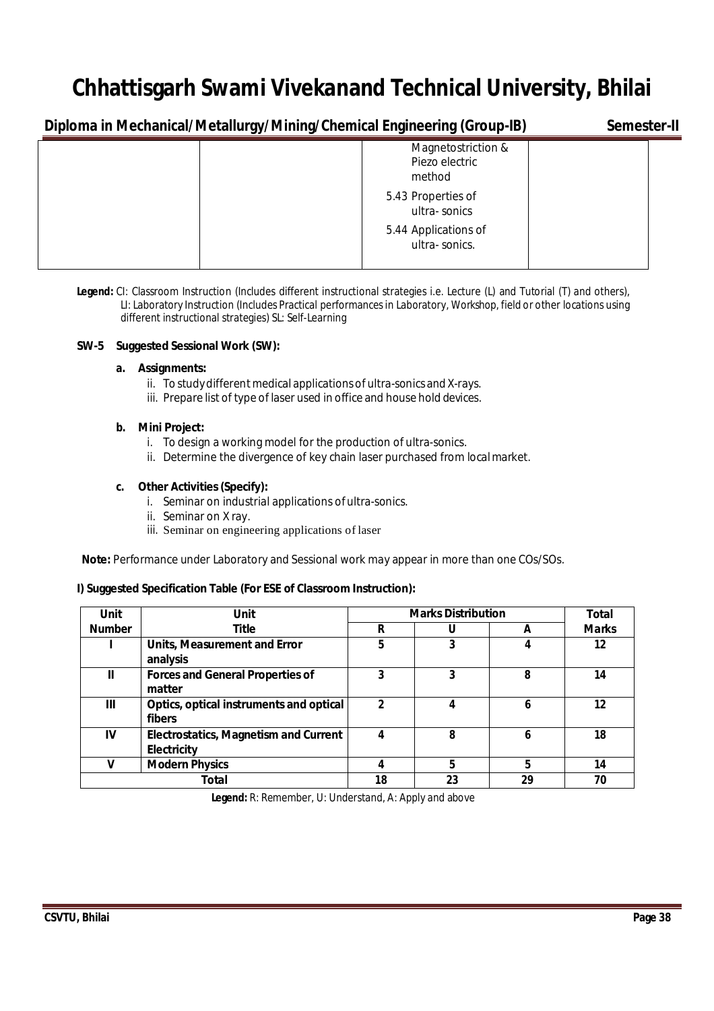**Diploma in Mechanical/Metallurgy/Mining/Chemical Engineering (Group-IB) Semester-II**

| ◡<br>J J                                       |  |
|------------------------------------------------|--|
| Magnetostriction &<br>Piezo electric<br>method |  |
| 5.43 Properties of<br>ultra-sonics             |  |
| 5.44 Applications of<br>ultra-sonics.          |  |

**Legend:** CI: Classroom Instruction (Includes different instructional strategies i.e. Lecture (L) and Tutorial (T) and others), LI: Laboratory Instruction (Includes Practical performancesin Laboratory, Workshop, field or other locations using different instructional strategies) SL: Self-Learning

#### **SW-5 Suggested Sessional Work (SW):**

#### **a. Assignments:**

- ii. To study different medical applications of ultra-sonics and X-rays.
- iii. Prepare list of type of laser used in office and house hold devices.

#### **b. Mini Project:**

- i. To design a working model for the production of ultra-sonics.
- ii. Determine the divergence of key chain laser purchased from localmarket.

#### **c. Other Activities(Specify):**

- i. Seminar on industrial applications ofultra-sonics.
- ii. Seminar on X ray.
- iii. Seminar on engineering applications of laser

**Note:** Performance under Laboratory and Sessional work may appear in more than one COs/SOs.

#### **I) Suggested Specification Table (For ESE of Classroom Instruction):**

| <b>Unit</b>   | <b>Unit</b>                                                 | <b>Marks Distribution</b> | Total |    |              |
|---------------|-------------------------------------------------------------|---------------------------|-------|----|--------------|
| <b>Number</b> | <b>Title</b>                                                | R                         | U     | A  | <b>Marks</b> |
|               | <b>Units, Measurement and Error</b><br>analysis             | 5                         | 3     | 4  | 12           |
| Ш             | <b>Forces and General Properties of</b><br>matter           | 3                         | 3     | 8  | 14           |
| Ш             | Optics, optical instruments and optical<br>fibers           | $\mathfrak z$             |       | 6  | 12           |
| IV            | <b>Electrostatics, Magnetism and Current</b><br>Electricity | 4                         | 8     | 6  | 18           |
|               | <b>Modern Physics</b>                                       |                           | 5     | 5  | 14           |
|               | Total                                                       | 18                        | 23    | 29 | 70           |

 **Legend:** R: Remember, U: Understand, A: Apply and above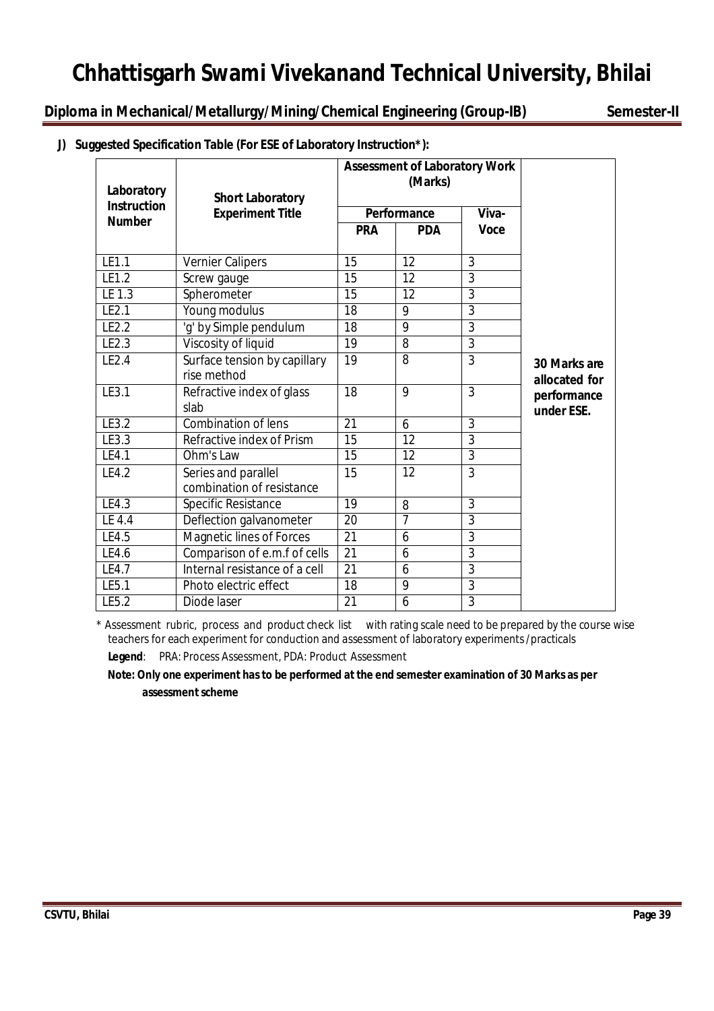**Diploma in Mechanical/Metallurgy/Mining/Chemical Engineering (Group-IB) Semester-II**

|  | J) Suggested Specification Table (For ESE of Laboratory Instruction*): |  |
|--|------------------------------------------------------------------------|--|
|  |                                                                        |  |

| Laboratory         | <b>Short Laboratory</b>                          |                 | <b>Assessment of Laboratory Work</b><br>(Marks) |                |                               |
|--------------------|--------------------------------------------------|-----------------|-------------------------------------------------|----------------|-------------------------------|
| <b>Instruction</b> | <b>Experiment Title</b>                          |                 | Performance                                     | Viva-          |                               |
| <b>Number</b>      |                                                  | <b>PRA</b>      | <b>PDA</b>                                      | <b>Voce</b>    |                               |
| LE1.1              | <b>Vernier Calipers</b>                          | 15              | 12                                              | $\overline{3}$ |                               |
| LE1.2              | Screw gauge                                      | 15              | 12                                              | 3              |                               |
| LE 1.3             | Spherometer                                      | 15              | 12                                              | $\overline{3}$ |                               |
| LE2.1              | Young modulus                                    | 18              | 9                                               | $\overline{3}$ |                               |
| LE2.2              | 'g' by Simple pendulum                           | 18              | 9                                               | $\overline{3}$ |                               |
| LE2.3              | Viscosity of liquid                              | 19              | 8                                               | $\overline{3}$ |                               |
| LE2.4              | Surface tension by capillary<br>rise method      | 19              | 8                                               | 3              | 30 Marks are<br>allocated for |
| LE3.1              | Refractive index of glass<br>slab                | 18              | 9                                               | $\mathfrak{Z}$ | performance<br>under ESE.     |
| LE3.2              | Combination of lens                              | 21              | 6                                               | 3              |                               |
| LE3.3              | Refractive index of Prism                        | 15              | 12                                              | $\overline{3}$ |                               |
| LE4.1              | Ohm's Law                                        | 15              | 12                                              | $\mathbf{3}$   |                               |
| LE4.2              | Series and parallel<br>combination of resistance | 15              | 12                                              | 3              |                               |
| LE4.3              | Specific Resistance                              | 19              | 8                                               | $\overline{3}$ |                               |
| LE4.4              | Deflection galvanometer                          | 20              | 7                                               | $\overline{3}$ |                               |
| LE4.5              | <b>Magnetic lines of Forces</b>                  | $\overline{21}$ | 6                                               | $\overline{3}$ |                               |
| LE4.6              | Comparison of e.m.f of cells                     | 21              | 6                                               | $\overline{3}$ |                               |
| LE4.7              | Internal resistance of a cell                    | $\overline{21}$ | 6                                               | $\overline{3}$ |                               |
| LE5.1              | Photo electric effect                            | 18              | 9                                               | $\overline{3}$ |                               |
| LE5.2              | Diode laser                                      | 21              | 6                                               | 3              |                               |

\* Assessment rubric, process and product check list with rating scale need to be prepared by the course wise teachers for each experiment for conduction and assessment of laboratory experiments/practicals

**Legend**: PRA: Process Assessment, PDA: Product Assessment

**Note: Only one experiment has to be performed at the end semester examination of 30 Marks as per assessment scheme**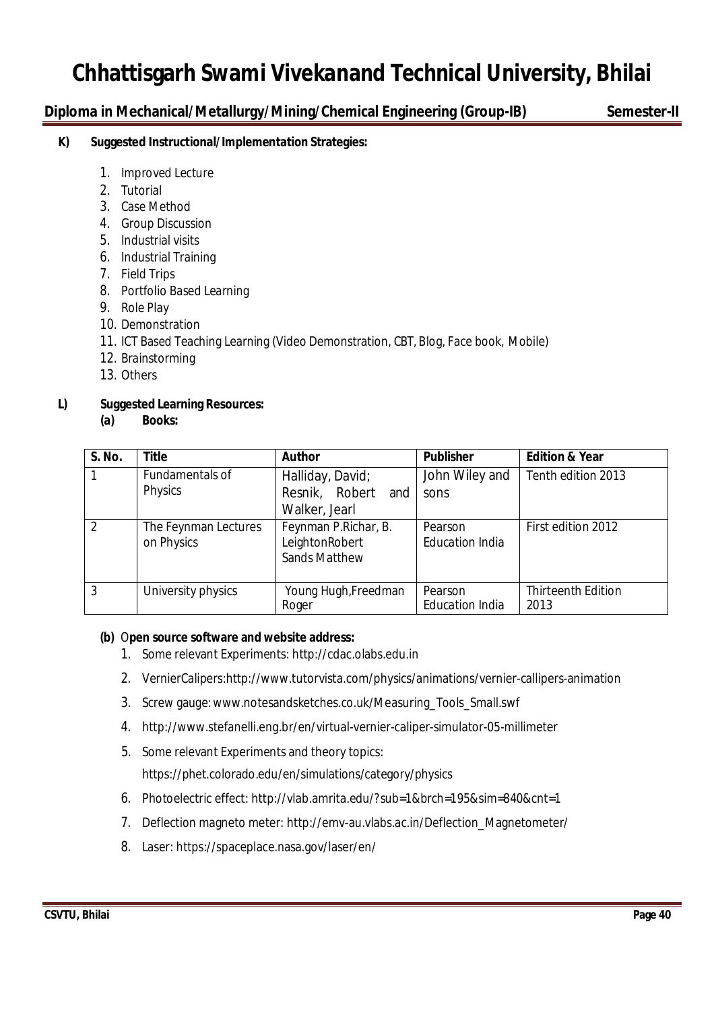### **Diploma in Mechanical/Metallurgy/Mining/Chemical Engineering (Group-IB) Semester-II**

#### **K) Suggested Instructional/Implementation Strategies:**

- 1. Improved Lecture
- 2. Tutorial
- 3. Case Method
- 4. Group Discussion
- 5. Industrial visits
- 6. Industrial Training
- 7. Field Trips
- 8. Portfolio Based Learning
- 9. Role Play
- 10. Demonstration
- 11. ICT Based Teaching Learning (Video Demonstration, CBT, Blog, Face book, Mobile)
- 12. Brainstorming
- 13. Others

### **L) Suggested Learning Resources:**

**(a) Books:**

| S. No.         | <b>Title</b>         | <b>Author</b>        | <b>Publisher</b>       | <b>Edition &amp; Year</b> |
|----------------|----------------------|----------------------|------------------------|---------------------------|
|                | Fundamentals of      | Halliday, David;     | John Wiley and         | Tenth edition 2013        |
|                | Physics              | Resnik, Robert and   | sons                   |                           |
|                |                      | Walker, Jearl        |                        |                           |
| $\mathfrak{D}$ | The Feynman Lectures | Feynman P.Richar, B. | Pearson                | First edition 2012        |
|                | on Physics           | LeightonRobert       | <b>Education India</b> |                           |
|                |                      | <b>Sands Matthew</b> |                        |                           |
|                |                      |                      |                        |                           |
| 3              | University physics   | Young Hugh, Freedman | Pearson                | <b>Thirteenth Edition</b> |
|                |                      | Roger                | <b>Education India</b> | 2013                      |

#### **(b)** O**pen source software and website address:**

- 1. Some relevant Experiments: http://cdac.olabs.edu.in
- 2. VernierCalipers:http://www.tutorvista.com/physics/animations/vernier-callipers-animation
- 3. Screw gauge:www.notesandsketches.co.uk/Measuring\_Tools\_Small.swf
- 4. http://www.stefanelli.eng.br/en/virtual-vernier-caliper-simulator-05-millimeter
- 5. Some relevant Experiments and theory topics:

https://phet.colorado.edu/en/simulations/category/physics

- 6. Photoelectric effect: http://vlab.amrita.edu/?sub=1&brch=195&sim=840&cnt=1
- 7. Deflection magneto meter: http://emv-au.vlabs.ac.in/Deflection\_Magnetometer/
- 8. Laser: https://spaceplace.nasa.gov/laser/en/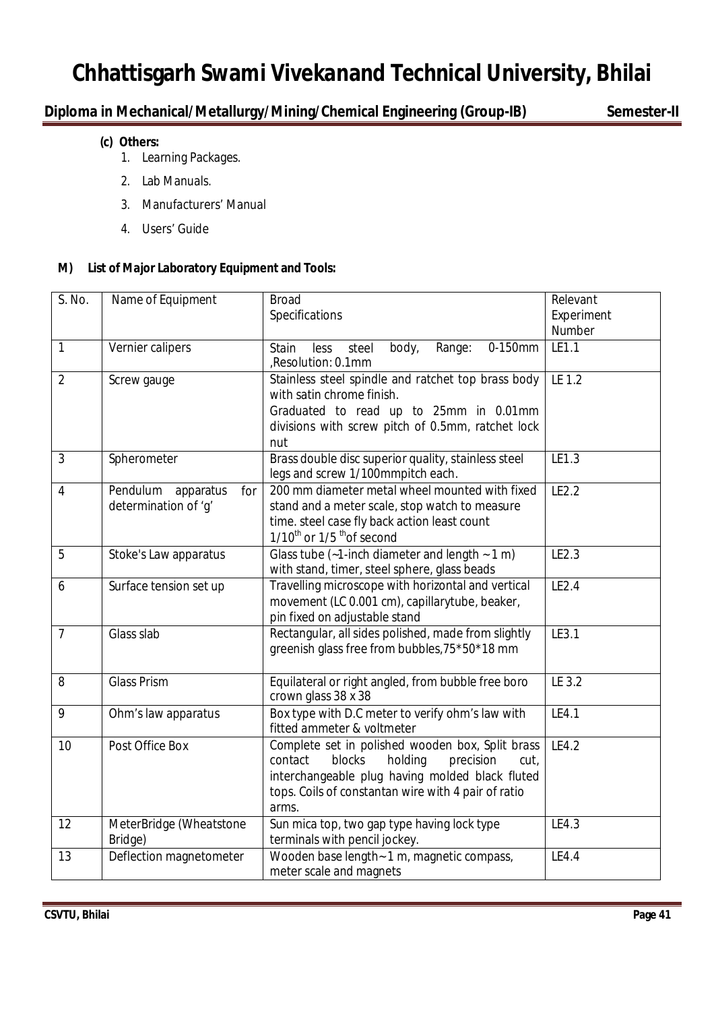### **Diploma in Mechanical/Metallurgy/Mining/Chemical Engineering (Group-IB) Semester-II**

### **(c) Others:**

- 1. Learning Packages.
- 2. Lab Manuals.
- 3. Manufacturers' Manual
- 4. Users' Guide

#### **M) List of Major Laboratory Equipment and Tools:**

| S. No.         | Name of Equipment                                    | <b>Broad</b><br>Specifications                                                                                                                                                                                           | Relevant<br>Experiment |
|----------------|------------------------------------------------------|--------------------------------------------------------------------------------------------------------------------------------------------------------------------------------------------------------------------------|------------------------|
|                |                                                      |                                                                                                                                                                                                                          | Number                 |
| $\mathbf{1}$   | Vernier calipers                                     | 0-150mm<br><b>Stain</b><br>steel<br>body,<br>Range:<br><b>less</b><br>,Resolution: 0.1mm                                                                                                                                 | LE1.1                  |
| $\overline{2}$ | Screw gauge                                          | Stainless steel spindle and ratchet top brass body<br>with satin chrome finish.<br>Graduated to read up to 25mm in 0.01mm<br>divisions with screw pitch of 0.5mm, ratchet lock<br>nut                                    | LE 1.2                 |
| $\overline{3}$ | Spherometer                                          | Brass double disc superior quality, stainless steel<br>legs and screw 1/100mmpitch each.                                                                                                                                 | LE1.3                  |
| 4              | Pendulum<br>apparatus<br>for<br>determination of 'q' | 200 mm diameter metal wheel mounted with fixed<br>stand and a meter scale, stop watch to measure<br>time. steel case fly back action least count<br>$1/10^{th}$ or $1/5$ <sup>th</sup> of second                         | LE2.2                  |
| 5              | Stoke's Law apparatus                                | Glass tube ( $-1$ -inch diameter and length $-1$ m)<br>with stand, timer, steel sphere, glass beads                                                                                                                      | LE2.3                  |
| 6              | Surface tension set up                               | Travelling microscope with horizontal and vertical<br>movement (LC 0.001 cm), capillarytube, beaker,<br>pin fixed on adjustable stand                                                                                    | LE2.4                  |
| $\overline{7}$ | Glass slab                                           | Rectangular, all sides polished, made from slightly<br>greenish glass free from bubbles, 75*50*18 mm                                                                                                                     | LE3.1                  |
| 8              | <b>Glass Prism</b>                                   | Equilateral or right angled, from bubble free boro<br>crown glass 38 x 38                                                                                                                                                | LE 3.2                 |
| 9              | Ohm's law apparatus                                  | Box type with D.C meter to verify ohm's law with<br>fitted ammeter & voltmeter                                                                                                                                           | LE4.1                  |
| 10             | Post Office Box                                      | Complete set in polished wooden box, Split brass<br>blocks<br>holding<br>contact<br>precision<br>cut,<br>interchangeable plug having molded black fluted<br>tops. Coils of constantan wire with 4 pair of ratio<br>arms. | LE4.2                  |
| 12             | MeterBridge (Wheatstone<br>Bridge)                   | Sun mica top, two gap type having lock type<br>terminals with pencil jockey.                                                                                                                                             | LE4.3                  |
| 13             | Deflection magnetometer                              | Wooden base length - 1 m, magnetic compass,<br>meter scale and magnets                                                                                                                                                   | LE4.4                  |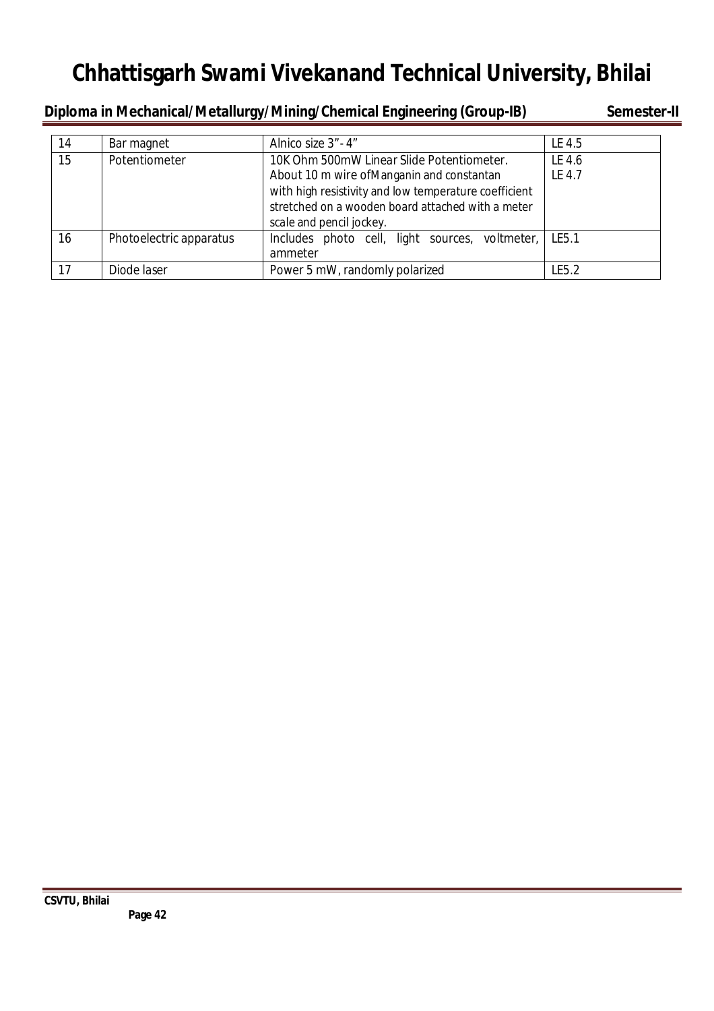**Diploma in Mechanical/Metallurgy/Mining/Chemical Engineering (Group-IB) Semester-II** 

| 14 | Bar magnet              | Alnico size 3" - 4"                                   | LE 4.5  |
|----|-------------------------|-------------------------------------------------------|---------|
| 15 | Potentiometer           | 10K Ohm 500mW Linear Slide Potentiometer.             | LE 4.6  |
|    |                         | About 10 m wire of Manganin and constantan            | LE 4.7  |
|    |                         | with high resistivity and low temperature coefficient |         |
|    |                         | stretched on a wooden board attached with a meter     |         |
|    |                         | scale and pencil jockey.                              |         |
| 16 | Photoelectric apparatus | Includes photo cell, light sources, voltmeter,        | l LE5.1 |
|    |                         | ammeter                                               |         |
| 17 | Diode laser             | Power 5 mW, randomly polarized                        | LE5.2   |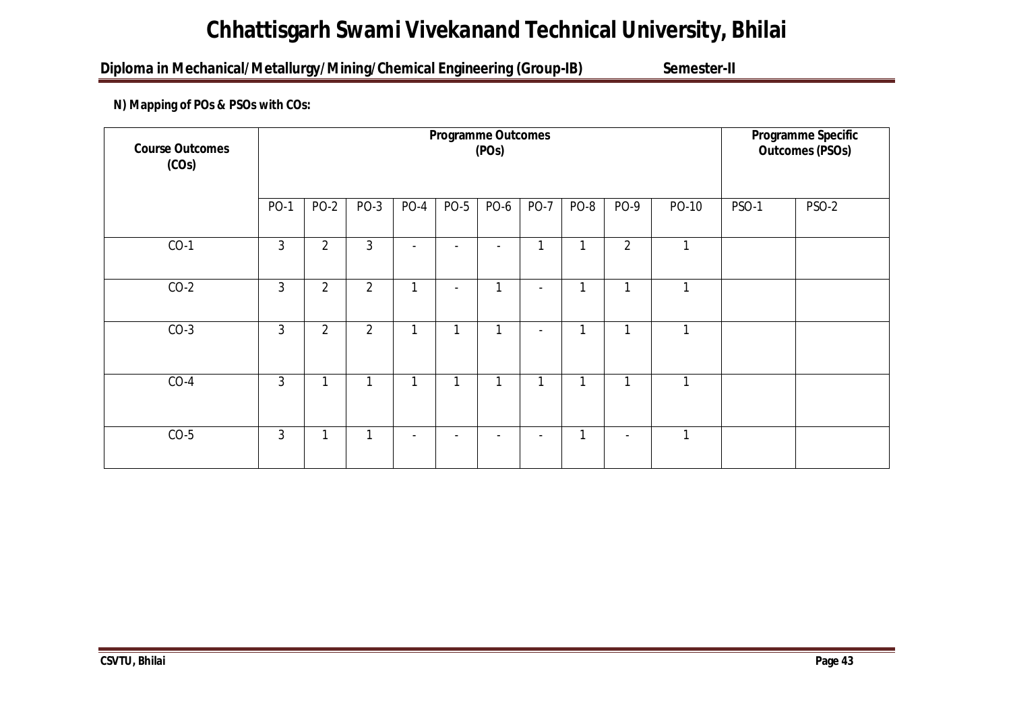### Diploma in Mechanical/Metallurgy/Mining/Chemical Engineering (Group-IB) Semester-II

### **N) Mapping of POs & PSOs with COs:**

| <b>Course Outcomes</b><br>(COs) |                | <b>Programme Outcomes</b><br>(POs) |                |                          |                          |                          |                |              |                          |              | Programme Specific<br><b>Outcomes (PSOs)</b> |              |
|---------------------------------|----------------|------------------------------------|----------------|--------------------------|--------------------------|--------------------------|----------------|--------------|--------------------------|--------------|----------------------------------------------|--------------|
|                                 | <b>PO-1</b>    | <b>PO-2</b>                        | $PO-3$         | $PO-4$                   | <b>PO-5</b>              | PO-6                     | <b>PO-7</b>    | PO-8         | PO-9                     | PO-10        | <b>PSO-1</b>                                 | <b>PSO-2</b> |
| $CO-1$                          | $\overline{3}$ | $\overline{2}$                     | $\overline{3}$ | $\overline{\phantom{a}}$ | $\overline{\phantom{a}}$ | $\overline{\phantom{a}}$ | 1              | 1            | $\overline{2}$           | $\mathbf{1}$ |                                              |              |
| $CO-2$                          | $\mathfrak{Z}$ | $\overline{2}$                     | $\overline{2}$ | 1                        | $\sim$                   | 1                        | $\sim$         | 1            | 1                        | 1            |                                              |              |
| $CO-3$                          | 3              | $\overline{2}$                     | $\overline{2}$ | 1                        | 1                        | 1                        | $\sim$         | 1            | 1                        | 1            |                                              |              |
| $CO-4$                          | 3              | 1                                  | $\mathbf{1}$   | 1                        | 1                        | 1                        | 1              | 1            | 1                        | 1            |                                              |              |
| $CO-5$                          | $\overline{3}$ | 1                                  | $\mathbf{1}$   |                          |                          |                          | $\blacksquare$ | $\mathbf{1}$ | $\overline{\phantom{a}}$ | 1            |                                              |              |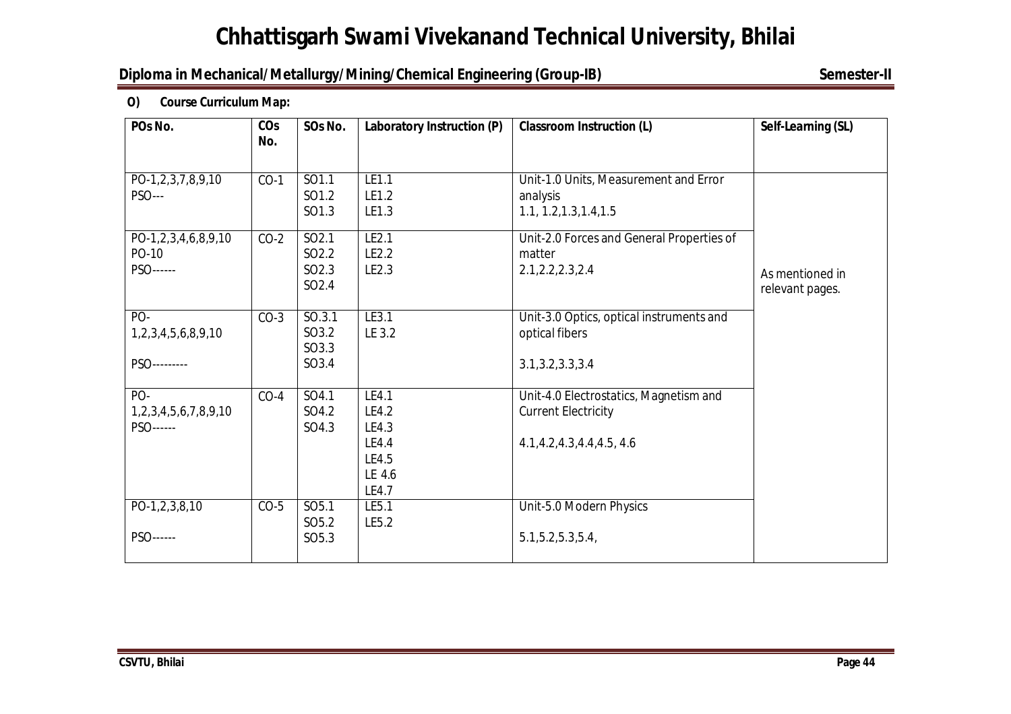### **Diploma in Mechanical/Metallurgy/Mining/Chemical Engineering (Group-IB)** Semester-II

**O) Course Curriculum Map:**

| POs No.                                   | CO <sub>s</sub><br>No. | SOs No.                                                              | Laboratory Instruction (P)                                   | <b>Classroom Instruction (L)</b>                                                                | Self-Learning (SL)                 |
|-------------------------------------------|------------------------|----------------------------------------------------------------------|--------------------------------------------------------------|-------------------------------------------------------------------------------------------------|------------------------------------|
| PO-1,2,3,7,8,9,10<br><b>PSO---</b>        | $CO-1$                 | SO1.1<br>SO1.2<br>SO1.3                                              | LE1.1<br>LE1.2<br>LE1.3                                      | Unit-1.0 Units, Measurement and Error<br>analysis<br>1.1, 1.2, 1.3, 1.4, 1.5                    |                                    |
| PO-1,2,3,4,6,8,9,10<br>PO-10<br>PSO------ | $CO-2$                 | SO <sub>2.1</sub><br>SO <sub>2.2</sub><br>SO2.3<br>SO <sub>2.4</sub> | LE2.1<br>LE2.2<br>LE2.3                                      | Unit-2.0 Forces and General Properties of<br>matter<br>2.1, 2.2, 2.3, 2.4                       | As mentioned in<br>relevant pages. |
| PO-<br>1,2,3,4,5,6,8,9,10<br>PSO--------- | $CO-3$                 | SO.3.1<br>SO3.2<br>SO3.3<br>SO3.4                                    | LE3.1<br>LE 3.2                                              | Unit-3.0 Optics, optical instruments and<br>optical fibers<br>3.1, 3.2, 3.3, 3.4                |                                    |
| PO-<br>1,2,3,4,5,6,7,8,9,10<br>PSO------  | $CO-4$                 | SO4.1<br>SO4.2<br>SO4.3                                              | LE4.1<br>LE4.2<br>LE4.3<br>LE4.4<br>LE4.5<br>LE 4.6<br>LE4.7 | Unit-4.0 Electrostatics, Magnetism and<br><b>Current Electricity</b><br>4.1,4.2,4.3,4.4,4.5,4.6 |                                    |
| PO-1,2,3,8,10<br>PSO------                | $CO-5$                 | SO <sub>5.1</sub><br>SO <sub>5.2</sub><br>SO <sub>5.3</sub>          | LE5.1<br>LE5.2                                               | Unit-5.0 Modern Physics<br>5.1, 5.2, 5.3, 5.4,                                                  |                                    |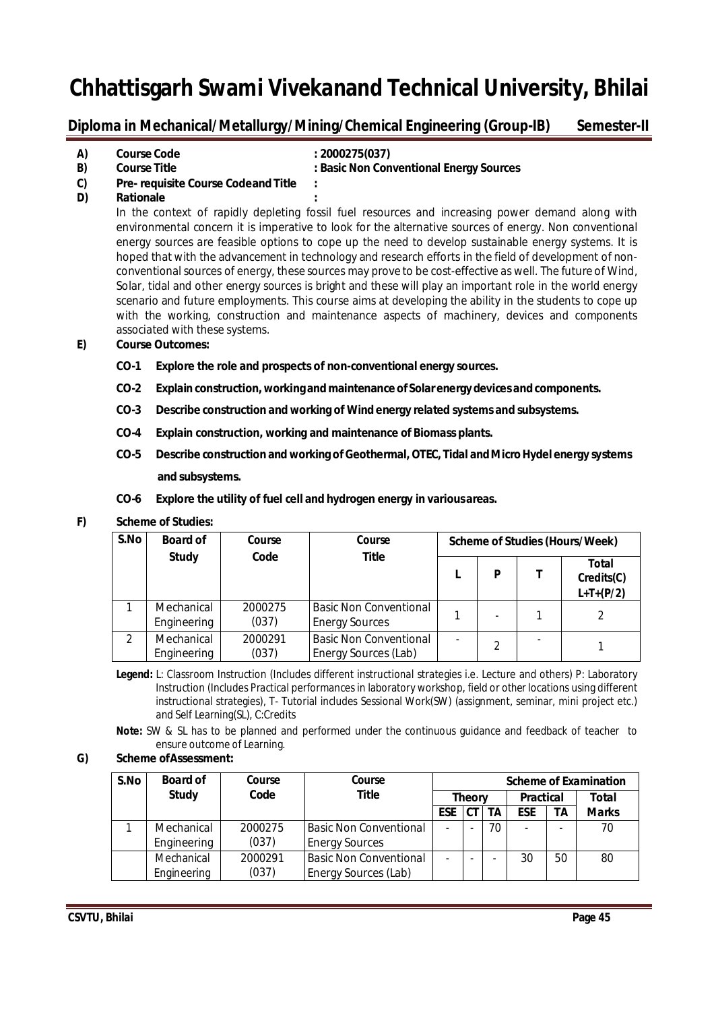### Diploma in Mechanical/Metallurgy/Mining/Chemical Engineering (Group-IB) Semester-II

| A) | <b>Course Code</b>  | : 2000275(037)                          |
|----|---------------------|-----------------------------------------|
| B) | <b>Course Title</b> | : Basic Non Conventional Energy Sources |

- **C) Pre- requisite Course Codeand Title :**
- **D) Rationale :**

In the context of rapidly depleting fossil fuel resources and increasing power demand along with environmental concern it is imperative to look for the alternative sources of energy. Non conventional energy sources are feasible options to cope up the need to develop sustainable energy systems. It is hoped that with the advancement in technology and research efforts in the field of development of nonconventional sources of energy, these sources may prove to be cost-effective as well. The future of Wind, Solar, tidal and other energy sources is bright and these will play an important role in the world energy scenario and future employments. This course aims at developing the ability in the students to cope up with the working, construction and maintenance aspects of machinery, devices and components associated with these systems.

#### **E) Course Outcomes:**

- **CO-1 Explore the role and prospects of non-conventional energy sources.**
- **CO-2 Explain construction, workingand maintenance of Solarenergydevices andcomponents.**
- **CO-3 Describe construction and working of Wind energy related systems and subsystems.**
- **CO-4 Explain construction, working and maintenance of Biomass plants.**
- **CO-5 Describe construction and working ofGeothermal, OTEC, Tidal andMicroHydel energy systems and subsystems.**
- **CO-6 Explore the utility of fuel cell and hydrogen energy in variousareas.**

#### **F) Scheme of Studies:**

| S.No | <b>Board of</b>           | Course           | Course<br><b>Title</b>                                 | <b>Scheme of Studies (Hours/Week)</b> |   |  |                                    |  |
|------|---------------------------|------------------|--------------------------------------------------------|---------------------------------------|---|--|------------------------------------|--|
|      | <b>Study</b>              | Code             |                                                        |                                       | P |  | Total<br>Credits(C)<br>$L+T+(P/2)$ |  |
|      | Mechanical<br>Engineering | 2000275<br>(037) | <b>Basic Non Conventional</b><br><b>Energy Sources</b> |                                       |   |  |                                    |  |
|      | Mechanical<br>Engineering | 2000291<br>(037) | <b>Basic Non Conventional</b><br>Energy Sources (Lab)  |                                       | 2 |  |                                    |  |

**Legend:** L: Classroom Instruction (Includes different instructional strategies i.e. Lecture and others) P: Laboratory Instruction (Includes Practical performances in laboratory workshop, field or other locations using different instructional strategies), T- Tutorial includes Sessional Work(SW) (assignment, seminar, mini project etc.) and Self Learning(SL), C:Credits

**Note:** SW & SL has to be planned and performed under the continuous guidance and feedback of teacher to ensure outcome of Learning.

#### **G) Scheme ofAssessment:**

| S.No | <b>Board of</b> | Course  | Course                        | <b>Scheme of Examination</b> |  |                  |            |       |              |
|------|-----------------|---------|-------------------------------|------------------------------|--|------------------|------------|-------|--------------|
|      | <b>Study</b>    | Code    | <b>Title</b>                  | <b>Theory</b>                |  | <b>Practical</b> |            | Total |              |
|      |                 |         |                               | <b>ESE</b>                   |  | <b>TA</b>        | <b>ESE</b> | ΤA    | <b>Marks</b> |
|      | Mechanical      | 2000275 | <b>Basic Non Conventional</b> | $\overline{\phantom{0}}$     |  | 70               |            |       | 70           |
|      | Engineering     | (037)   | <b>Energy Sources</b>         |                              |  |                  |            |       |              |
|      | Mechanical      | 2000291 | <b>Basic Non Conventional</b> | ۰                            |  |                  | 30         | 50    | 80           |
|      | Engineering     | (037)   | <b>Energy Sources (Lab)</b>   |                              |  |                  |            |       |              |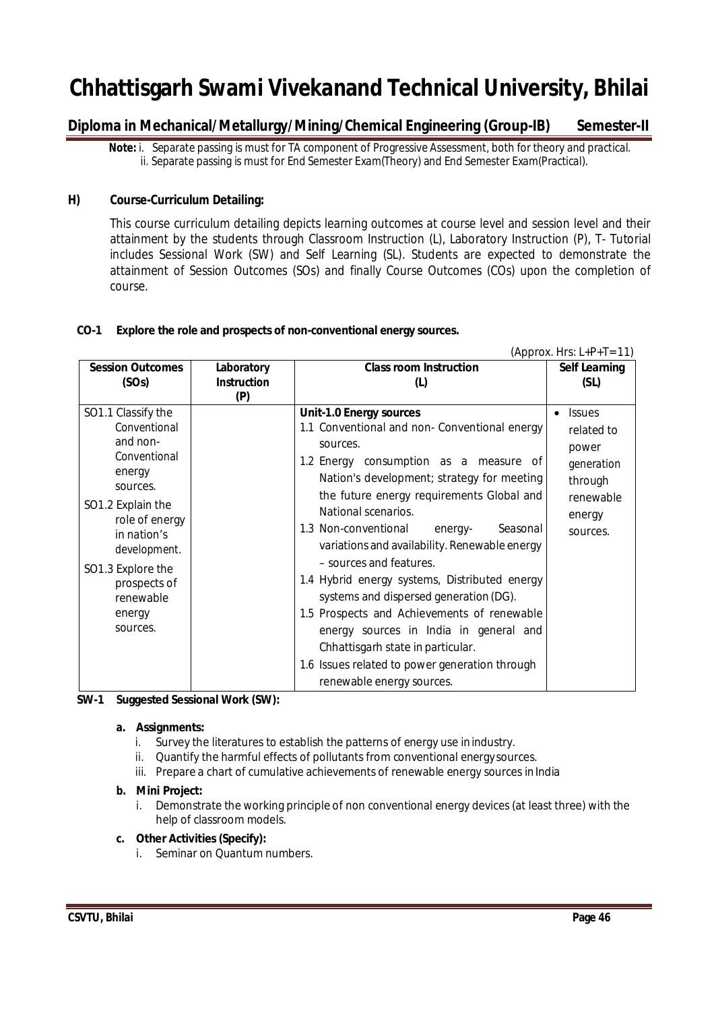### Diploma in Mechanical/Metallurgy/Mining/Chemical Engineering (Group-IB) Semester-II

 **Note:** i. Separate passing is must for TA component of Progressive Assessment, both for theory and practical. ii. Separate passing is must for End Semester Exam(Theory) and End Semester Exam(Practical).

#### **H) Course-Curriculum Detailing:**

This course curriculum detailing depicts learning outcomes at course level and session level and their attainment by the students through Classroom Instruction (L), Laboratory Instruction (P), T- Tutorial includes Sessional Work (SW) and Self Learning (SL). Students are expected to demonstrate the attainment of Session Outcomes (SOs) and finally Course Outcomes (COs) upon the completion of course.

#### **CO-1 Explore the role and prospects of non-conventional energy sources.**

|                                                                                                                                                                                                              |                    |                                                                                                                                                                                                                                                                                                                                                                                                                                                                               | (Approx. Hrs: $L+P+T=11$ )                                                                       |
|--------------------------------------------------------------------------------------------------------------------------------------------------------------------------------------------------------------|--------------------|-------------------------------------------------------------------------------------------------------------------------------------------------------------------------------------------------------------------------------------------------------------------------------------------------------------------------------------------------------------------------------------------------------------------------------------------------------------------------------|--------------------------------------------------------------------------------------------------|
| <b>Session Outcomes</b>                                                                                                                                                                                      | Laboratory         | <b>Class room Instruction</b>                                                                                                                                                                                                                                                                                                                                                                                                                                                 | <b>Self Learning</b>                                                                             |
| (SOs)                                                                                                                                                                                                        | <b>Instruction</b> | (L)                                                                                                                                                                                                                                                                                                                                                                                                                                                                           | (SL)                                                                                             |
|                                                                                                                                                                                                              | (P)                |                                                                                                                                                                                                                                                                                                                                                                                                                                                                               |                                                                                                  |
| SO1.1 Classify the<br>Conventional<br>and non-<br>Conventional<br>energy<br>sources.<br>SO1.2 Explain the<br>role of energy<br>in nation's<br>development.<br>SO1.3 Explore the<br>prospects of<br>renewable |                    | <b>Unit-1.0 Energy sources</b><br>1.1 Conventional and non- Conventional energy<br>sources.<br>1.2 Energy consumption as a measure of<br>Nation's development; strategy for meeting<br>the future energy requirements Global and<br>National scenarios.<br>1.3 Non-conventional<br>Seasonal<br>energy-<br>variations and availability. Renewable energy<br>- sources and features.<br>1.4 Hybrid energy systems, Distributed energy<br>systems and dispersed generation (DG). | <b>Issues</b><br>related to<br>power<br>generation<br>through<br>renewable<br>energy<br>sources. |
| energy<br>sources.                                                                                                                                                                                           |                    | 1.5 Prospects and Achievements of renewable<br>energy sources in India in general and<br>Chhattisgarh state in particular.<br>1.6 Issues related to power generation through<br>renewable energy sources.                                                                                                                                                                                                                                                                     |                                                                                                  |

#### **SW-1 Suggested Sessional Work (SW):**

#### **a. Assignments:**

- i. Survey the literatures to establish the patterns of energy use in industry.
- ii. Quantify the harmful effects of pollutants from conventional energysources.
- iii. Prepare a chart of cumulative achievements of renewable energy sources in India

#### **b. Mini Project:**

i. Demonstrate the working principle of non conventional energy devices (at least three) with the help of classroom models.

#### **c. Other Activities (Specify):**

i. Seminar on Quantum numbers.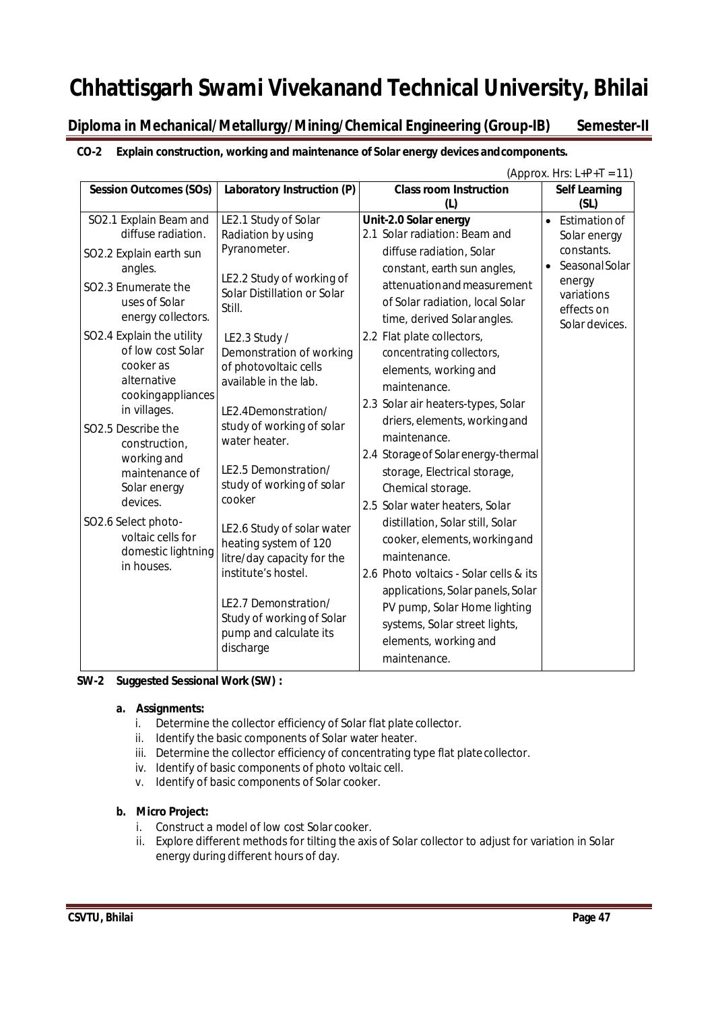### **Diploma in Mechanical/Metallurgy/Mining/Chemical Engineering (Group-IB) Semester-II**

#### **CO-2 Explain construction, working and maintenance of Solar energy devices andcomponents.**

|                                                                                                                                                                                                                                | (Approx. Hrs: $L+P+T = 11$ )                                                                                                                                                                                                    |                                                                                                                                                                                                                                                                                                                               |                                                                                                                                      |  |  |
|--------------------------------------------------------------------------------------------------------------------------------------------------------------------------------------------------------------------------------|---------------------------------------------------------------------------------------------------------------------------------------------------------------------------------------------------------------------------------|-------------------------------------------------------------------------------------------------------------------------------------------------------------------------------------------------------------------------------------------------------------------------------------------------------------------------------|--------------------------------------------------------------------------------------------------------------------------------------|--|--|
| <b>Session Outcomes (SOs)</b>                                                                                                                                                                                                  | Laboratory Instruction (P)                                                                                                                                                                                                      | <b>Class room Instruction</b>                                                                                                                                                                                                                                                                                                 | <b>Self Learning</b>                                                                                                                 |  |  |
| SO2.1 Explain Beam and<br>diffuse radiation.<br>SO2.2 Explain earth sun<br>angles.<br>SO2.3 Enumerate the<br>uses of Solar<br>energy collectors.<br>SO2.4 Explain the utility<br>of low cost Solar<br>cooker as<br>alternative | LE2.1 Study of Solar<br>Radiation by using<br>Pyranometer.<br>LE2.2 Study of working of<br>Solar Distillation or Solar<br>Still.<br>LE2.3 Study /<br>Demonstration of working<br>of photovoltaic cells<br>available in the lab. | (L)<br>Unit-2.0 Solar energy<br>2.1 Solar radiation: Beam and<br>diffuse radiation, Solar<br>constant, earth sun angles,<br>attenuation and measurement<br>of Solar radiation, local Solar<br>time, derived Solar angles.<br>2.2 Flat plate collectors,<br>concentrating collectors,<br>elements, working and<br>maintenance. | (SL)<br>Estimation of<br>Solar energy<br>constants.<br><b>Seasonal Solar</b><br>energy<br>variations<br>effects on<br>Solar devices. |  |  |
| cookingappliances<br>in villages.<br>SO2.5 Describe the<br>construction,<br>working and<br>maintenance of<br>Solar energy<br>devices.                                                                                          | LE2.4Demonstration/<br>study of working of solar<br>water heater.<br>LE2.5 Demonstration/<br>study of working of solar<br>cooker                                                                                                | 2.3 Solar air heaters-types, Solar<br>driers, elements, working and<br>maintenance.<br>2.4 Storage of Solar energy-thermal<br>storage, Electrical storage,<br>Chemical storage.<br>2.5 Solar water heaters, Solar                                                                                                             |                                                                                                                                      |  |  |
| SO2.6 Select photo-<br>voltaic cells for<br>domestic lightning<br>in houses.                                                                                                                                                   | LE2.6 Study of solar water<br>heating system of 120<br>litre/day capacity for the<br>institute's hostel.<br>LE2.7 Demonstration/<br>Study of working of Solar<br>pump and calculate its<br>discharge                            | distillation, Solar still, Solar<br>cooker, elements, working and<br>maintenance.<br>2.6 Photo voltaics - Solar cells & its<br>applications, Solar panels, Solar<br>PV pump, Solar Home lighting<br>systems, Solar street lights,<br>elements, working and<br>maintenance.                                                    |                                                                                                                                      |  |  |

#### **SW-2 Suggested Sessional Work (SW) :**

#### **a. Assignments:**

- i. Determine the collector efficiency of Solar flat plate collector.
- ii. Identify the basic components of Solar water heater.
- iii. Determine the collector efficiency of concentrating type flat platecollector.
- iv. Identify of basic components of photo voltaic cell.
- v. Identify of basic components of Solar cooker.

#### **b. Micro Project:**

- i. Construct a model of low cost Solar cooker.
- ii. Explore different methods for tilting the axis of Solar collector to adjust for variation in Solar energy during different hours of day.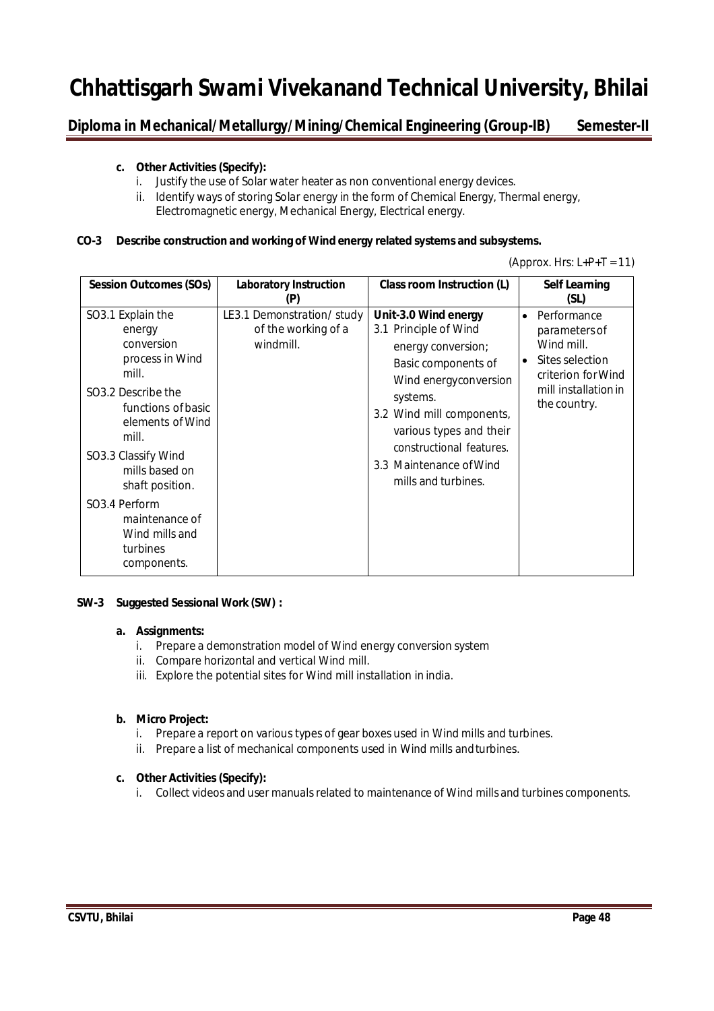Diploma in Mechanical/Metallurgy/Mining/Chemical Engineering (Group-IB) Semester-II

#### **c. Other Activities (Specify):**

- i. Justify the use of Solar water heater as non conventional energy devices.
- ii. Identify ways of storing Solar energy in the form of Chemical Energy, Thermal energy, Electromagnetic energy, Mechanical Energy, Electrical energy.

#### **CO-3 Describe construction and working of Wind energy related systems and subsystems.**

| (Approx. Hrs: $L+P+T = 11$ ) |  |  |  |
|------------------------------|--|--|--|
|------------------------------|--|--|--|

| <b>Session Outcomes (SOs)</b>                                                                                                                                                                                                                                                                                        | <b>Laboratory Instruction</b><br>(P)                          | Class room Instruction (L)                                                                                                                                                                                                                                            |                        | <b>Self Learning</b><br>(SL)                                                                                                |
|----------------------------------------------------------------------------------------------------------------------------------------------------------------------------------------------------------------------------------------------------------------------------------------------------------------------|---------------------------------------------------------------|-----------------------------------------------------------------------------------------------------------------------------------------------------------------------------------------------------------------------------------------------------------------------|------------------------|-----------------------------------------------------------------------------------------------------------------------------|
| SO3.1 Explain the<br>energy<br>conversion<br>process in Wind<br>mill.<br>SO <sub>3</sub> .2 Describe the<br>functions of basic<br>elements of Wind<br>mill.<br>SO3.3 Classify Wind<br>mills based on<br>shaft position.<br>SO <sub>3</sub> .4 Perform<br>maintenance of<br>Wind mills and<br>turbines<br>components. | LE3.1 Demonstration/study<br>of the working of a<br>windmill. | Unit-3.0 Wind energy<br>3.1 Principle of Wind<br>energy conversion;<br>Basic components of<br>Wind energyconversion<br>systems.<br>3.2 Wind mill components,<br>various types and their<br>constructional features.<br>3.3 Maintenance of Wind<br>mills and turbines. | $\bullet$<br>$\bullet$ | Performance<br>parameters of<br>Wind mill.<br>Sites selection<br>criterion for Wind<br>mill installation in<br>the country. |

#### **SW-3 Suggested Sessional Work (SW) :**

#### **a. Assignments:**

- i. Prepare a demonstration model of Wind energy conversion system
- ii. Compare horizontal and vertical Wind mill.
- iii. Explore the potential sites for Wind mill installation in india.

#### **b. Micro Project:**

- i. Prepare a report on various types of gear boxes used in Wind mills and turbines.
- ii. Prepare a list of mechanical components used in Wind mills and turbines.

#### **c. Other Activities (Specify):**

i. Collect videos and user manuals related to maintenance of Wind mills and turbines components.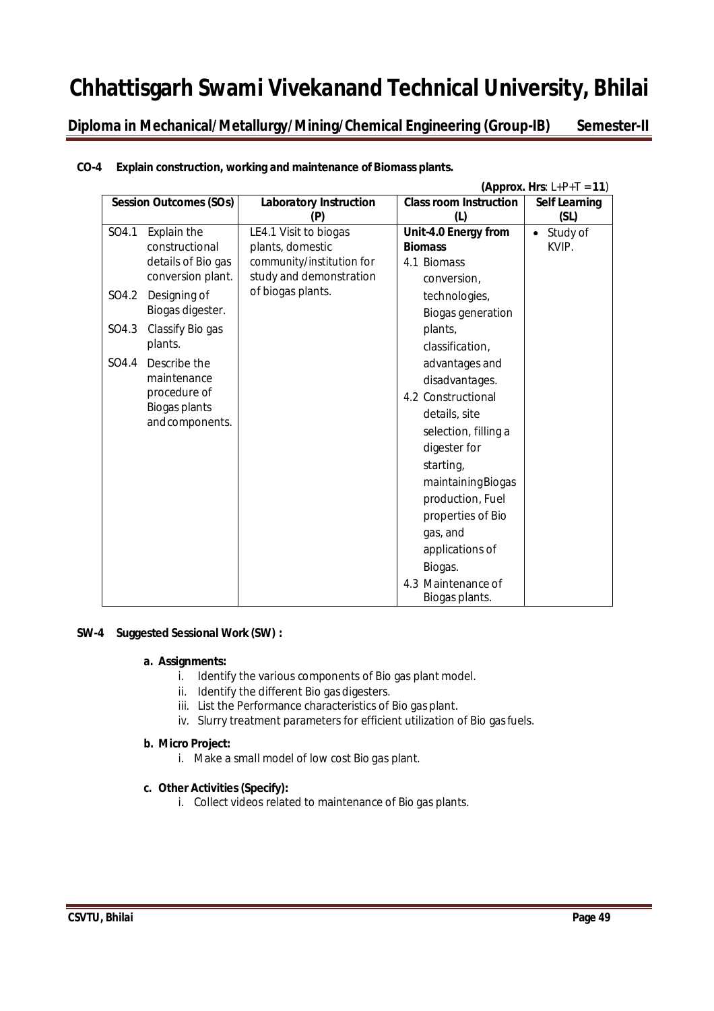**Diploma in Mechanical/Metallurgy/Mining/Chemical Engineering (Group-IB) Semester-II**

|       | (Approx. Hrs: $L+P+T = 11$ )  |                               |                                      |                      |  |
|-------|-------------------------------|-------------------------------|--------------------------------------|----------------------|--|
|       | <b>Session Outcomes (SOs)</b> | <b>Laboratory Instruction</b> | <b>Class room Instruction</b>        | <b>Self Learning</b> |  |
|       |                               | (P)                           | (1)                                  | (SL)                 |  |
| SO4.1 | Explain the                   | LE4.1 Visit to biogas         | Unit-4.0 Energy from                 | Study of             |  |
|       | constructional                | plants, domestic              | <b>Biomass</b>                       | KVIP.                |  |
|       | details of Bio gas            | community/institution for     | 4.1 Biomass                          |                      |  |
|       | conversion plant.             | study and demonstration       | conversion,                          |                      |  |
| SO4.2 | Designing of                  | of biogas plants.             | technologies,                        |                      |  |
|       | Biogas digester.              |                               | <b>Biogas generation</b>             |                      |  |
| SO4.3 | Classify Bio gas              |                               | plants,                              |                      |  |
|       | plants.                       |                               | classification,                      |                      |  |
| SO4.4 | Describe the                  |                               | advantages and                       |                      |  |
|       | maintenance                   |                               | disadvantages.                       |                      |  |
|       | procedure of                  |                               | 4.2 Constructional                   |                      |  |
|       | Biogas plants                 |                               | details, site                        |                      |  |
|       | and components.               |                               | selection, filling a                 |                      |  |
|       |                               |                               | digester for                         |                      |  |
|       |                               |                               | starting,                            |                      |  |
|       |                               |                               | maintainingBiogas                    |                      |  |
|       |                               |                               | production, Fuel                     |                      |  |
|       |                               |                               | properties of Bio                    |                      |  |
|       |                               |                               | gas, and                             |                      |  |
|       |                               |                               | applications of                      |                      |  |
|       |                               |                               | Biogas.                              |                      |  |
|       |                               |                               |                                      |                      |  |
|       |                               |                               | 4.3 Maintenance of<br>Biogas plants. |                      |  |

#### **CO-4 Explain construction, working and maintenance of Biomass plants.**

#### **SW-4 Suggested Sessional Work (SW) :**

#### **a. Assignments:**

- i. Identify the various components of Bio gas plant model.
- ii. Identify the different Bio gas digesters.
- iii. List the Performance characteristics of Bio gas plant.
- iv. Slurry treatment parameters for efficient utilization of Bio gasfuels.

#### **b. Micro Project:**

i. Make a small model of low cost Bio gas plant.

#### **c. Other Activities (Specify):**

i. Collect videos related to maintenance of Bio gas plants.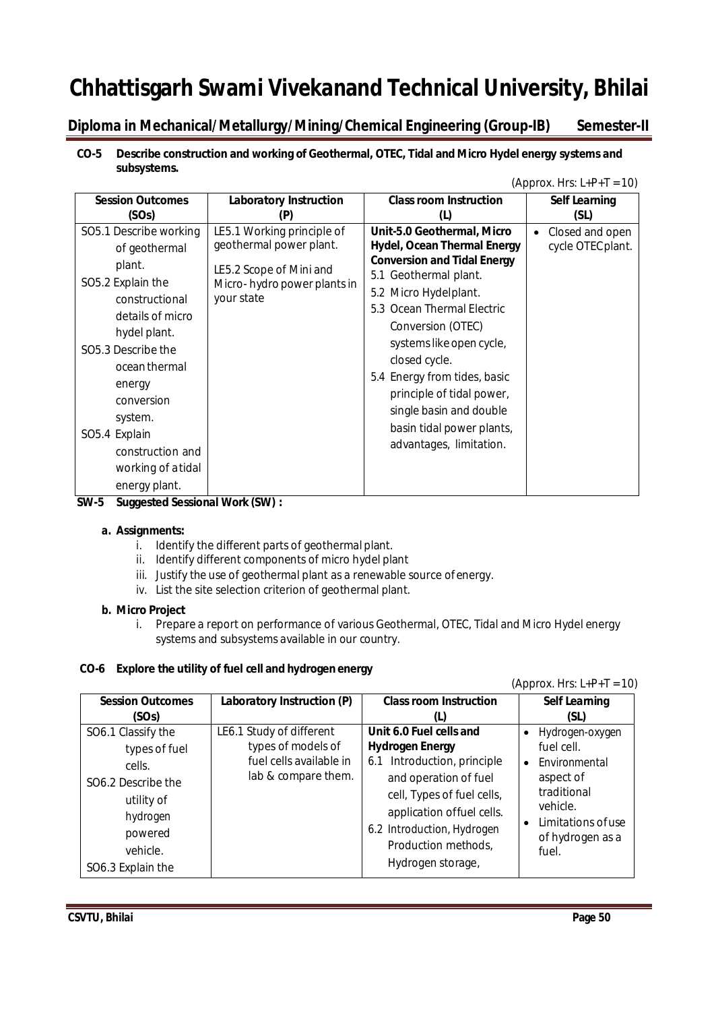### Diploma in Mechanical/Metallurgy/Mining/Chemical Engineering (Group-IB) Semester-II

#### **CO-5 Describe construction and working of Geothermal, OTEC, Tidal and Micro Hydel energy systems and subsystems.**

|                                                                                                                                                                                                                                                                                                             |                                                                                                                               |                                                                                                                                                                                                                                                                                                                                                                                                          | (Approx. Hrs: $L+P+T = 10$ )         |
|-------------------------------------------------------------------------------------------------------------------------------------------------------------------------------------------------------------------------------------------------------------------------------------------------------------|-------------------------------------------------------------------------------------------------------------------------------|----------------------------------------------------------------------------------------------------------------------------------------------------------------------------------------------------------------------------------------------------------------------------------------------------------------------------------------------------------------------------------------------------------|--------------------------------------|
| <b>Session Outcomes</b><br>(SOs)                                                                                                                                                                                                                                                                            | <b>Laboratory Instruction</b>                                                                                                 | <b>Class room Instruction</b>                                                                                                                                                                                                                                                                                                                                                                            | <b>Self Learning</b><br>(SL)         |
| SO5.1 Describe working<br>of geothermal<br>plant.<br>SO5.2 Explain the<br>constructional<br>details of micro<br>hydel plant.<br>SO <sub>5</sub> .3 Describe the<br>ocean thermal<br>energy<br>conversion<br>system.<br>SO <sub>5.4</sub> Explain<br>construction and<br>working of a tidal<br>energy plant. | LE5.1 Working principle of<br>geothermal power plant.<br>LE5.2 Scope of Mini and<br>Micro-hydro power plants in<br>your state | Unit-5.0 Geothermal, Micro<br><b>Hydel, Ocean Thermal Energy</b><br><b>Conversion and Tidal Energy</b><br>5.1 Geothermal plant.<br>5.2 Micro Hydelplant.<br>5.3 Ocean Thermal Electric<br>Conversion (OTEC)<br>systems like open cycle,<br>closed cycle.<br>5.4 Energy from tides, basic<br>principle of tidal power,<br>single basin and double<br>basin tidal power plants,<br>advantages, limitation. | Closed and open<br>cycle OTEC plant. |

**SW-5 Suggested Sessional Work (SW) :**

#### **a. Assignments:**

- i. Identify the different parts of geothermal plant.
- ii. Identify different components of micro hydel plant
- iii. Justify the use of geothermal plant as a renewable source ofenergy.
- iv. List the site selection criterion of geothermal plant.

#### **b. Micro Project**

i. Prepare a report on performance of various Geothermal, OTEC, Tidal and Micro Hydel energy systems and subsystems available in our country.

### **CO-6 Explore the utility of fuel cell and hydrogen energy**

#### $(Approx. Hrs: L+P+T = 10)$

| <b>Session Outcomes</b>                                                                                                                               | Laboratory Instruction (P)                                                                       | <b>Class room Instruction</b>                                                                                                                                                                                                                  | <b>Self Learning</b>                                                                                                                      |
|-------------------------------------------------------------------------------------------------------------------------------------------------------|--------------------------------------------------------------------------------------------------|------------------------------------------------------------------------------------------------------------------------------------------------------------------------------------------------------------------------------------------------|-------------------------------------------------------------------------------------------------------------------------------------------|
| (SOs)                                                                                                                                                 |                                                                                                  | (L)                                                                                                                                                                                                                                            | (SL)                                                                                                                                      |
| SO6.1 Classify the<br>types of fuel<br>cells.<br>SO <sub>6.2</sub> Describe the<br>utility of<br>hydrogen<br>powered<br>vehicle.<br>SO6.3 Explain the | LE6.1 Study of different<br>types of models of<br>fuel cells available in<br>lab & compare them. | Unit 6.0 Fuel cells and<br><b>Hydrogen Energy</b><br>6.1 Introduction, principle<br>and operation of fuel<br>cell, Types of fuel cells,<br>application offuel cells.<br>6.2 Introduction, Hydrogen<br>Production methods,<br>Hydrogen storage, | Hydrogen-oxygen<br>fuel cell.<br>Environmental<br>aspect of<br>traditional<br>vehicle.<br>Limitations of use<br>of hydrogen as a<br>fuel. |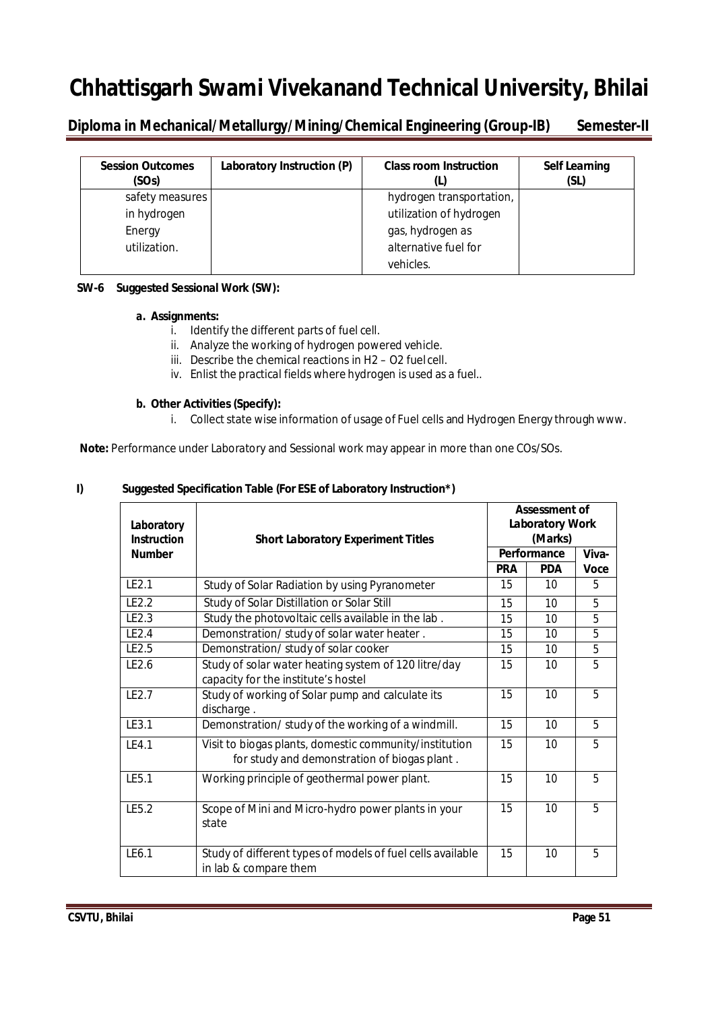**Diploma in Mechanical/Metallurgy/Mining/Chemical Engineering (Group-IB) Semester-II** 

| <b>Session Outcomes</b><br>(SOs) | Laboratory Instruction (P) | <b>Class room Instruction</b> | <b>Self Learning</b><br>(SL) |
|----------------------------------|----------------------------|-------------------------------|------------------------------|
| safety measures                  |                            | hydrogen transportation,      |                              |
| in hydrogen                      |                            | utilization of hydrogen       |                              |
| Energy                           |                            | gas, hydrogen as              |                              |
| utilization.                     |                            | alternative fuel for          |                              |
|                                  |                            | vehicles.                     |                              |

#### **SW-6 Suggested Sessional Work (SW):**

#### **a. Assignments:**

- i. Identify the different parts of fuel cell.
- ii. Analyze the working of hydrogen powered vehicle.
- iii. Describe the chemical reactions in H2 O2 fuel cell.
- iv. Enlist the practical fields where hydrogen is used as a fuel..

#### **b. Other Activities (Specify):**

i. Collect state wise information of usage of Fuel cells and Hydrogen Energy through www.

**Note:** Performance under Laboratory and Sessional work may appear in more than one COs/SOs.

#### **I) Suggested Specification Table (For ESE of Laboratory Instruction\*)**

| Laboratory<br><b>Instruction</b> | <b>Short Laboratory Experiment Titles</b>                                                              | <b>Assessment of</b><br><b>Laboratory Work</b><br>(Marks) |             |             |
|----------------------------------|--------------------------------------------------------------------------------------------------------|-----------------------------------------------------------|-------------|-------------|
| <b>Number</b>                    |                                                                                                        |                                                           | Performance |             |
|                                  |                                                                                                        | <b>PRA</b>                                                | <b>PDA</b>  | <b>Voce</b> |
| LE2.1                            | Study of Solar Radiation by using Pyranometer                                                          | 15                                                        | 10          | 5           |
| LE2.2                            | Study of Solar Distillation or Solar Still                                                             | 15                                                        | 10          | 5           |
| LE2.3                            | Study the photovoltaic cells available in the lab.                                                     | 15                                                        | 10          | 5           |
| LE2.4                            | Demonstration/study of solar water heater.                                                             | 15                                                        | 10          | 5           |
| LE2.5                            | Demonstration/study of solar cooker                                                                    | 15                                                        | 10          | 5           |
| LE2.6                            | Study of solar water heating system of 120 litre/day<br>capacity for the institute's hostel            | 15                                                        | 10          | 5           |
| LE2.7                            | Study of working of Solar pump and calculate its<br>discharge.                                         | 15                                                        | 10          | 5           |
| LE3.1                            | Demonstration/study of the working of a windmill.                                                      | 15                                                        | 10          | 5           |
| IF4.1                            | Visit to biogas plants, domestic community/institution<br>for study and demonstration of biogas plant. | 15                                                        | 10          | 5           |
| LE5.1                            | Working principle of geothermal power plant.                                                           | 15                                                        | 10          | 5           |
| LE5.2                            | Scope of Mini and Micro-hydro power plants in your<br>state                                            | 15                                                        | 10          | 5           |
| LE6.1                            | Study of different types of models of fuel cells available<br>in lab & compare them                    | 15                                                        | 10          | 5           |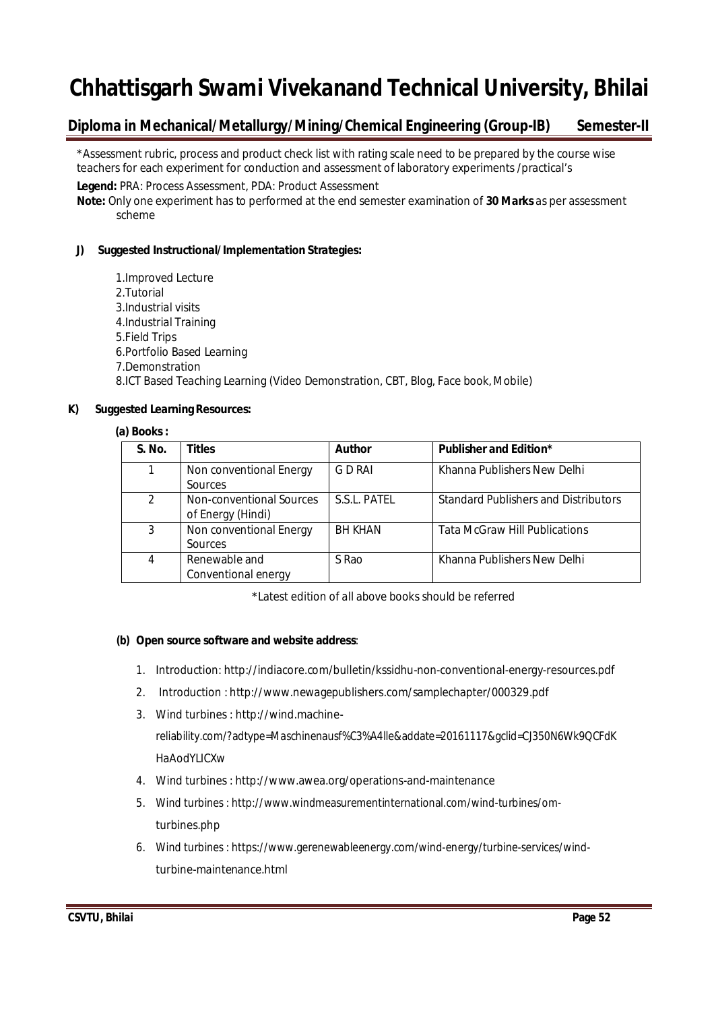### **Diploma in Mechanical/Metallurgy/Mining/Chemical Engineering (Group-IB) Semester-II**

\*Assessment rubric, process and product check list with rating scale need to be prepared by the course wise teachers for each experiment for conduction and assessment of laboratory experiments /practical's

**Legend:** PRA: Process Assessment, PDA: Product Assessment

**Note:** Only one experiment has to performed at the end semester examination of **30 Marks** as per assessment scheme

#### **J) Suggested Instructional/Implementation Strategies:**

1.Improved Lecture 2.Tutorial 3.Industrial visits 4.Industrial Training 5.Field Trips 6.Portfolio Based Learning 7.Demonstration 8.ICT Based Teaching Learning (Video Demonstration, CBT, Blog, Face book, Mobile)

#### **K) Suggested Learning Resources:**

#### **(a) Books:**

| S. No. | <b>Titles</b>                                 | <b>Author</b>  | <b>Publisher and Edition*</b>               |
|--------|-----------------------------------------------|----------------|---------------------------------------------|
| 1      | Non conventional Energy<br>Sources            | G D RAI        | Khanna Publishers New Delhi                 |
| 2      | Non-conventional Sources<br>of Energy (Hindi) | S.S.L. PATEL   | <b>Standard Publishers and Distributors</b> |
| 3      | Non conventional Energy<br><b>Sources</b>     | <b>BH KHAN</b> | <b>Tata McGraw Hill Publications</b>        |
| 4      | Renewable and<br>Conventional energy          | S Rao          | Khanna Publishers New Delhi                 |

\*Latest edition of all above books should be referred

#### **(b) Open source software and website address**:

- 1. Introduction: http://indiacore.com/bulletin/kssidhu-non-conventional-energy-resources.pdf
- 2. Introduction : http://www.newagepublishers.com/samplechapter/000329.pdf
- 3. Wind turbines : http://wind.machinereliability.com/?adtype=Maschinenausf%C3%A4lle&addate=20161117&gclid=CJ350N6Wk9QCFdK HaAodYLICXw
- 4. Wind turbines : http://www.awea.org/operations-and-maintenance
- 5. Wind turbines : http://www.windmeasurementinternational.com/wind-turbines/omturbines.php
- 6. Wind turbines : https://www.gerenewableenergy.com/wind-energy/turbine-services/windturbine-maintenance.html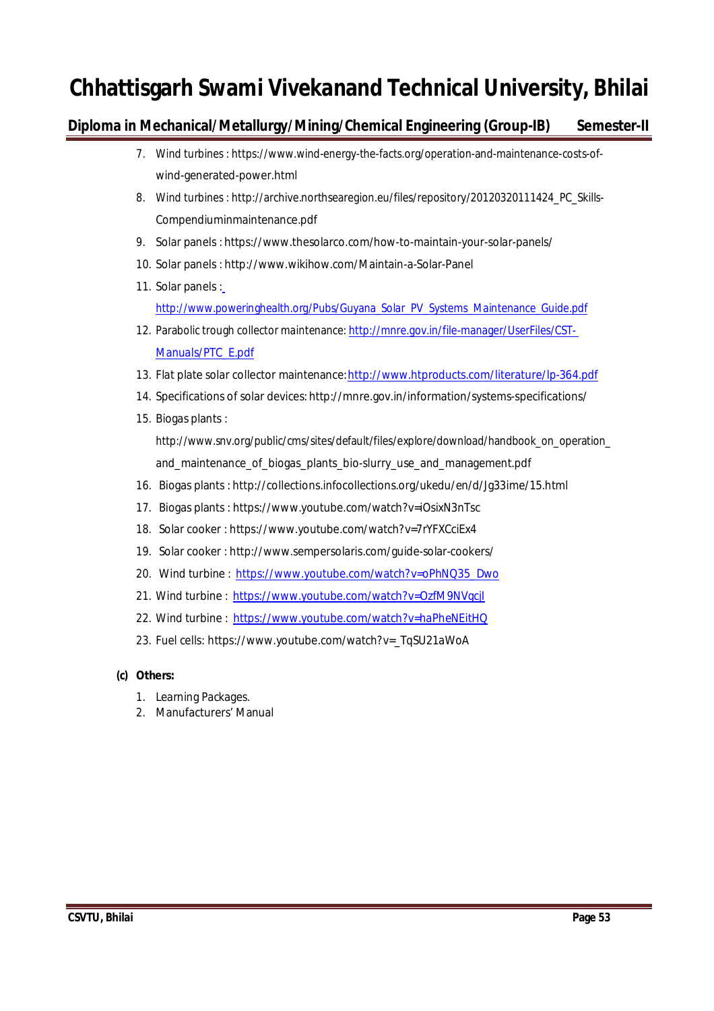### **Diploma in Mechanical/Metallurgy/Mining/Chemical Engineering (Group-IB) Semester-II**

- 7. Wind turbines : https://www.wind-energy-the-facts.org/operation-and-maintenance-costs-ofwind-generated-power.html
- 8. Wind turbines : http://archive.northsearegion.eu/files/repository/20120320111424\_PC\_Skills-Compendiuminmaintenance.pdf
- 9. Solar panels : https://www.thesolarco.com/how-to-maintain-your-solar-panels/
- 10. Solar panels : http://www.wikihow.com/Maintain-a-Solar-Panel
- 11. Solar panels : http://www.poweringhealth.org/Pubs/Guyana\_Solar\_PV\_Systems\_Maintenance\_Guide.pdf
- 12. Parabolic trough collector maintenance: http://mnre.gov.in/file-manager/UserFiles/CST-Manuals/PTC\_E.pdf
- 13. Flat plate solar collector maintenance:http://www.htproducts.com/literature/lp-364.pdf
- 14. Specifications of solar devices: http://mnre.gov.in/information/systems-specifications/
- 15. Biogas plants :

http://www.snv.org/public/cms/sites/default/files/explore/download/handbook\_on\_operation\_ and\_maintenance\_of\_biogas\_plants\_bio-slurry\_use\_and\_management.pdf

- 16. Biogas plants : http://collections.infocollections.org/ukedu/en/d/Jg33ime/15.html
- 17. Biogas plants : https://www.youtube.com/watch?v=iOsixN3nTsc
- 18. Solar cooker : https://www.youtube.com/watch?v=7rYFXCciEx4
- 19. Solar cooker : http://www.sempersolaris.com/guide-solar-cookers/
- 20. Wind turbine : https://www.youtube.com/watch?v=oPhNQ35\_Dwo
- 21. Wind turbine : https://www.youtube.com/watch?v=OzfM9NVgcjI
- 22. Wind turbine : https://www.youtube.com/watch?v=haPheNEitHQ
- 23. Fuel cells: https://www.youtube.com/watch?v=\_TqSU21aWoA

#### **(c) Others:**

- 1. Learning Packages.
- 2. Manufacturers' Manual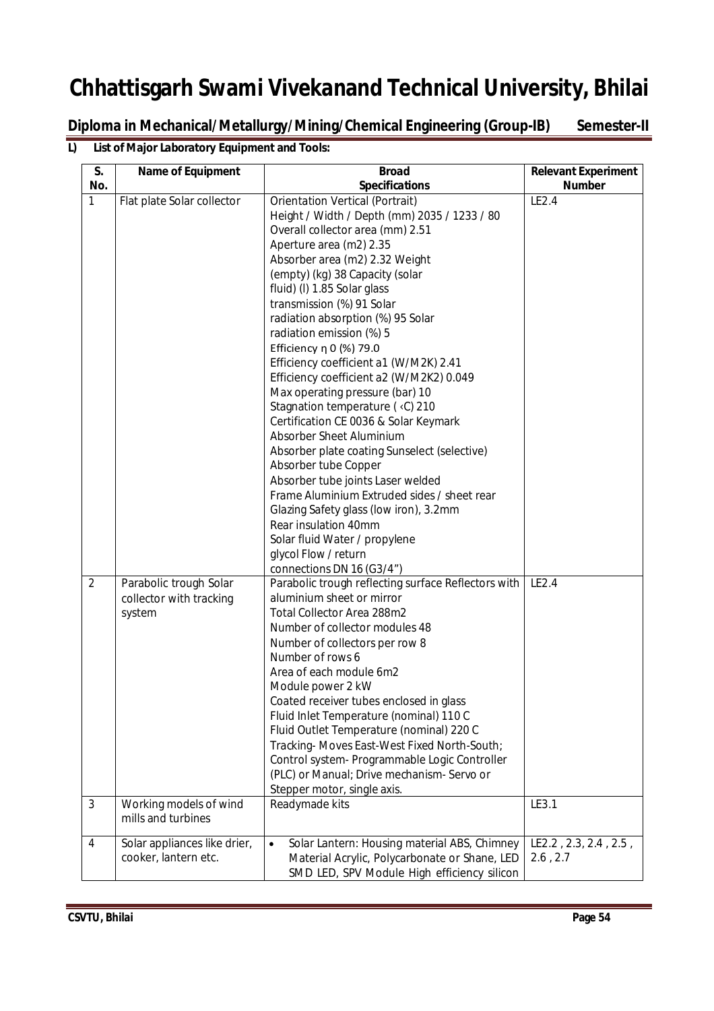**Diploma in Mechanical/Metallurgy/Mining/Chemical Engineering (Group-IB) Semester-II**

### **L) List of Major Laboratory Equipment and Tools:**

| S.<br>No.           | Name of Equipment                                                                     | <b>Broad</b><br><b>Specifications</b>                                                                                                                                                                                                                                                                                                                                                                                                                                                                                                                                                                                                                                                                                                                                                                                                                                                                                                                   | <b>Relevant Experiment</b><br><b>Number</b> |
|---------------------|---------------------------------------------------------------------------------------|---------------------------------------------------------------------------------------------------------------------------------------------------------------------------------------------------------------------------------------------------------------------------------------------------------------------------------------------------------------------------------------------------------------------------------------------------------------------------------------------------------------------------------------------------------------------------------------------------------------------------------------------------------------------------------------------------------------------------------------------------------------------------------------------------------------------------------------------------------------------------------------------------------------------------------------------------------|---------------------------------------------|
| $\mathbf{1}$        | Flat plate Solar collector                                                            | Orientation Vertical (Portrait)<br>Height / Width / Depth (mm) 2035 / 1233 / 80<br>Overall collector area (mm) 2.51<br>Aperture area (m2) 2.35<br>Absorber area (m2) 2.32 Weight<br>(empty) (kg) 38 Capacity (solar<br>fluid) (I) 1.85 Solar glass<br>transmission (%) 91 Solar<br>radiation absorption (%) 95 Solar<br>radiation emission (%) 5<br>Efficiency η 0 (%) 79.0<br>Efficiency coefficient a1 (W/M2K) 2.41<br>Efficiency coefficient a2 (W/M2K2) 0.049<br>Max operating pressure (bar) 10<br>Stagnation temperature ( <c) 210<br="">Certification CE 0036 &amp; Solar Keymark<br/>Absorber Sheet Aluminium<br/>Absorber plate coating Sunselect (selective)<br/>Absorber tube Copper<br/>Absorber tube joints Laser welded<br/>Frame Aluminium Extruded sides / sheet rear<br/>Glazing Safety glass (low iron), 3.2mm<br/>Rear insulation 40mm<br/>Solar fluid Water / propylene<br/>glycol Flow / return<br/>connections DN 16 (G3/4")</c)> | LE2.4                                       |
| $\overline{2}$<br>3 | Parabolic trough Solar<br>collector with tracking<br>system<br>Working models of wind | Parabolic trough reflecting surface Reflectors with<br>aluminium sheet or mirror<br>Total Collector Area 288m2<br>Number of collector modules 48<br>Number of collectors per row 8<br>Number of rows 6<br>Area of each module 6m2<br>Module power 2 kW<br>Coated receiver tubes enclosed in glass<br>Fluid Inlet Temperature (nominal) 110 C<br>Fluid Outlet Temperature (nominal) 220 C<br>Tracking-Moves East-West Fixed North-South;<br>Control system- Programmable Logic Controller<br>(PLC) or Manual; Drive mechanism- Servo or<br>Stepper motor, single axis.<br>Readymade kits                                                                                                                                                                                                                                                                                                                                                                 | LE2.4<br>LE3.1                              |
|                     | mills and turbines                                                                    |                                                                                                                                                                                                                                                                                                                                                                                                                                                                                                                                                                                                                                                                                                                                                                                                                                                                                                                                                         |                                             |
| 4                   | Solar appliances like drier,<br>cooker, lantern etc.                                  | Solar Lantern: Housing material ABS, Chimney<br>$\bullet$<br>Material Acrylic, Polycarbonate or Shane, LED<br>SMD LED, SPV Module High efficiency silicon                                                                                                                                                                                                                                                                                                                                                                                                                                                                                                                                                                                                                                                                                                                                                                                               | LE2.2, 2.3, 2.4, 2.5,<br>2.6, 2.7           |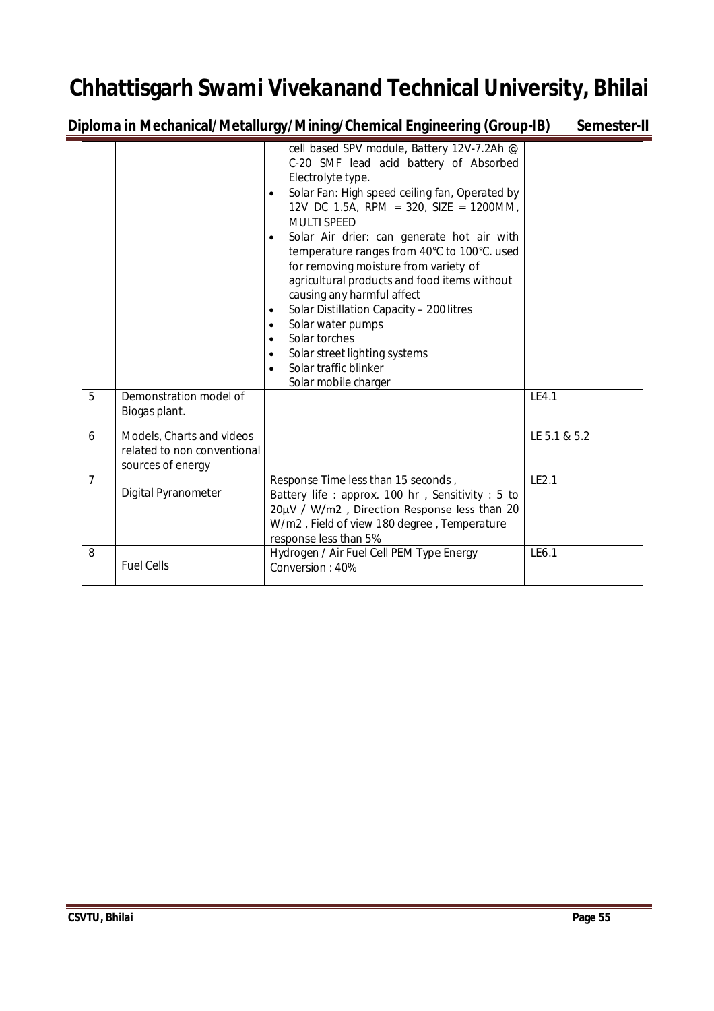**Diploma in Mechanical/Metallurgy/Mining/Chemical Engineering (Group-IB) Semester-II**

|                |                                                                               | cell based SPV module, Battery 12V-7.2Ah @<br>C-20 SMF lead acid battery of Absorbed<br>Electrolyte type.<br>Solar Fan: High speed ceiling fan, Operated by<br>$\bullet$<br>12V DC 1.5A, RPM = 320, SIZE = 1200MM,<br><b>MULTI SPEED</b><br>Solar Air drier: can generate hot air with<br>$\bullet$<br>temperature ranges from 40°C to 100°C. used<br>for removing moisture from variety of<br>agricultural products and food items without<br>causing any harmful affect<br>Solar Distillation Capacity - 200 litres<br>$\bullet$<br>Solar water pumps<br>$\bullet$<br>Solar torches<br>$\bullet$<br>Solar street lighting systems<br>$\bullet$<br>Solar traffic blinker<br>$\bullet$ |              |
|----------------|-------------------------------------------------------------------------------|----------------------------------------------------------------------------------------------------------------------------------------------------------------------------------------------------------------------------------------------------------------------------------------------------------------------------------------------------------------------------------------------------------------------------------------------------------------------------------------------------------------------------------------------------------------------------------------------------------------------------------------------------------------------------------------|--------------|
| 5              | Demonstration model of<br>Biogas plant.                                       | Solar mobile charger                                                                                                                                                                                                                                                                                                                                                                                                                                                                                                                                                                                                                                                                   | LE4.1        |
| 6              | Models, Charts and videos<br>related to non conventional<br>sources of energy |                                                                                                                                                                                                                                                                                                                                                                                                                                                                                                                                                                                                                                                                                        | LE 5.1 & 5.2 |
| $\overline{7}$ | Digital Pyranometer                                                           | Response Time less than 15 seconds,<br>Battery life: approx. 100 hr, Sensitivity: 5 to<br>20µV / W/m2, Direction Response less than 20<br>W/m2, Field of view 180 degree, Temperature<br>response less than 5%                                                                                                                                                                                                                                                                                                                                                                                                                                                                         | LE2.1        |
| 8              | <b>Fuel Cells</b>                                                             | Hydrogen / Air Fuel Cell PEM Type Energy<br>Conversion: 40%                                                                                                                                                                                                                                                                                                                                                                                                                                                                                                                                                                                                                            | LE6.1        |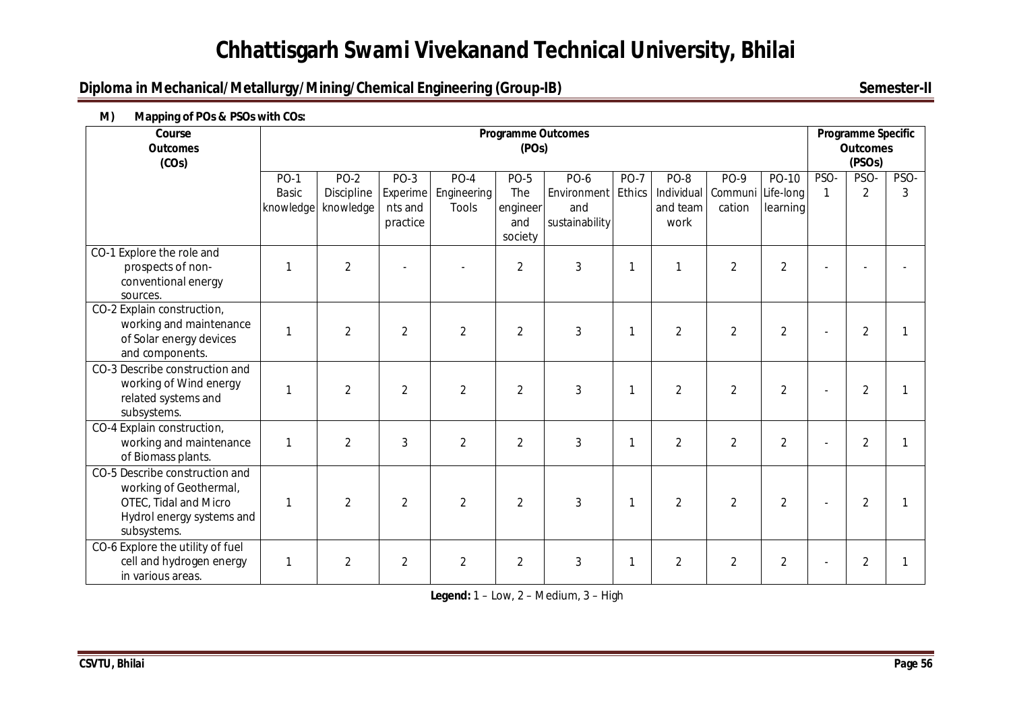### **Diploma in Mechanical/Metallurgy/Mining/Chemical Engineering (Group-IB)** Semester-II

| тг<br>Course<br><b>Outcomes</b><br>(COs)                                                                                      |                                          |                                   |                                           |                                       | <b>Programme Outcomes</b><br>(POs)               |                                                            |              |                                        |                                            |                   |                      | Programme Specific<br><b>Outcomes</b><br>(PSOs) |           |
|-------------------------------------------------------------------------------------------------------------------------------|------------------------------------------|-----------------------------------|-------------------------------------------|---------------------------------------|--------------------------------------------------|------------------------------------------------------------|--------------|----------------------------------------|--------------------------------------------|-------------------|----------------------|-------------------------------------------------|-----------|
|                                                                                                                               | <b>PO-1</b><br><b>Basic</b><br>knowledge | $PO-2$<br>Discipline<br>knowledge | $PO-3$<br>Experime<br>nts and<br>practice | $PO-4$<br>Engineering<br><b>Tools</b> | <b>PO-5</b><br>The<br>engineer<br>and<br>society | <b>PO-6</b><br>Environment Ethics<br>and<br>sustainability | <b>PO-7</b>  | PO-8<br>Individual<br>and team<br>work | <b>PO-9</b><br>Communi Life-long<br>cation | PO-10<br>learning | PSO-<br>$\mathbf{1}$ | PSO-<br>$\overline{2}$                          | PSO-<br>3 |
| CO-1 Explore the role and<br>prospects of non-<br>conventional energy<br>sources.                                             |                                          | $\overline{2}$                    |                                           |                                       | $\overline{2}$                                   | 3                                                          | $\mathbf{1}$ |                                        | $\overline{2}$                             | $\overline{2}$    |                      |                                                 |           |
| CO-2 Explain construction,<br>working and maintenance<br>of Solar energy devices<br>and components.                           |                                          | $\overline{2}$                    | $\overline{2}$                            | $\overline{2}$                        | $\overline{2}$                                   | $\mathfrak{Z}$                                             | 1            | $\overline{2}$                         | $\overline{2}$                             | $\overline{2}$    |                      | $\overline{2}$                                  |           |
| CO-3 Describe construction and<br>working of Wind energy<br>related systems and<br>subsystems.                                |                                          | $\overline{2}$                    | $\overline{2}$                            | $\overline{2}$                        | $\overline{2}$                                   | 3                                                          | 1            | $\overline{2}$                         | $\overline{2}$                             | $\overline{2}$    |                      | $\overline{2}$                                  |           |
| CO-4 Explain construction,<br>working and maintenance<br>of Biomass plants.                                                   | -1                                       | $\overline{2}$                    | 3                                         | $\overline{2}$                        | $\overline{2}$                                   | 3                                                          | 1            | $\overline{2}$                         | $\overline{2}$                             | $\overline{2}$    |                      | $\overline{2}$                                  |           |
| CO-5 Describe construction and<br>working of Geothermal,<br>OTEC, Tidal and Micro<br>Hydrol energy systems and<br>subsystems. |                                          | $\overline{2}$                    | $\overline{2}$                            | $\overline{2}$                        | $\overline{2}$                                   | 3                                                          | 1            | $\overline{2}$                         | $\overline{2}$                             | $\overline{2}$    |                      | $\overline{2}$                                  |           |
| CO-6 Explore the utility of fuel<br>cell and hydrogen energy<br>in various areas.                                             |                                          | $\overline{2}$                    | $\overline{2}$                            | $\overline{2}$                        | $\overline{2}$                                   | 3                                                          | $\mathbf{1}$ | $\overline{2}$                         | $\overline{2}$                             | $\overline{2}$    |                      | $\overline{2}$                                  |           |

#### **M) Mapping of POs & PSOs with COs:**

**Legend:** 1 – Low, 2 – Medium, 3 – High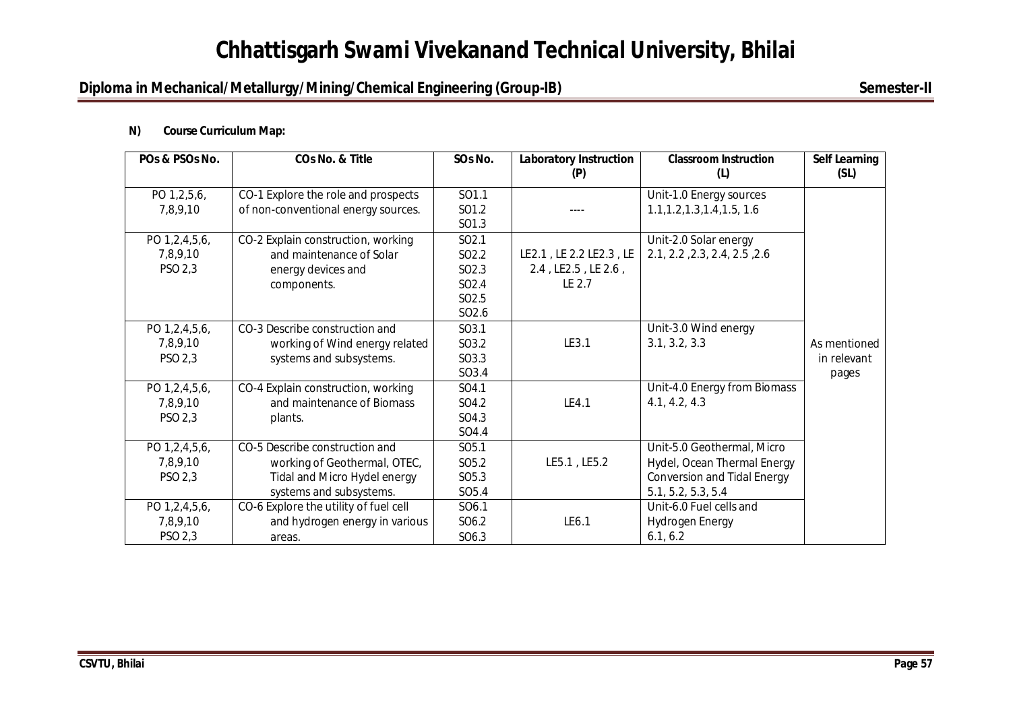### **Diploma in Mechanical/Metallurgy/Mining/Chemical Engineering (Group-IB)** Semester-II

#### **N) Course Curriculum Map:**

| POs & PSOs No. | COs No. & Title                       | SOs No.           | <b>Laboratory Instruction</b><br>(P) | <b>Classroom Instruction</b><br>(L) | <b>Self Learning</b><br>(SL) |
|----------------|---------------------------------------|-------------------|--------------------------------------|-------------------------------------|------------------------------|
| PO 1,2,5,6,    | CO-1 Explore the role and prospects   | SO1.1             |                                      | Unit-1.0 Energy sources             |                              |
| 7,8,9,10       | of non-conventional energy sources.   | SO1.2             |                                      | 1.1, 1.2, 1.3, 1.4, 1.5, 1.6        |                              |
|                |                                       | SO1.3             |                                      |                                     |                              |
| PO 1,2,4,5,6,  | CO-2 Explain construction, working    | SO <sub>2.1</sub> |                                      | Unit-2.0 Solar energy               |                              |
| 7,8,9,10       | and maintenance of Solar              | SO <sub>2.2</sub> | LE2.1, LE 2.2 LE2.3, LE              | 2.1, 2.2, 2.3, 2.4, 2.5, 2.6        |                              |
| PSO 2,3        | energy devices and                    | SO <sub>2.3</sub> | 2.4, LE2.5, LE 2.6,                  |                                     |                              |
|                | components.                           | SO <sub>2.4</sub> | LE 2.7                               |                                     |                              |
|                |                                       | SO <sub>2.5</sub> |                                      |                                     |                              |
|                |                                       | SO <sub>2.6</sub> |                                      |                                     |                              |
| PO 1,2,4,5,6,  | CO-3 Describe construction and        | SO3.1             |                                      | Unit-3.0 Wind energy                |                              |
| 7,8,9,10       | working of Wind energy related        | SO3.2             | LE3.1                                | 3.1, 3.2, 3.3                       | As mentioned                 |
| PSO 2,3        | systems and subsystems.               | SO3.3             |                                      |                                     | in relevant                  |
|                |                                       | SO3.4             |                                      |                                     | pages                        |
| PO 1,2,4,5,6,  | CO-4 Explain construction, working    | SO4.1             |                                      | Unit-4.0 Energy from Biomass        |                              |
| 7,8,9,10       | and maintenance of Biomass            | SO4.2             | LE4.1                                | 4.1, 4.2, 4.3                       |                              |
| PSO 2,3        | plants.                               | SO4.3             |                                      |                                     |                              |
|                |                                       | SO4.4             |                                      |                                     |                              |
| PO 1,2,4,5,6,  | CO-5 Describe construction and        | SO <sub>5.1</sub> |                                      | Unit-5.0 Geothermal, Micro          |                              |
| 7,8,9,10       | working of Geothermal, OTEC,          | SO <sub>5.2</sub> | LE5.1, LE5.2                         | Hydel, Ocean Thermal Energy         |                              |
| PSO 2,3        | Tidal and Micro Hydel energy          | SO <sub>5.3</sub> |                                      | <b>Conversion and Tidal Energy</b>  |                              |
|                | systems and subsystems.               | SO <sub>5.4</sub> |                                      | 5.1, 5.2, 5.3, 5.4                  |                              |
| PO 1,2,4,5,6,  | CO-6 Explore the utility of fuel cell | SO6.1             |                                      | Unit-6.0 Fuel cells and             |                              |
| 7,8,9,10       | and hydrogen energy in various        | SO6.2             | LE6.1                                | <b>Hydrogen Energy</b>              |                              |
| PSO 2,3        | areas.                                | SO6.3             |                                      | 6.1, 6.2                            |                              |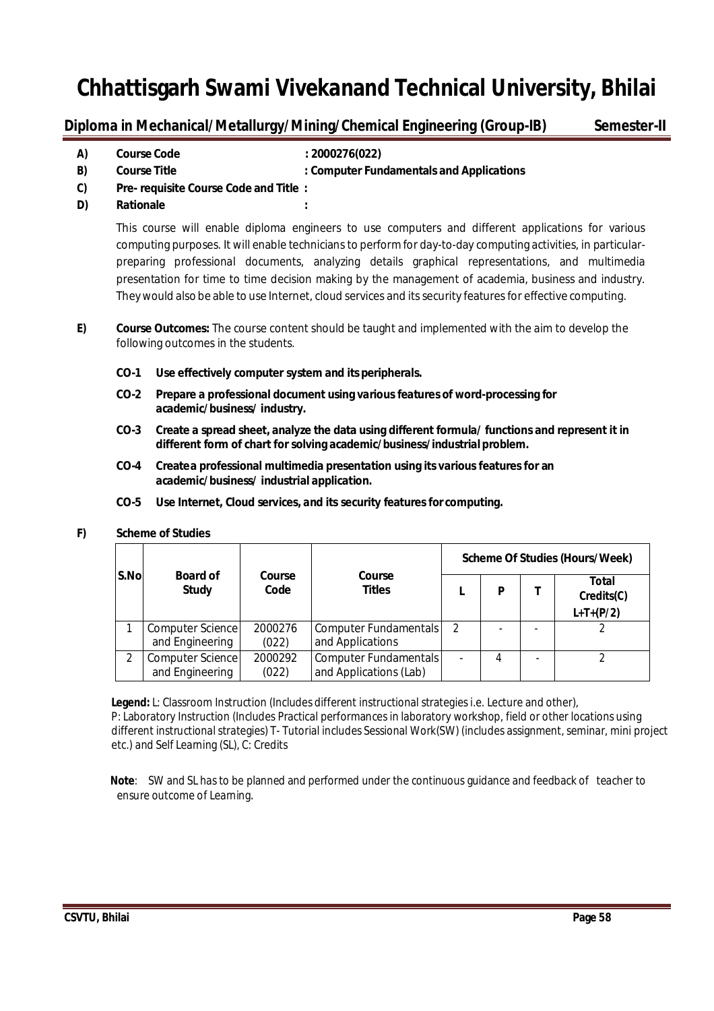### **Diploma in Mechanical/Metallurgy/Mining/Chemical Engineering (Group-IB) Semester-II**

**A) Course Code : 2000276(022)**

- **B) Course Title : Computer Fundamentals and Applications**
- **C) Pre- requisite Course Code and Title :**
- **D) Rationale :**

This course will enable diploma engineers to use computers and different applications for various computing purposes. It will enable technicians to perform for day-to-day computing activities, in particularpreparing professional documents, analyzing details graphical representations, and multimedia presentation for time to time decision making by the management of academia, business and industry. They would also be able to use Internet, cloud services and its security features for effective computing.

- **E) Course Outcomes:** The course content should be taught and implemented with the aim to develop the following outcomes in the students.
	- **CO-1 Use effectively computer system and its peripherals.**
	- **CO-2 Prepare a professional document using variousfeatures of word-processing for academic/business/ industry.**
	- **CO-3 Create a spread sheet, analyze the data using different formula/ functions and represent it in different form of chart for solving academic/business/industrial problem.**
	- **CO-4 Createa professional multimedia presentation using its variousfeaturesfor an academic/business/ industrial application.**
	- **CO-5 Use Internet, Cloud services, and its security features for computing.**

#### **F) Scheme of Studies**

|               |                                     |                  |                                                 |               |   | <b>Scheme Of Studies (Hours/Week)</b>     |
|---------------|-------------------------------------|------------------|-------------------------------------------------|---------------|---|-------------------------------------------|
| S.No          | <b>Board of</b><br><b>Study</b>     | Course<br>Code   | Course<br><b>Titles</b>                         |               | P | <b>Total</b><br>Credits(C)<br>$L+T+(P/2)$ |
|               | Computer Science<br>and Engineering | 2000276<br>(022) | Computer Fundamentals<br>and Applications       | $\mathcal{P}$ |   |                                           |
| $\mathcal{P}$ | Computer Science<br>and Engineering | 2000292<br>(022) | Computer Fundamentals<br>and Applications (Lab) |               | 4 |                                           |

**Legend:** L: Classroom Instruction (Includes different instructional strategies i.e. Lecture and other), P: Laboratory Instruction (Includes Practical performances in laboratory workshop, field or other locations using different instructional strategies) T- Tutorial includes Sessional Work(SW) (includes assignment, seminar, mini project etc.) and Self Learning (SL), C: Credits

 **Note**: SW and SL has to be planned and performed under the continuous guidance and feedback of teacher to ensure outcome of Learning.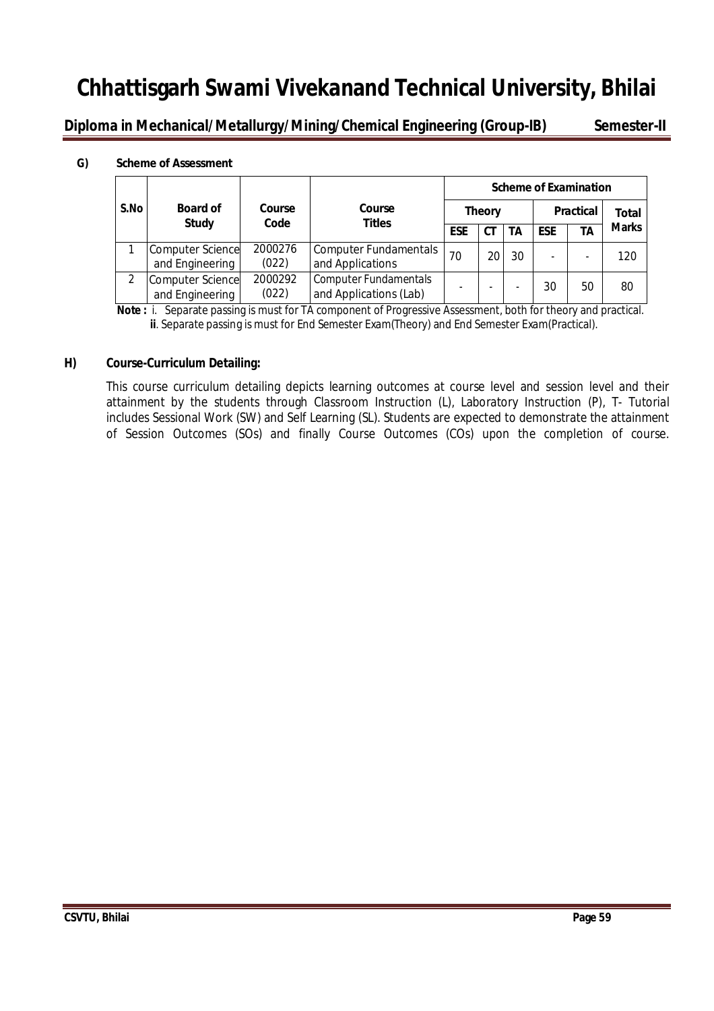**Diploma in Mechanical/Metallurgy/Mining/Chemical Engineering (Group-IB) Semester-II**

#### **G) Scheme of Assessment**

|      |                                            |                  |                                                        | <b>Scheme of Examination</b> |                          |    |            |                  |              |
|------|--------------------------------------------|------------------|--------------------------------------------------------|------------------------------|--------------------------|----|------------|------------------|--------------|
| S.No | <b>Board of</b>                            | Course           | Course                                                 |                              | <b>Theory</b>            |    |            | <b>Practical</b> | Total        |
|      | <b>Study</b>                               | Code             | Titles                                                 | <b>ESE</b>                   | СT                       | TΑ | <b>ESE</b> | <b>TA</b>        | <b>Marks</b> |
|      | <b>Computer Science</b><br>and Engineering | 2000276<br>(022) | <b>Computer Fundamentals</b><br>and Applications       | 70                           | 20                       | 30 | -          |                  | 120          |
|      | <b>Computer Science</b><br>and Engineering | 2000292<br>(022) | <b>Computer Fundamentals</b><br>and Applications (Lab) | -                            | $\overline{\phantom{a}}$ | ۰  | 30         | 50               | 80           |

**Note :** i. Separate passing is must for TA component of Progressive Assessment, both for theory and practical. **ii**. Separate passing is must for End Semester Exam(Theory) and End Semester Exam(Practical).

#### **H) Course-Curriculum Detailing:**

This course curriculum detailing depicts learning outcomes at course level and session level and their attainment by the students through Classroom Instruction (L), Laboratory Instruction (P), T- Tutorial includes Sessional Work (SW) and Self Learning (SL). Students are expected to demonstrate the attainment of Session Outcomes (SOs) and finally Course Outcomes (COs) upon the completion of course.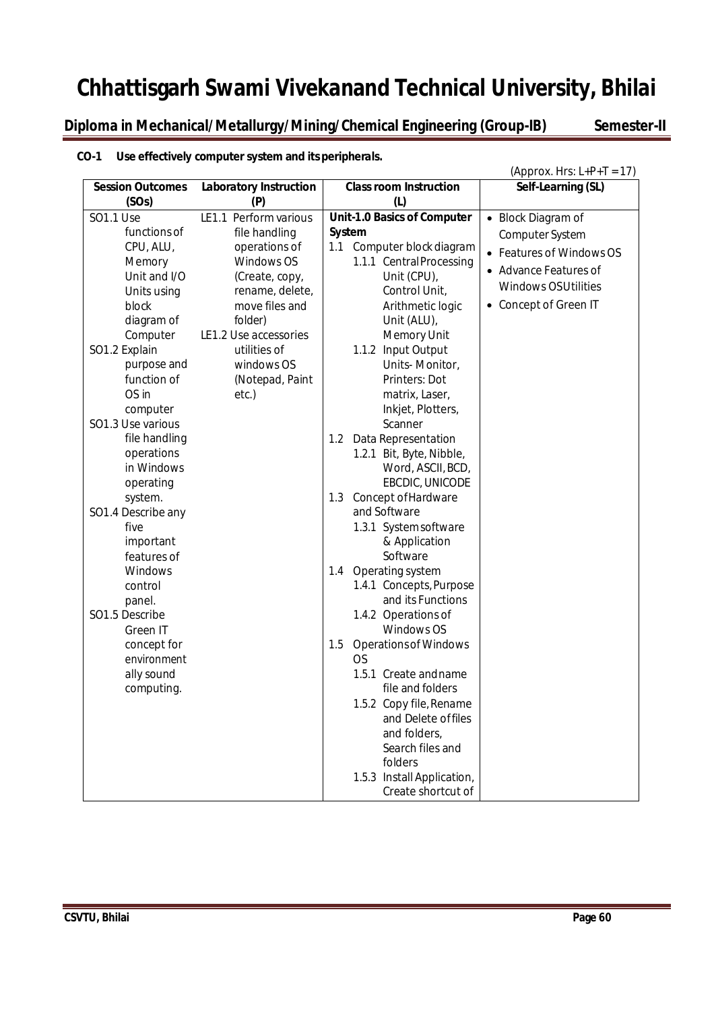**Diploma in Mechanical/Metallurgy/Mining/Chemical Engineering (Group-IB) Semester-II**

### **CO-1 Use effectively computer system and itsperipherals.**

|                            |                               |                                                  | (Approx. Hrs: $L+P+T = 17$ ) |
|----------------------------|-------------------------------|--------------------------------------------------|------------------------------|
| <b>Session Outcomes</b>    | <b>Laboratory Instruction</b> | <b>Class room Instruction</b>                    | Self-Learning (SL)           |
| (SOs)                      | (P)                           | (1)                                              |                              |
| <b>SO1.1 Use</b>           | LE1.1 Perform various         | Unit-1.0 Basics of Computer                      | • Block Diagram of           |
| functions of               | file handling                 | <b>System</b>                                    | Computer System              |
| CPU, ALU,                  | operations of                 | Computer block diagram<br>1.1                    | • Features of Windows OS     |
| Memory                     | Windows OS                    | 1.1.1 Central Processing                         | • Advance Features of        |
| Unit and I/O               | (Create, copy,                | Unit (CPU),                                      | <b>Windows OSUtilities</b>   |
| Units using                | rename, delete,               | Control Unit,                                    |                              |
| block                      | move files and                | Arithmetic logic                                 | • Concept of Green IT        |
| diagram of                 | folder)                       | Unit (ALU),                                      |                              |
| Computer                   | LE1.2 Use accessories         | Memory Unit                                      |                              |
| SO1.2 Explain              | utilities of                  | 1.1.2 Input Output                               |                              |
| purpose and<br>function of | windows OS                    | Units-Monitor,<br>Printers: Dot                  |                              |
| OS in                      | (Notepad, Paint<br>etc.)      | matrix, Laser,                                   |                              |
| computer                   |                               | Inkjet, Plotters,                                |                              |
| SO1.3 Use various          |                               | Scanner                                          |                              |
| file handling              |                               | Data Representation<br>1.2                       |                              |
| operations                 |                               | 1.2.1 Bit, Byte, Nibble,                         |                              |
| in Windows                 |                               | Word, ASCII, BCD,                                |                              |
| operating                  |                               | EBCDIC, UNICODE                                  |                              |
| system.                    |                               | Concept of Hardware<br>1.3                       |                              |
| SO1.4 Describe any         |                               | and Software                                     |                              |
| five                       |                               | 1.3.1 System software                            |                              |
| important                  |                               | & Application                                    |                              |
| features of                |                               | Software                                         |                              |
| Windows                    |                               | Operating system<br>1.4                          |                              |
| control                    |                               | 1.4.1 Concepts, Purpose                          |                              |
| panel.                     |                               | and its Functions                                |                              |
| SO1.5 Describe             |                               | 1.4.2 Operations of                              |                              |
| Green IT                   |                               | Windows OS                                       |                              |
| concept for                |                               | <b>Operations of Windows</b><br>1.5              |                              |
| environment                |                               | <b>OS</b>                                        |                              |
| ally sound                 |                               | 1.5.1 Create and name                            |                              |
| computing.                 |                               | file and folders                                 |                              |
|                            |                               | 1.5.2 Copy file, Rename                          |                              |
|                            |                               | and Delete of files                              |                              |
|                            |                               | and folders,                                     |                              |
|                            |                               | Search files and                                 |                              |
|                            |                               | folders                                          |                              |
|                            |                               | 1.5.3 Install Application,<br>Create shortcut of |                              |
|                            |                               |                                                  |                              |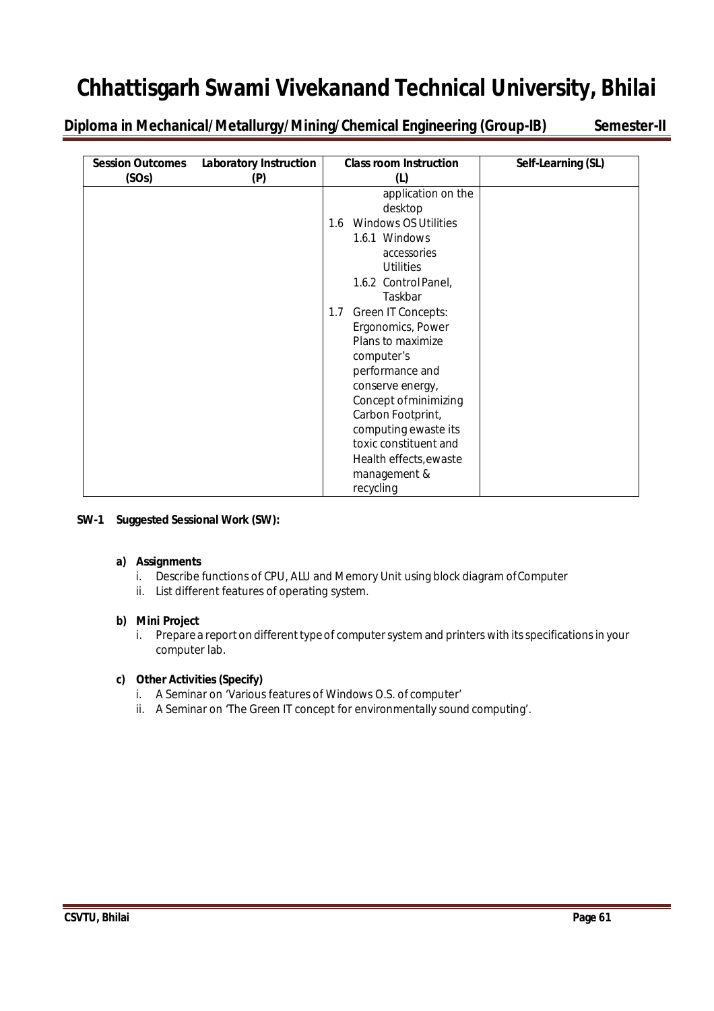**Diploma in Mechanical/Metallurgy/Mining/Chemical Engineering (Group-IB) Semester-II**

| <b>Session Outcomes</b><br>(SOs) | <b>Laboratory Instruction</b><br>(P) | <b>Class room Instruction</b><br>(L)                                                                                                                                                                                                                                                                                                                                                                            | Self-Learning (SL) |
|----------------------------------|--------------------------------------|-----------------------------------------------------------------------------------------------------------------------------------------------------------------------------------------------------------------------------------------------------------------------------------------------------------------------------------------------------------------------------------------------------------------|--------------------|
|                                  |                                      | application on the<br>desktop<br><b>Windows OS Utilities</b><br>1.6<br>1.6.1 Windows<br>accessories<br><b>Utilities</b><br>1.6.2 Control Panel,<br>Taskbar<br>Green IT Concepts:<br>1.7<br>Ergonomics, Power<br>Plans to maximize<br>computer's<br>performance and<br>conserve energy,<br>Concept of minimizing<br>Carbon Footprint,<br>computing ewaste its<br>toxic constituent and<br>Health effects, ewaste |                    |
|                                  |                                      | management &<br>recycling                                                                                                                                                                                                                                                                                                                                                                                       |                    |

#### **SW-1 Suggested Sessional Work (SW):**

#### **a) Assignments**

- i. Describe functions of CPU, ALU and Memory Unit using block diagram ofComputer
- ii. List different features of operating system.

#### **b) Mini Project**

i. Prepare a report on different type of computer system and printers with its specifications in your computer lab.

#### **c) Other Activities (Specify)**

- i. A Seminar on 'Various features of Windows O.S. of computer'
- ii. A Seminar on 'The Green IT concept for environmentally sound computing'.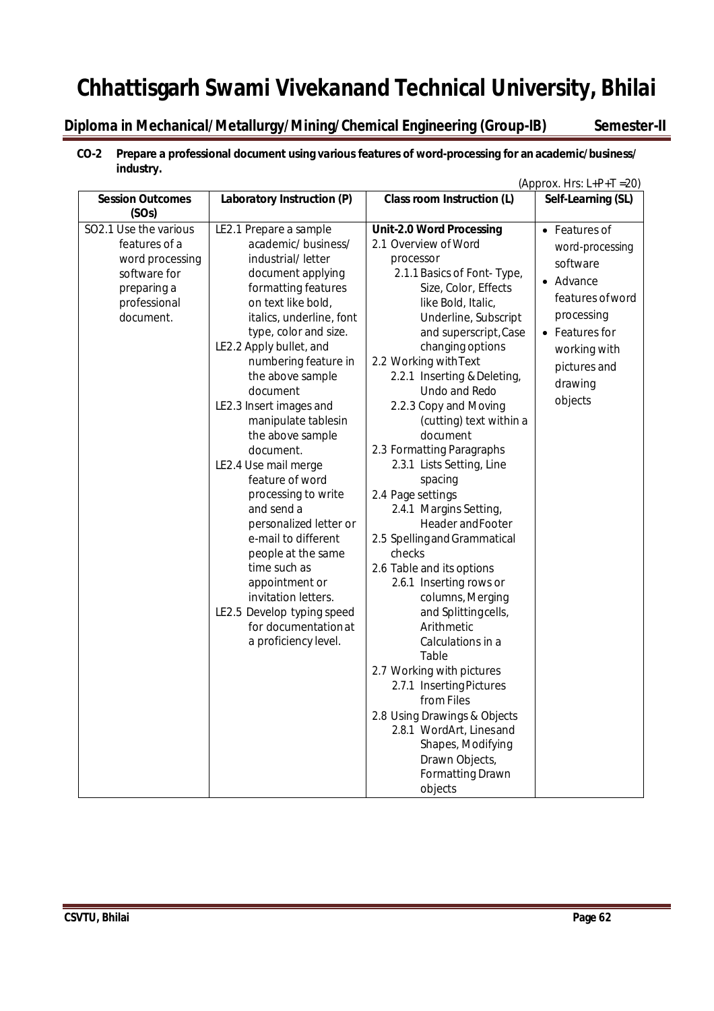**Diploma in Mechanical/Metallurgy/Mining/Chemical Engineering (Group-IB) Semester-II**

### **CO-2 Prepare a professional document using various features of word-processing for an academic/business/ industry.** (Approx. Hrs:  $L+P+T = 20$ )

| <b>Session Outcomes</b>                                                                                               | Laboratory Instruction (P)                                                                                                                                                                                                                                                                                                                                                                                                                                                                                                                                                                                                           | <b>Class room Instruction (L)</b>                                                                                                                                                                                                                                                                                                                                                                                                                                                                                                                                                                                                                                   | Self-Learning (SL)                                                                                                                                                  |
|-----------------------------------------------------------------------------------------------------------------------|--------------------------------------------------------------------------------------------------------------------------------------------------------------------------------------------------------------------------------------------------------------------------------------------------------------------------------------------------------------------------------------------------------------------------------------------------------------------------------------------------------------------------------------------------------------------------------------------------------------------------------------|---------------------------------------------------------------------------------------------------------------------------------------------------------------------------------------------------------------------------------------------------------------------------------------------------------------------------------------------------------------------------------------------------------------------------------------------------------------------------------------------------------------------------------------------------------------------------------------------------------------------------------------------------------------------|---------------------------------------------------------------------------------------------------------------------------------------------------------------------|
| (SOs)                                                                                                                 |                                                                                                                                                                                                                                                                                                                                                                                                                                                                                                                                                                                                                                      |                                                                                                                                                                                                                                                                                                                                                                                                                                                                                                                                                                                                                                                                     |                                                                                                                                                                     |
| SO2.1 Use the various<br>features of a<br>word processing<br>software for<br>preparing a<br>professional<br>document. | LE2.1 Prepare a sample<br>academic/business/<br>industrial/letter<br>document applying<br>formatting features<br>on text like bold,<br>italics, underline, font<br>type, color and size.<br>LE2.2 Apply bullet, and<br>numbering feature in<br>the above sample<br>document<br>LE2.3 Insert images and<br>manipulate tablesin<br>the above sample<br>document.<br>LE2.4 Use mail merge<br>feature of word<br>processing to write<br>and send a<br>personalized letter or<br>e-mail to different<br>people at the same<br>time such as<br>appointment or<br>invitation letters.<br>LE2.5 Develop typing speed<br>for documentation at | <b>Unit-2.0 Word Processing</b><br>2.1 Overview of Word<br>processor<br>2.1.1 Basics of Font- Type,<br>Size, Color, Effects<br>like Bold, Italic,<br>Underline, Subscript<br>and superscript, Case<br>changing options<br>2.2 Working with Text<br>2.2.1 Inserting & Deleting,<br>Undo and Redo<br>2.2.3 Copy and Moving<br>(cutting) text within a<br>document<br>2.3 Formatting Paragraphs<br>2.3.1 Lists Setting, Line<br>spacing<br>2.4 Page settings<br>2.4.1 Margins Setting,<br>Header and Footer<br>2.5 Spelling and Grammatical<br>checks<br>2.6 Table and its options<br>2.6.1 Inserting rows or<br>columns, Merging<br>and Splittingcells,<br>Arithmetic | • Features of<br>word-processing<br>software<br>• Advance<br>features of word<br>processing<br>• Features for<br>working with<br>pictures and<br>drawing<br>objects |
|                                                                                                                       |                                                                                                                                                                                                                                                                                                                                                                                                                                                                                                                                                                                                                                      |                                                                                                                                                                                                                                                                                                                                                                                                                                                                                                                                                                                                                                                                     |                                                                                                                                                                     |
|                                                                                                                       | a proficiency level.                                                                                                                                                                                                                                                                                                                                                                                                                                                                                                                                                                                                                 | Calculations in a<br>Table                                                                                                                                                                                                                                                                                                                                                                                                                                                                                                                                                                                                                                          |                                                                                                                                                                     |
|                                                                                                                       |                                                                                                                                                                                                                                                                                                                                                                                                                                                                                                                                                                                                                                      | 2.7 Working with pictures<br>2.7.1 Inserting Pictures<br>from Files<br>2.8 Using Drawings & Objects<br>2.8.1 WordArt, Linesand<br>Shapes, Modifying<br>Drawn Objects,<br><b>Formatting Drawn</b><br>objects                                                                                                                                                                                                                                                                                                                                                                                                                                                         |                                                                                                                                                                     |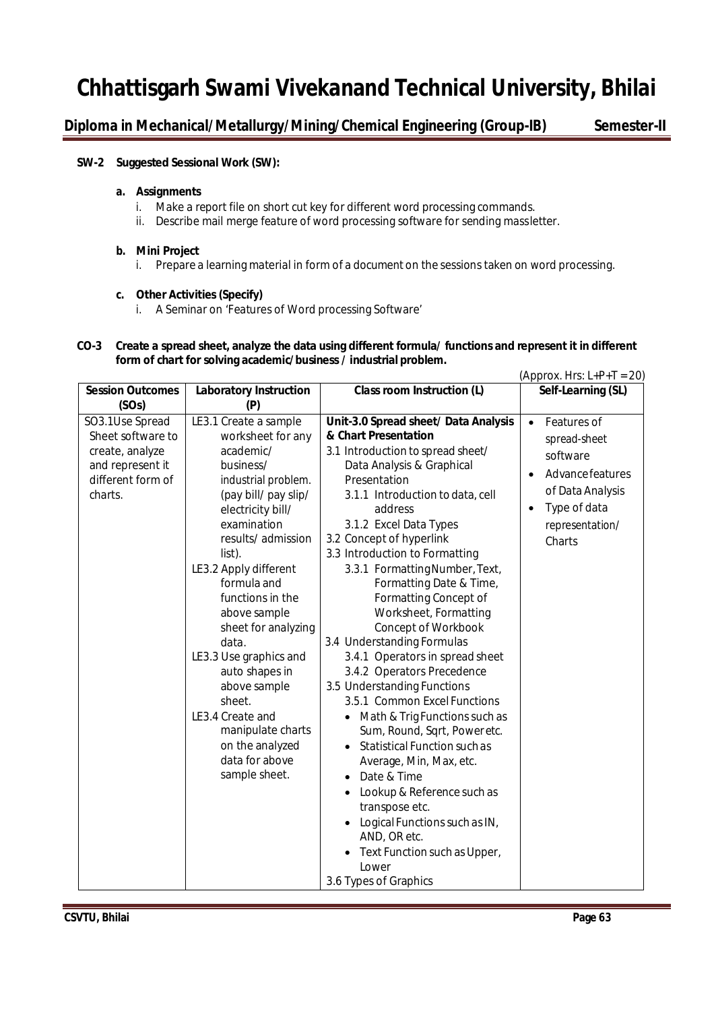**Diploma in Mechanical/Metallurgy/Mining/Chemical Engineering (Group-IB) Semester-II**

#### **SW-2 Suggested Sessional Work (SW):**

#### **a. Assignments**

- i. Make a report file on short cut key for different word processing commands.
- ii. Describe mail merge feature of word processing software for sending massletter.

#### **b. Mini Project**

i. Prepare a learning material in form of a document on the sessions taken on word processing.

#### **c. Other Activities (Specify)**

i. A Seminar on 'Features of Word processing Software'

#### **CO-3 Create a spread sheet, analyze the data using different formula/ functions and represent it in different form of chart for solving academic/business / industrial problem.**

|                                                                                                             |                                                                                                                                                                                                                                                                                                                                                                                                                                                                         |                                                                                                                                                                                                                                                                                                                                                                                                                                                                                                                                                                                                                                                                                                                                                                                                                                                                                                                                                            | (Approx. Hrs: $L+P+T = 20$ )                                                                                                                           |
|-------------------------------------------------------------------------------------------------------------|-------------------------------------------------------------------------------------------------------------------------------------------------------------------------------------------------------------------------------------------------------------------------------------------------------------------------------------------------------------------------------------------------------------------------------------------------------------------------|------------------------------------------------------------------------------------------------------------------------------------------------------------------------------------------------------------------------------------------------------------------------------------------------------------------------------------------------------------------------------------------------------------------------------------------------------------------------------------------------------------------------------------------------------------------------------------------------------------------------------------------------------------------------------------------------------------------------------------------------------------------------------------------------------------------------------------------------------------------------------------------------------------------------------------------------------------|--------------------------------------------------------------------------------------------------------------------------------------------------------|
| <b>Session Outcomes</b><br>(SOs)                                                                            | <b>Laboratory Instruction</b><br>(P)                                                                                                                                                                                                                                                                                                                                                                                                                                    | Class room Instruction (L)                                                                                                                                                                                                                                                                                                                                                                                                                                                                                                                                                                                                                                                                                                                                                                                                                                                                                                                                 | Self-Learning (SL)                                                                                                                                     |
| SO3.1Use Spread<br>Sheet software to<br>create, analyze<br>and represent it<br>different form of<br>charts. | LE3.1 Create a sample<br>worksheet for any<br>academic/<br>business/<br>industrial problem.<br>(pay bill/ pay slip/<br>electricity bill/<br>examination<br>results/admission<br>list).<br>LE3.2 Apply different<br>formula and<br>functions in the<br>above sample<br>sheet for analyzing<br>data.<br>LE3.3 Use graphics and<br>auto shapes in<br>above sample<br>sheet.<br>LE3.4 Create and<br>manipulate charts<br>on the analyzed<br>data for above<br>sample sheet. | Unit-3.0 Spread sheet/ Data Analysis<br>& Chart Presentation<br>3.1 Introduction to spread sheet/<br>Data Analysis & Graphical<br>Presentation<br>3.1.1 Introduction to data, cell<br>address<br>3.1.2 Excel Data Types<br>3.2 Concept of hyperlink<br>3.3 Introduction to Formatting<br>3.3.1 Formatting Number, Text,<br>Formatting Date & Time,<br>Formatting Concept of<br>Worksheet, Formatting<br>Concept of Workbook<br>3.4 Understanding Formulas<br>3.4.1 Operators in spread sheet<br>3.4.2 Operators Precedence<br>3.5 Understanding Functions<br>3.5.1 Common Excel Functions<br>Math & Trig Functions such as<br>$\bullet$<br>Sum, Round, Sqrt, Poweretc.<br>Statistical Function such as<br>Average, Min, Max, etc.<br>Date & Time<br>Lookup & Reference such as<br>$\bullet$<br>transpose etc.<br>Logical Functions such as IN,<br>$\bullet$<br>AND, OR etc.<br>Text Function such as Upper,<br>$\bullet$<br>Lower<br>3.6 Types of Graphics | Features of<br>$\bullet$<br>spread-sheet<br>software<br>Advance features<br>of Data Analysis<br>Type of data<br>$\bullet$<br>representation/<br>Charts |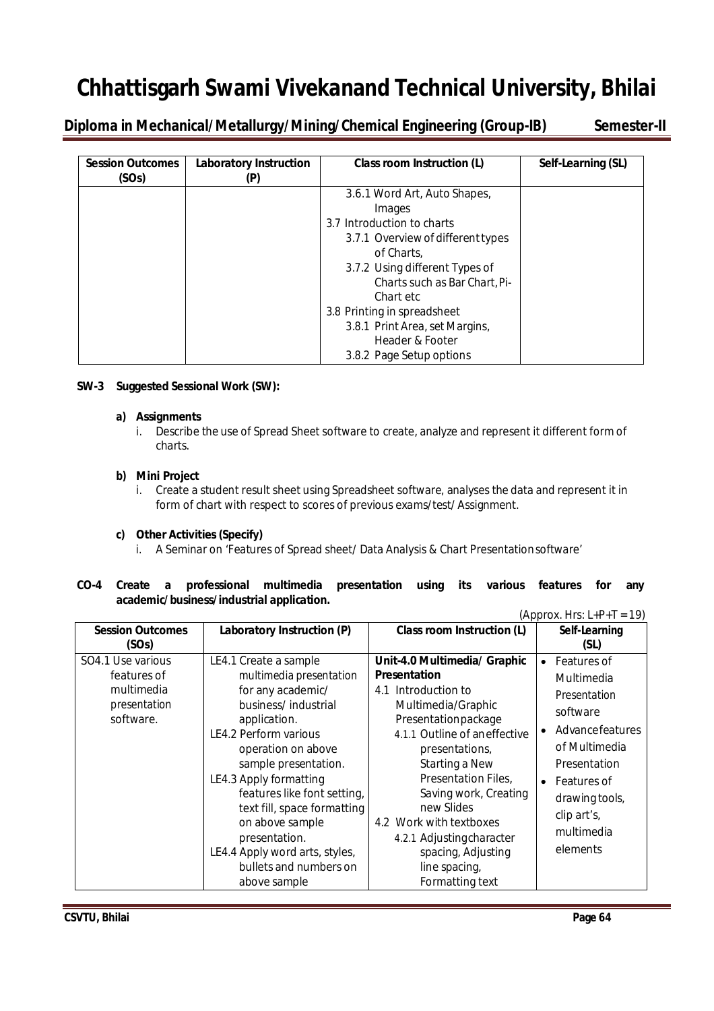**Diploma in Mechanical/Metallurgy/Mining/Chemical Engineering (Group-IB) Semester-II**

| <b>Session Outcomes</b><br>(SOs) | <b>Laboratory Instruction</b> | Class room Instruction (L)        | Self-Learning (SL) |
|----------------------------------|-------------------------------|-----------------------------------|--------------------|
|                                  |                               | 3.6.1 Word Art, Auto Shapes,      |                    |
|                                  |                               | Images                            |                    |
|                                  |                               | 3.7 Introduction to charts        |                    |
|                                  |                               | 3.7.1 Overview of different types |                    |
|                                  |                               | of Charts,                        |                    |
|                                  |                               | 3.7.2 Using different Types of    |                    |
|                                  |                               | Charts such as Bar Chart, Pi-     |                    |
|                                  |                               | Chart etc                         |                    |
|                                  |                               | 3.8 Printing in spreadsheet       |                    |
|                                  |                               | 3.8.1 Print Area, set Margins,    |                    |
|                                  |                               | Header & Footer                   |                    |
|                                  |                               | 3.8.2 Page Setup options          |                    |

#### **SW-3 Suggested Sessional Work (SW):**

#### **a) Assignments**

i. Describe the use of Spread Sheet software to create, analyze and represent it different form of charts.

#### **b) Mini Project**

i. Create a student result sheet using Spreadsheet software, analyses the data and represent it in form of chart with respect to scores of previous exams/test/ Assignment.

#### **c) Other Activities(Specify)**

i. A Seminar on 'Features of Spread sheet/ Data Analysis & Chart Presentationsoftware'

#### **CO-4 Create a professional multimedia presentation using its various features for any academic/business/industrial application.**

| <b>Session Outcomes</b> | Laboratory Instruction (P)     | Class room Instruction (L)    | Self-Learning            |
|-------------------------|--------------------------------|-------------------------------|--------------------------|
| (SOs)                   |                                |                               | (SL)                     |
| SO4.1 Use various       | LE4.1 Create a sample          | Unit-4.0 Multimedia/ Graphic  | Features of              |
| features of             | multimedia presentation        | <b>Presentation</b>           | Multimedia               |
| multimedia              | for any academic/              | 4.1 Introduction to           | Presentation             |
| presentation            | business/industrial            | Multimedia/Graphic            | software                 |
| software.               | application.                   | Presentationpackage           |                          |
|                         | LE4.2 Perform various          | 4.1.1 Outline of an effective | Advancefeatures          |
|                         | operation on above             | presentations,                | of Multimedia            |
|                         | sample presentation.           | Starting a New                | Presentation             |
|                         | LE4.3 Apply formatting         | Presentation Files,           | Features of<br>$\bullet$ |
|                         | features like font setting,    | Saving work, Creating         | drawing tools,           |
|                         | text fill, space formatting    | new Slides                    | clip art's,              |
|                         | on above sample                | 4.2 Work with textboxes       | multimedia               |
|                         | presentation.                  | 4.2.1 Adjustingcharacter      |                          |
|                         | LE4.4 Apply word arts, styles, | spacing, Adjusting            | elements                 |
|                         | bullets and numbers on         | line spacing,                 |                          |
|                         | above sample                   | Formatting text               |                          |

 $(Approx. Hrs: L+P+T = 19)$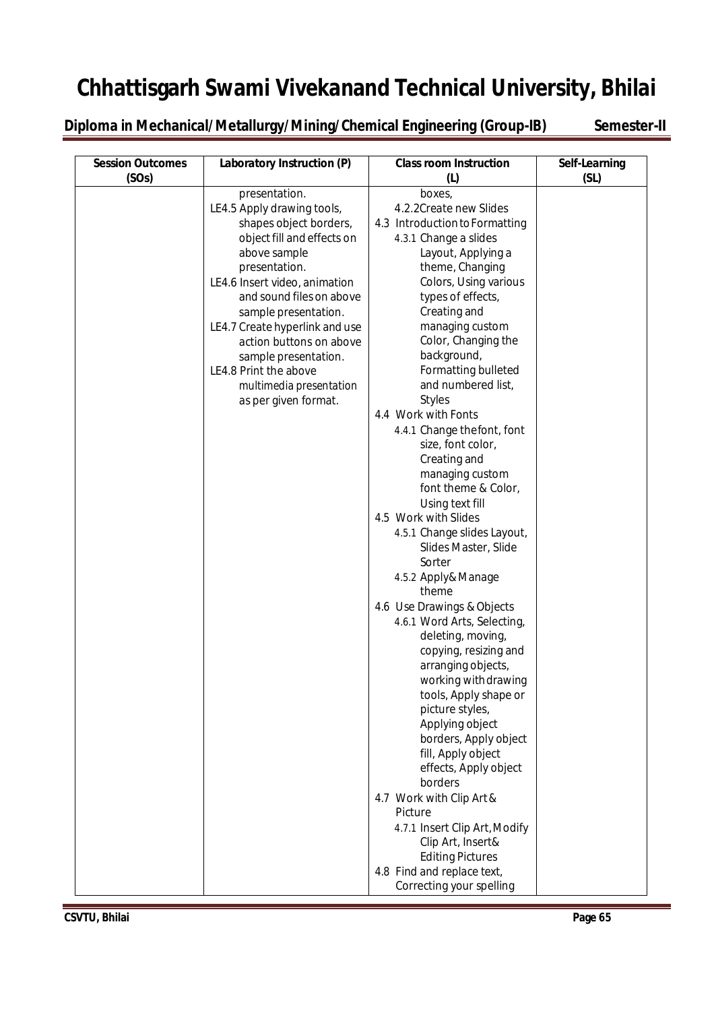**Diploma in Mechanical/Metallurgy/Mining/Chemical Engineering (Group-IB) Semester-II** 

| <b>Session Outcomes</b><br>(SOs) | Laboratory Instruction (P)                                                                                                                                                                                                                                                                                                                                                                 | <b>Class room Instruction</b><br>(1)                                                                                                                                                                                                                                                                                                                                                                                                                                                                                                                                                                                                                                                                                                                                                                                                                                                                                                                                                                                                                                       | Self-Learning<br>(SL) |
|----------------------------------|--------------------------------------------------------------------------------------------------------------------------------------------------------------------------------------------------------------------------------------------------------------------------------------------------------------------------------------------------------------------------------------------|----------------------------------------------------------------------------------------------------------------------------------------------------------------------------------------------------------------------------------------------------------------------------------------------------------------------------------------------------------------------------------------------------------------------------------------------------------------------------------------------------------------------------------------------------------------------------------------------------------------------------------------------------------------------------------------------------------------------------------------------------------------------------------------------------------------------------------------------------------------------------------------------------------------------------------------------------------------------------------------------------------------------------------------------------------------------------|-----------------------|
|                                  | presentation.<br>LE4.5 Apply drawing tools,<br>shapes object borders,<br>object fill and effects on<br>above sample<br>presentation.<br>LE4.6 Insert video, animation<br>and sound files on above<br>sample presentation.<br>LE4.7 Create hyperlink and use<br>action buttons on above<br>sample presentation.<br>LE4.8 Print the above<br>multimedia presentation<br>as per given format. | boxes,<br>4.2.2Create new Slides<br>4.3 Introduction to Formatting<br>4.3.1 Change a slides<br>Layout, Applying a<br>theme, Changing<br>Colors, Using various<br>types of effects,<br>Creating and<br>managing custom<br>Color, Changing the<br>background,<br>Formatting bulleted<br>and numbered list,<br><b>Styles</b><br>4.4 Work with Fonts<br>4.4.1 Change thefont, font<br>size, font color,<br>Creating and<br>managing custom<br>font theme & Color,<br>Using text fill<br>4.5 Work with Slides<br>4.5.1 Change slides Layout,<br>Slides Master, Slide<br>Sorter<br>4.5.2 Apply& Manage<br>theme<br>4.6 Use Drawings & Objects<br>4.6.1 Word Arts, Selecting,<br>deleting, moving,<br>copying, resizing and<br>arranging objects,<br>working with drawing<br>tools, Apply shape or<br>picture styles,<br>Applying object<br>borders, Apply object<br>fill, Apply object<br>effects, Apply object<br>borders<br>4.7 Work with Clip Art &<br>Picture<br>4.7.1 Insert Clip Art, Modify<br>Clip Art, Insert&<br><b>Editing Pictures</b><br>4.8 Find and replace text, |                       |
|                                  |                                                                                                                                                                                                                                                                                                                                                                                            | Correcting your spelling                                                                                                                                                                                                                                                                                                                                                                                                                                                                                                                                                                                                                                                                                                                                                                                                                                                                                                                                                                                                                                                   |                       |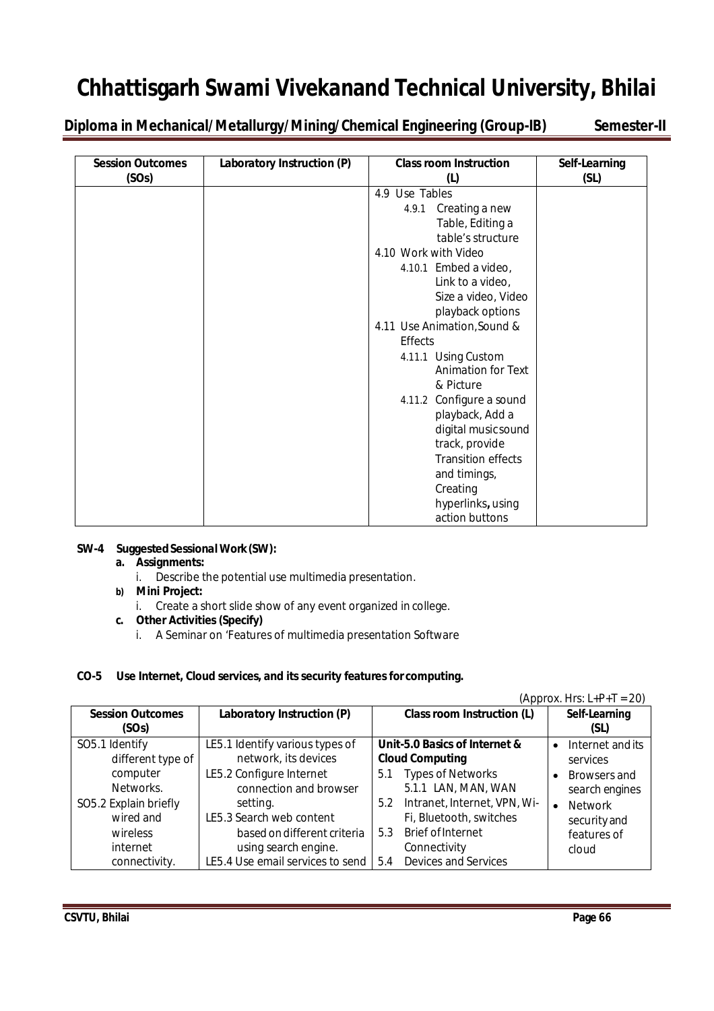**Diploma in Mechanical/Metallurgy/Mining/Chemical Engineering (Group-IB) Semester-II**

| <b>Session Outcomes</b> | Laboratory Instruction (P) | <b>Class room Instruction</b> | Self-Learning |
|-------------------------|----------------------------|-------------------------------|---------------|
| (SOs)                   |                            | (L)                           | (SL)          |
|                         |                            | 4.9 Use Tables                |               |
|                         |                            | 4.9.1 Creating a new          |               |
|                         |                            | Table, Editing a              |               |
|                         |                            | table's structure             |               |
|                         |                            | 4.10 Work with Video          |               |
|                         |                            | 4.10.1 Embed a video,         |               |
|                         |                            | Link to a video,              |               |
|                         |                            | Size a video, Video           |               |
|                         |                            | playback options              |               |
|                         |                            | 4.11 Use Animation, Sound &   |               |
|                         |                            | <b>Effects</b>                |               |
|                         |                            | 4.11.1 Using Custom           |               |
|                         |                            | <b>Animation for Text</b>     |               |
|                         |                            | & Picture                     |               |
|                         |                            | 4.11.2 Configure a sound      |               |
|                         |                            | playback, Add a               |               |
|                         |                            | digital music sound           |               |
|                         |                            | track, provide                |               |
|                         |                            | <b>Transition effects</b>     |               |
|                         |                            | and timings,                  |               |
|                         |                            | Creating                      |               |
|                         |                            | hyperlinks, using             |               |
|                         |                            | action buttons                |               |

#### **SW-4 SuggestedSessionalWork(SW):**

#### **a. Assignments:**

i. Describe the potential use multimedia presentation.

#### **b) Mini Project:**

i. Create a short slide show of any event organized in college.

#### **c. Other Activities (Specify)**

i. A Seminar on 'Features of multimedia presentation Software

#### **CO-5 Use Internet, Cloud services, and its security features for computing.**

#### $(Approx. Hrs: L+P+T = 20)$

| <b>Session Outcomes</b> | Laboratory Instruction (P)       |     | <b>Class room Instruction (L)</b> |           | Self-Learning    |
|-------------------------|----------------------------------|-----|-----------------------------------|-----------|------------------|
| (SOs)                   |                                  |     |                                   |           | (SL)             |
| SO5.1 Identify          | LE5.1 Identify various types of  |     | Unit-5.0 Basics of Internet &     | $\bullet$ | Internet and its |
| different type of       | network, its devices             |     | <b>Cloud Computing</b>            |           | services         |
| computer                | LE5.2 Configure Internet         | 5.1 | <b>Types of Networks</b>          | $\bullet$ | Browsers and     |
| Networks.               | connection and browser           |     | 5.1.1 LAN, MAN, WAN               |           | search engines   |
| SO5.2 Explain briefly   | setting.                         | 5.2 | Intranet, Internet, VPN, Wi-      | $\bullet$ | <b>Network</b>   |
| wired and               | LE5.3 Search web content         |     | Fi, Bluetooth, switches           |           | security and     |
| wireless                | based on different criteria      | 5.3 | <b>Brief of Internet</b>          |           | features of      |
| internet                | using search engine.             |     | Connectivity                      |           | cloud            |
| connectivity.           | LE5.4 Use email services to send | 5.4 | <b>Devices and Services</b>       |           |                  |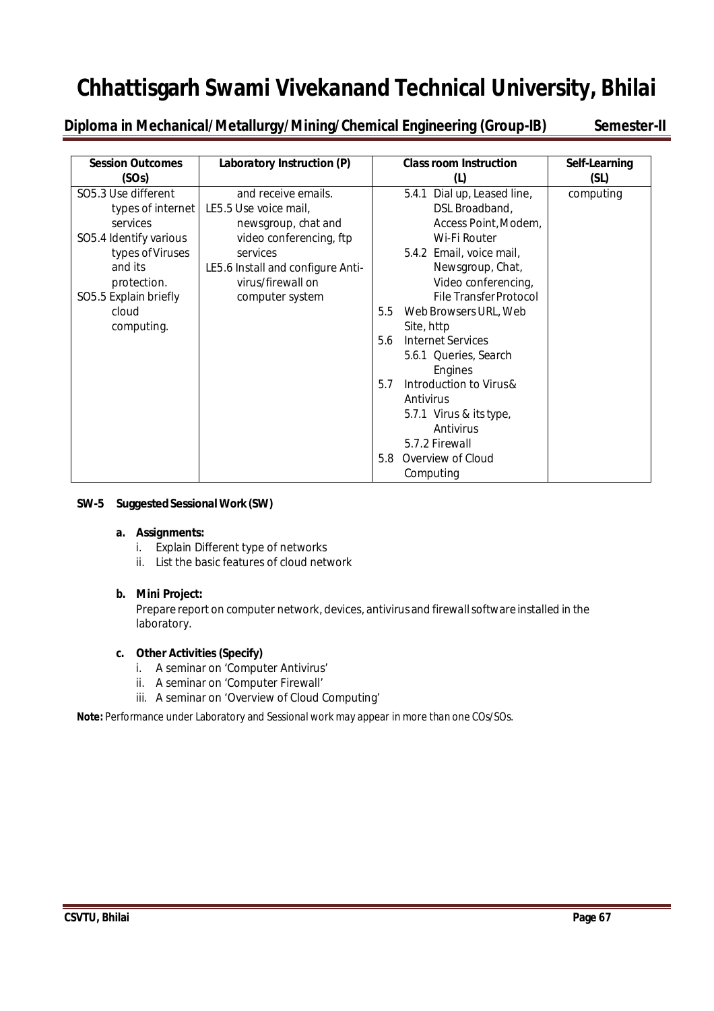**Diploma in Mechanical/Metallurgy/Mining/Chemical Engineering (Group-IB) Semester-II**

| <b>Session Outcomes</b>                                                                                                                                                      | Laboratory Instruction (P)                                                                                                                                                              | <b>Class room Instruction</b>                                                                                                                                                                                                                                                                                                                                                                                                                                           | Self-Learning |
|------------------------------------------------------------------------------------------------------------------------------------------------------------------------------|-----------------------------------------------------------------------------------------------------------------------------------------------------------------------------------------|-------------------------------------------------------------------------------------------------------------------------------------------------------------------------------------------------------------------------------------------------------------------------------------------------------------------------------------------------------------------------------------------------------------------------------------------------------------------------|---------------|
| (SOs)                                                                                                                                                                        |                                                                                                                                                                                         | (L)                                                                                                                                                                                                                                                                                                                                                                                                                                                                     | (SL)          |
| SO5.3 Use different<br>types of internet<br>services<br>SO5.4 Identify various<br>types of Viruses<br>and its<br>protection.<br>SO5.5 Explain briefly<br>cloud<br>computing. | and receive emails.<br>LE5.5 Use voice mail,<br>newsgroup, chat and<br>video conferencing, ftp<br>services<br>LE5.6 Install and configure Anti-<br>virus/firewall on<br>computer system | Dial up, Leased line,<br>5.4.1<br>DSL Broadband,<br>Access Point, Modem,<br>Wi-Fi Router<br>5.4.2 Email, voice mail,<br>Newsgroup, Chat,<br>Video conferencing,<br><b>File Transfer Protocol</b><br>5.5<br>Web Browsers URL, Web<br>Site, http<br><b>Internet Services</b><br>5.6<br>5.6.1 Queries, Search<br>Engines<br>Introduction to Virus &<br>5.7<br>Antivirus<br>5.7.1 Virus & its type,<br>Antivirus<br>5.7.2 Firewall<br>Overview of Cloud<br>5.8<br>Computing | computing     |

#### **SW-5 SuggestedSessionalWork (SW)**

#### **a. Assignments:**

- i. Explain Different type of networks
- ii. List the basic features of cloud network

#### **b. Mini Project:**

Prepare report on computer network, devices, antivirus and firewall software installed in the laboratory.

#### **c. Other Activities (Specify)**

- i. A seminar on 'Computer Antivirus'
- ii. A seminar on 'Computer Firewall'
- iii. A seminar on 'Overview of Cloud Computing'

**Note:** Performance under Laboratory and Sessional work may appear in more than one COs/SOs.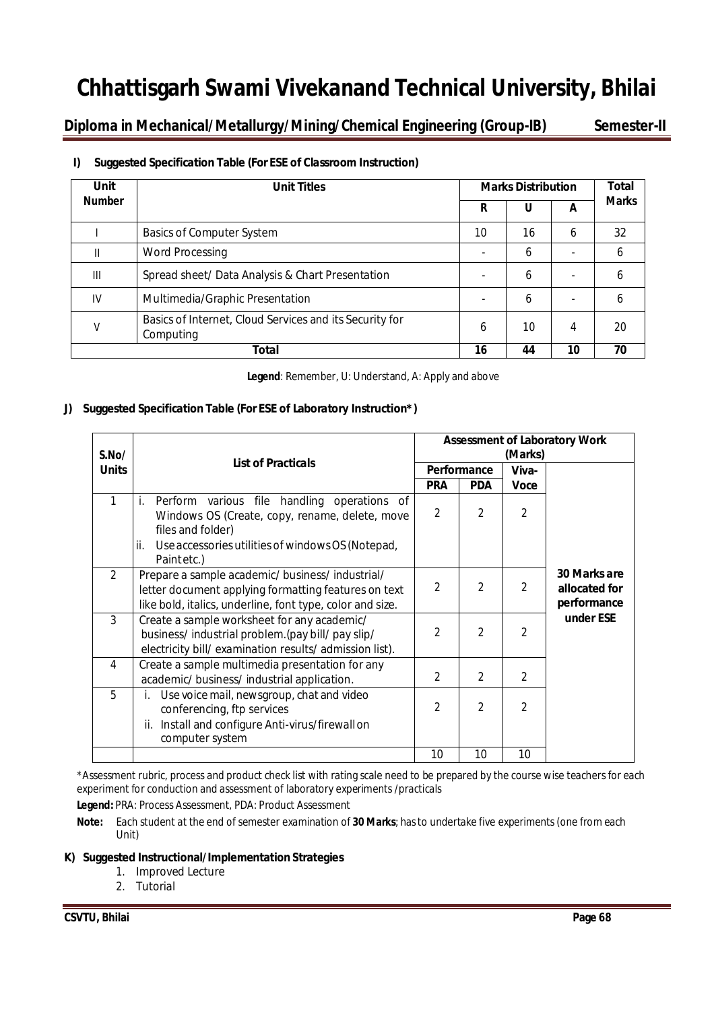**Diploma in Mechanical/Metallurgy/Mining/Chemical Engineering (Group-IB) Semester-II**

| Unit          | <b>Unit Titles</b>                                                   |    | <b>Marks Distribution</b> |    |              |  |  |
|---------------|----------------------------------------------------------------------|----|---------------------------|----|--------------|--|--|
| <b>Number</b> |                                                                      |    | U                         | A  | <b>Marks</b> |  |  |
|               | <b>Basics of Computer System</b>                                     | 10 | 16                        | 6  | 32           |  |  |
| Ш             | <b>Word Processing</b>                                               |    | 6                         |    | 6            |  |  |
| $\mathbf{m}$  | Spread sheet/ Data Analysis & Chart Presentation                     |    | 6                         |    | 6            |  |  |
| IV            | Multimedia/Graphic Presentation                                      |    | 6                         |    | b            |  |  |
| V             | Basics of Internet, Cloud Services and its Security for<br>Computing | 6  | 10                        | 4  | 20           |  |  |
|               | Total                                                                | 16 | 44                        | 10 | 70           |  |  |

#### **I) Suggested Specification Table (For ESE of Classroom Instruction)**

**Legend**: Remember, U: Understand, A: Apply and above

#### **J) Suggested Specification Table (For ESE of Laboratory Instruction\*)**

| S.No/          | <b>List of Practicals</b>                                                                                                                                           | <b>Assessment of Laboratory Work</b><br>(Marks) |                |                |                                              |  |
|----------------|---------------------------------------------------------------------------------------------------------------------------------------------------------------------|-------------------------------------------------|----------------|----------------|----------------------------------------------|--|
| <b>Units</b>   |                                                                                                                                                                     | Performance                                     |                | Viva-          |                                              |  |
|                |                                                                                                                                                                     | <b>PRA</b>                                      | <b>PDA</b>     | <b>Voce</b>    |                                              |  |
| 1              | Perform various file handling operations of<br>i.<br>Windows OS (Create, copy, rename, delete, move<br>files and folder)                                            | $\overline{2}$                                  | $\overline{2}$ | 2              |                                              |  |
|                | ii.<br>Use accessories utilities of windows OS (Notepad,<br>Paintetc.)                                                                                              |                                                 |                |                |                                              |  |
| $\mathcal{P}$  | Prepare a sample academic/business/industrial/<br>letter document applying formatting features on text<br>like bold, italics, underline, font type, color and size. |                                                 | $\mathfrak{D}$ | $\overline{2}$ | 30 Marks are<br>allocated for<br>performance |  |
| 3              | Create a sample worksheet for any academic/<br>business/industrial problem. (pay bill/pay slip/<br>electricity bill/ examination results/ admission list).          |                                                 | $\mathfrak{D}$ | 2              | under ESE                                    |  |
| $\overline{4}$ | Create a sample multimedia presentation for any<br>academic/ business/ industrial application.                                                                      | $\mathfrak{D}$                                  | $\mathfrak{D}$ | $\mathfrak z$  |                                              |  |
| 5              | Use voice mail, newsgroup, chat and video<br>conferencing, ftp services<br>Install and configure Anti-virus/firewall on<br>computer system                          |                                                 | 2              | 2              |                                              |  |
|                |                                                                                                                                                                     | 10                                              | 10             | 10             |                                              |  |

\*Assessment rubric, process and product check list with rating scale need to be prepared by the course wise teachers for each experiment for conduction and assessment of laboratory experiments /practicals

**Legend:** PRA: Process Assessment, PDA: Product Assessment

**Note:** Each student at the end of semester examination of **30 Marks**; has to undertake five experiments (one from each Unit)

#### **K) Suggested Instructional/Implementation Strategies**

- 1. Improved Lecture
- 2. Tutorial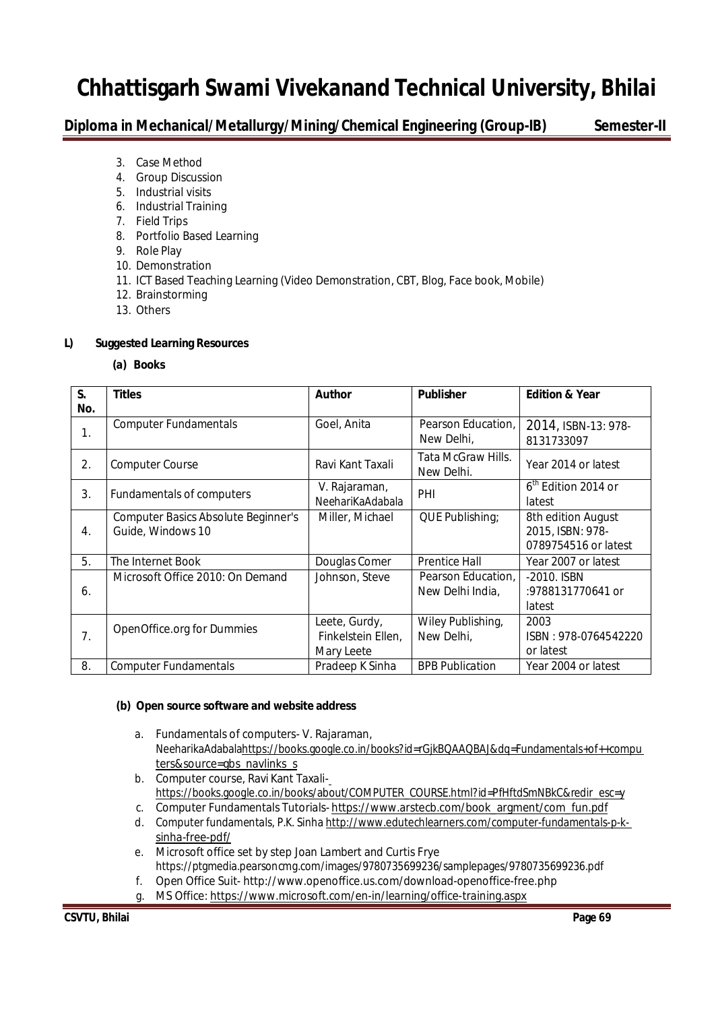**Diploma in Mechanical/Metallurgy/Mining/Chemical Engineering (Group-IB) Semester-II**

- 3. Case Method
- 4. Group Discussion
- 5. Industrial visits
- 6. Industrial Training
- 7. Field Trips
- 8. Portfolio Based Learning
- 9. Role Play
- 10. Demonstration
- 11. ICT Based Teaching Learning (Video Demonstration, CBT, Blog, Face book, Mobile)
- 12. Brainstorming
- 13. Others

#### **L) Suggested Learning Resources**

**(a) Books**

| S.  | <b>Titles</b>                                                   | <b>Author</b>                                     | <b>Publisher</b>                       | <b>Edition &amp; Year</b>                                      |
|-----|-----------------------------------------------------------------|---------------------------------------------------|----------------------------------------|----------------------------------------------------------------|
| No. |                                                                 |                                                   |                                        |                                                                |
| 1.  | <b>Computer Fundamentals</b>                                    | Goel, Anita                                       | Pearson Education.<br>New Delhi,       | 2014, ISBN-13: 978-<br>8131733097                              |
| 2.  | Computer Course                                                 | Ravi Kant Taxali                                  | Tata McGraw Hills.<br>New Delhi.       | Year 2014 or latest                                            |
| 3.  | Fundamentals of computers                                       | V. Rajaraman,<br>NeehariKaAdabala                 | PHI                                    | $6th$ Edition 2014 or<br>latest                                |
| 4.  | <b>Computer Basics Absolute Beginner's</b><br>Guide, Windows 10 | Miller, Michael                                   | QUE Publishing;                        | 8th edition August<br>2015, ISBN: 978-<br>0789754516 or latest |
| 5.  | The Internet Book                                               | Douglas Comer                                     | <b>Prentice Hall</b>                   | Year 2007 or latest                                            |
| 6.  | Microsoft Office 2010: On Demand                                | Johnson, Steve                                    | Pearson Education,<br>New Delhi India, | -2010. ISBN<br>:9788131770641 or<br>latest                     |
| 7.  | OpenOffice.org for Dummies                                      | Leete, Gurdy,<br>Finkelstein Ellen,<br>Mary Leete | Wiley Publishing,<br>New Delhi,        | 2003<br>ISBN: 978-0764542220<br>or latest                      |
| 8.  | <b>Computer Fundamentals</b>                                    | Pradeep K Sinha                                   | <b>BPB Publication</b>                 | Year 2004 or latest                                            |

#### **(b) Open source software and website address**

- a. Fundamentals of computers- V. Rajaraman, NeeharikaAdabalahttps://books.google.co.in/books?id=rGjkBQAAQBAJ&dq=Fundamentals+of++compu ters&source=gbs\_navlinks\_s
- b. Computer course, Ravi Kant Taxalihttps://books.google.co.in/books/about/COMPUTER\_COURSE.html?id=PfHftdSmNBkC&redir\_esc=y
- c. Computer Fundamentals Tutorials- https://www.arstecb.com/book\_argment/com\_fun.pdf
- d. Computer fundamentals, P.K. Sinha http://www.edutechlearners.com/computer-fundamentals-p-ksinha-free-pdf/
- e. Microsoft office set by step Joan Lambert and Curtis Frye https://ptgmedia.pearsoncmg.com/images/9780735699236/samplepages/9780735699236.pdf f. Open Office Suit- http://www.openoffice.us.com/download-openoffice-free.php
- g. MS Office: https://www.microsoft.com/en-in/learning/office-training.aspx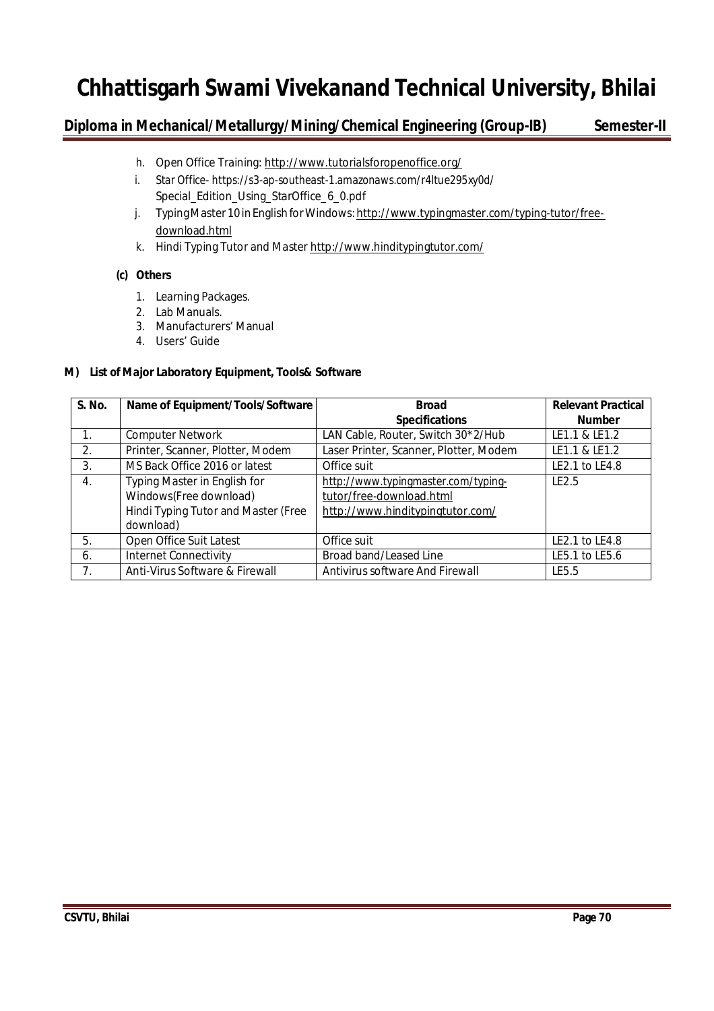### **Diploma in Mechanical/Metallurgy/Mining/Chemical Engineering (Group-IB) Semester-II**

- h. Open Office Training: http://www.tutorialsforopenoffice.org/
- i. Star Office- https://s3-ap-southeast-1.amazonaws.com/r4ltue295xy0d/ Special\_Edition\_Using\_StarOffice\_6\_0.pdf
- j. Typing Master 10 in English for Windows: http://www.typingmaster.com/typing-tutor/freedownload.html
- k. Hindi Typing Tutor and Master http://www.hinditypingtutor.com/

#### **(c) Others**

- 1. Learning Packages.
- 2. Lab Manuals.
- 3. Manufacturers' Manual
- 4. Users' Guide

#### **M) List of Major Laboratory Equipment, Tools& Software**

| S. No. | Name of Equipment/Tools/Software    | <b>Broad</b>                           | <b>Relevant Practical</b> |
|--------|-------------------------------------|----------------------------------------|---------------------------|
|        |                                     | <b>Specifications</b>                  | <b>Number</b>             |
|        | <b>Computer Network</b>             | LAN Cable, Router, Switch 30*2/Hub     | LE1.1 & LE1.2             |
| 2.     | Printer, Scanner, Plotter, Modem    | Laser Printer, Scanner, Plotter, Modem | LE1.1 & LE1.2             |
| 3.     | MS Back Office 2016 or latest       | Office suit                            | LE2.1 to LE4.8            |
| 4.     | Typing Master in English for        | http://www.typingmaster.com/typing-    | IF <sub>2.5</sub>         |
|        | Windows(Free download)              | tutor/free-download.html               |                           |
|        | Hindi Typing Tutor and Master (Free | http://www.hinditypingtutor.com/       |                           |
|        | download)                           |                                        |                           |
| 5.     | Open Office Suit Latest             | Office suit                            | LE2.1 to LE4.8            |
| 6.     | <b>Internet Connectivity</b>        | Broad band/Leased Line                 | LE5.1 to LE5.6            |
| 7.     | Anti-Virus Software & Firewall      | Antivirus software And Firewall        | LE5.5                     |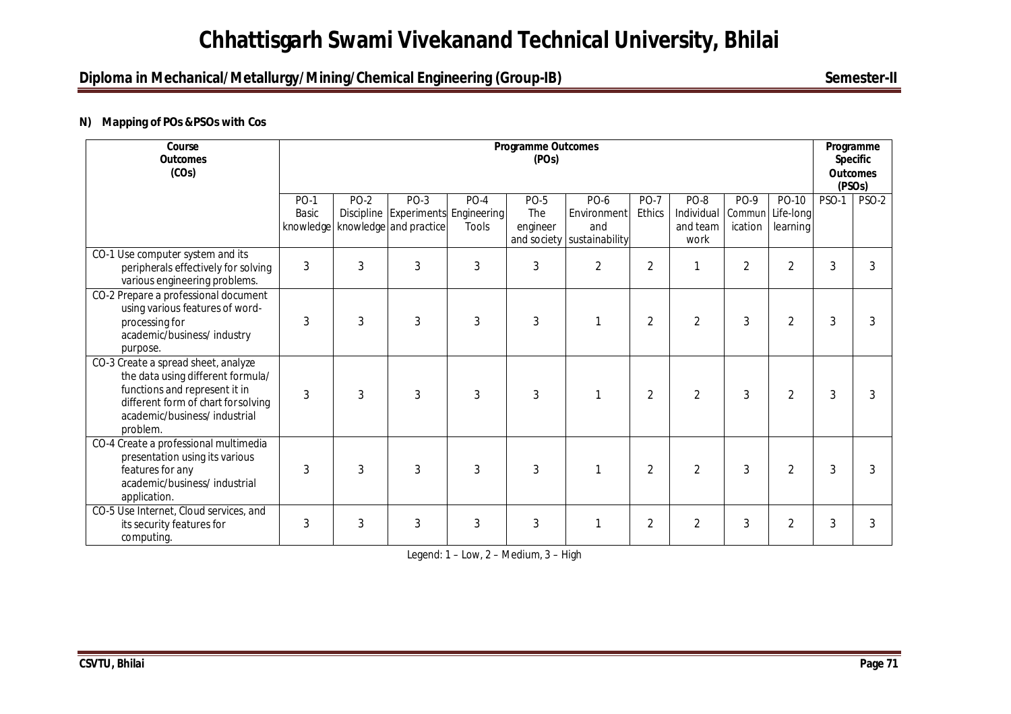### **Diploma in Mechanical/Metallurgy/Mining/Chemical Engineering (Group-IB)** Semester-II

#### **N) Mapping of POs &PSOs with Cos**

| Course<br><b>Outcomes</b><br>(COs)                                                                                                                                                           | <b>Programme Outcomes</b><br>(POs) |      |                                                                             |                        |                                |                                                                 |                       |                                               |                 | Programme<br><b>Specific</b><br><b>Outcomes</b><br>(PSO <sub>S</sub> ) |              |       |
|----------------------------------------------------------------------------------------------------------------------------------------------------------------------------------------------|------------------------------------|------|-----------------------------------------------------------------------------|------------------------|--------------------------------|-----------------------------------------------------------------|-----------------------|-----------------------------------------------|-----------------|------------------------------------------------------------------------|--------------|-------|
|                                                                                                                                                                                              | <b>PO-1</b><br>Basic<br>knowledge  | PO-2 | <b>PO-3</b><br>Discipline Experiments Engineering<br>knowledge and practice | $PO-4$<br><b>Tools</b> | <b>PO-5</b><br>The<br>engineer | <b>PO-6</b><br>Environment<br>and<br>and society sustainability | <b>PO-7</b><br>Ethics | PO-8<br>Individual Commun<br>and team<br>work | PO-9<br>ication | PO-10<br>Life-long<br>learning                                         | <b>PSO-1</b> | PSO-2 |
| CO-1 Use computer system and its<br>peripherals effectively for solving<br>various engineering problems.                                                                                     | 3                                  | 3    | 3                                                                           | 3                      | 3                              | $\overline{2}$                                                  | $\overline{2}$        | $\mathbf{1}$                                  | $\overline{2}$  | $\overline{2}$                                                         | 3            | 3     |
| CO-2 Prepare a professional document<br>using various features of word-<br>processing for<br>academic/business/ industry<br>purpose.                                                         | 3                                  | 3    | 3                                                                           | 3                      | 3                              | 1                                                               | $\overline{2}$        | $\overline{2}$                                | 3               | $\overline{2}$                                                         | 3            | 3     |
| CO-3 Create a spread sheet, analyze<br>the data using different formula/<br>functions and represent it in<br>different form of chart for solving<br>academic/business/industrial<br>problem. | 3                                  | 3    | 3                                                                           | 3                      | 3                              |                                                                 | $\overline{2}$        | $\overline{2}$                                | 3               | $\overline{2}$                                                         | 3            | 3     |
| CO-4 Create a professional multimedia<br>presentation using its various<br>features for any<br>academic/business/ industrial<br>application.                                                 | 3                                  | 3    | 3                                                                           | 3                      | 3                              |                                                                 | $\overline{2}$        | $\overline{2}$                                | 3               | $\overline{2}$                                                         | 3            | 3     |
| CO-5 Use Internet, Cloud services, and<br>its security features for<br>computing.                                                                                                            | 3                                  | 3    | 3                                                                           | 3                      | 3                              |                                                                 | $\overline{2}$        | $\overline{2}$                                | 3               | $\overline{2}$                                                         | 3            | 3     |

Legend: 1 – Low, 2 – Medium, 3 – High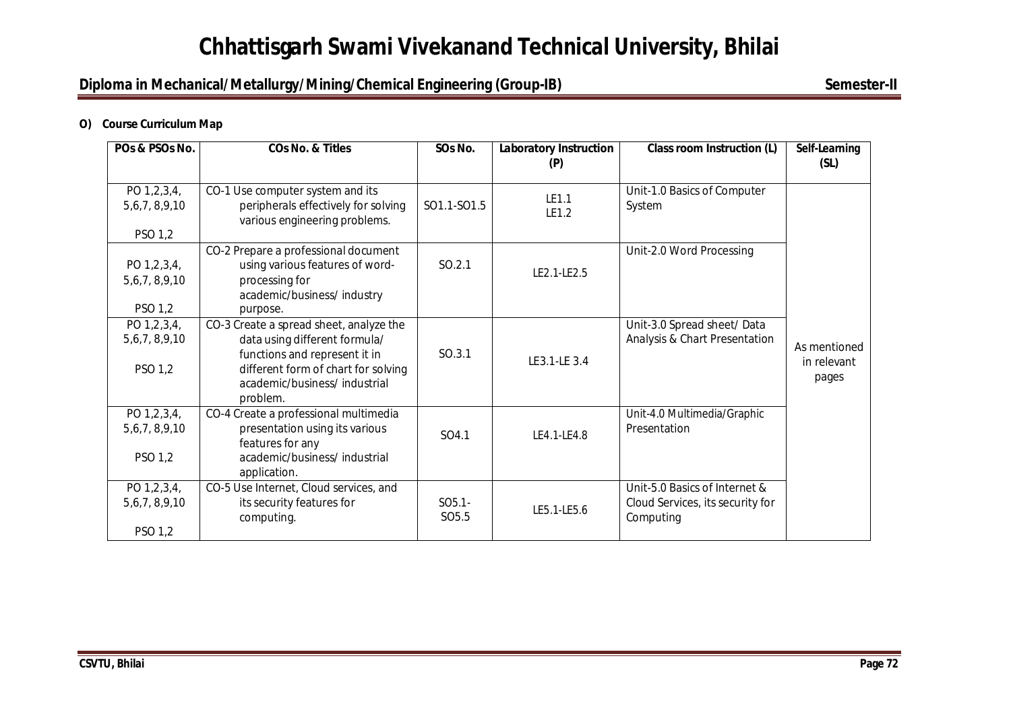### **Diploma in Mechanical/Metallurgy/Mining/Chemical Engineering (Group-IB)** Semester-II

#### **O) Course Curriculum Map**

| POs & PSOs No.                         | <b>COs No. &amp; Titles</b>                                                                                                                                                       | SOs No.                        | <b>Laboratory Instruction</b> | <b>Class room Instruction (L)</b>                           | Self-Learning                        |
|----------------------------------------|-----------------------------------------------------------------------------------------------------------------------------------------------------------------------------------|--------------------------------|-------------------------------|-------------------------------------------------------------|--------------------------------------|
|                                        |                                                                                                                                                                                   |                                | (P)                           |                                                             | (SL)                                 |
| PO 1,2,3,4,<br>5,6,7,8,9,10            | CO-1 Use computer system and its<br>peripherals effectively for solving<br>various engineering problems.                                                                          | SO1.1-SO1.5                    | LE1.1<br>LE1.2                | Unit-1.0 Basics of Computer<br>System                       |                                      |
| PSO 1,2                                |                                                                                                                                                                                   |                                |                               |                                                             |                                      |
| PO 1,2,3,4,<br>5,6,7,8,9,10            | CO-2 Prepare a professional document<br>using various features of word-<br>processing for<br>academic/business/ industry                                                          | SO.2.1                         | LE2.1-LE2.5                   | Unit-2.0 Word Processing                                    |                                      |
| PSO 1,2                                | purpose.                                                                                                                                                                          |                                |                               |                                                             |                                      |
| PO 1,2,3,4,<br>5,6,7,8,9,10<br>PSO 1,2 | CO-3 Create a spread sheet, analyze the<br>data using different formula/<br>functions and represent it in<br>different form of chart for solving<br>academic/business/ industrial | SO.3.1                         | LE3.1-LE 3.4                  | Unit-3.0 Spread sheet/Data<br>Analysis & Chart Presentation | As mentioned<br>in relevant<br>pages |
| PO 1,2,3,4,<br>5,6,7,8,9,10            | problem.<br>CO-4 Create a professional multimedia<br>presentation using its various                                                                                               | SO4.1                          | LE4.1-LE4.8                   | Unit-4.0 Multimedia/Graphic<br>Presentation                 |                                      |
| PSO 1,2                                | features for any<br>academic/business/ industrial<br>application.                                                                                                                 |                                |                               |                                                             |                                      |
| PO 1,2,3,4,                            | CO-5 Use Internet, Cloud services, and                                                                                                                                            |                                |                               | Unit-5.0 Basics of Internet &                               |                                      |
| 5,6,7,8,9,10                           | its security features for<br>computing.                                                                                                                                           | $SO5.1 -$<br>SO <sub>5.5</sub> | LE5.1-LE5.6                   | Cloud Services, its security for<br>Computing               |                                      |
| PSO 1,2                                |                                                                                                                                                                                   |                                |                               |                                                             |                                      |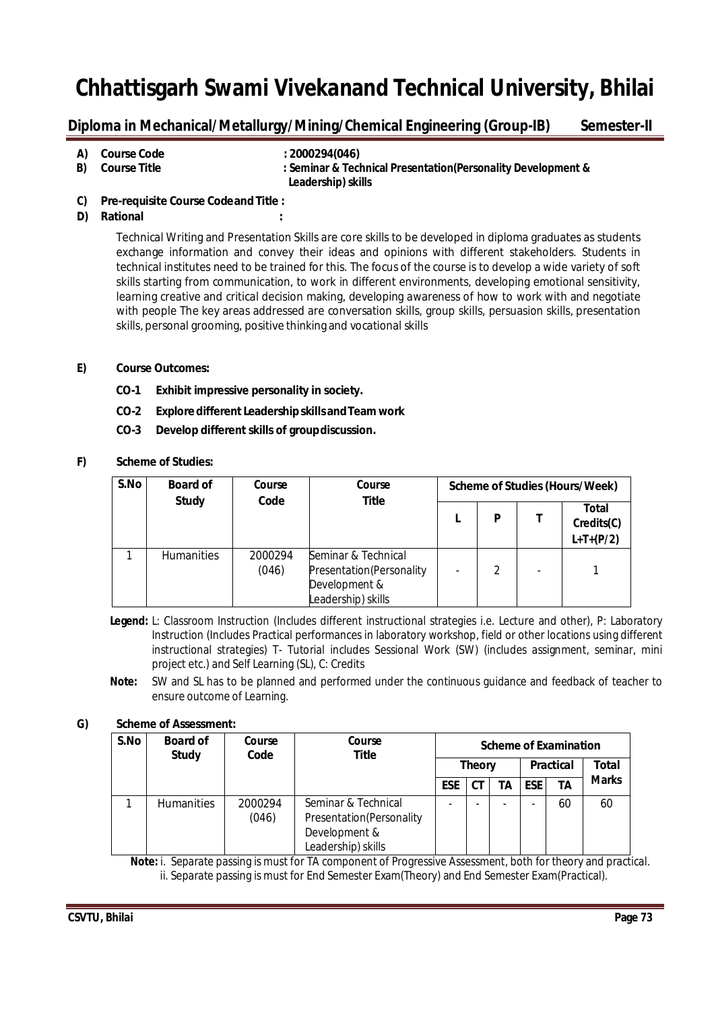## **Diploma in Mechanical/Metallurgy/Mining/Chemical Engineering (Group-IB) Semester-II**

- **A) Course Code : 2000294(046)**
	-
- 
- **B) Course Title : Seminar & Technical Presentation(Personality Development & Leadership) skills**
- **C) Pre-requisite Course Codeand Title :**
- **D) Rational :**

Technical Writing and Presentation Skills are core skills to be developed in diploma graduates as students exchange information and convey their ideas and opinions with different stakeholders. Students in technical institutes need to be trained for this. The focus of the course is to develop a wide variety of soft skills starting from communication, to work in different environments, developing emotional sensitivity, learning creative and critical decision making, developing awareness of how to work with and negotiate with people The key areas addressed are conversation skills, group skills, persuasion skills, presentation skills, personal grooming, positive thinking and vocational skills

- **E) Course Outcomes:**
	- **CO-1 Exhibit impressive personality in society.**
	- **CO-2 Explore different LeadershipskillsandTeam work**
	- **CO-3 Develop different skills of groupdiscussion.**
- **F) Scheme of Studies:**

| S.No | <b>Board of</b><br><b>Study</b> | Course<br>Code   | Course<br><b>Title</b>                                                                  |   |                          | Scheme of Studies (Hours/Week)     |
|------|---------------------------------|------------------|-----------------------------------------------------------------------------------------|---|--------------------------|------------------------------------|
|      |                                 |                  |                                                                                         | P |                          | Total<br>Credits(C)<br>$L+T+(P/2)$ |
|      | <b>Humanities</b>               | 2000294<br>(046) | Seminar & Technical<br>Presentation (Personality<br>Development &<br>Leadership) skills | 2 | $\overline{\phantom{0}}$ |                                    |

**Legend:** L: Classroom Instruction (Includes different instructional strategies i.e. Lecture and other), P: Laboratory Instruction (Includes Practical performances in laboratory workshop, field or other locations using different instructional strategies) T- Tutorial includes Sessional Work (SW) (includes assignment, seminar, mini project etc.) and Self Learning (SL), C: Credits

**Note:** SW and SL has to be planned and performed under the continuous guidance and feedback of teacher to ensure outcome of Learning.

### **G) Scheme of Assessment:**

| S.No | <b>Board of</b><br><b>Study</b> | Course<br>Code   | Course<br>Title                                                                        |               |    |                  |                | <b>Scheme of Examination</b> |              |
|------|---------------------------------|------------------|----------------------------------------------------------------------------------------|---------------|----|------------------|----------------|------------------------------|--------------|
|      |                                 |                  |                                                                                        | <b>Theory</b> |    | <b>Practical</b> |                | <b>Total</b>                 |              |
|      |                                 |                  |                                                                                        | <b>ESE</b>    | СT | TΑ               | <b>ESE</b>     | TΑ                           | <b>Marks</b> |
|      | <b>Humanities</b>               | 2000294<br>(046) | Seminar & Technical<br>Presentation(Personality<br>Development &<br>Leadership) skills |               |    | -                | $\blacksquare$ | 60                           | 60           |

 **Note:** i. Separate passing is must for TA component of Progressive Assessment, both for theory and practical. ii. Separate passing is must for End Semester Exam(Theory) and End Semester Exam(Practical).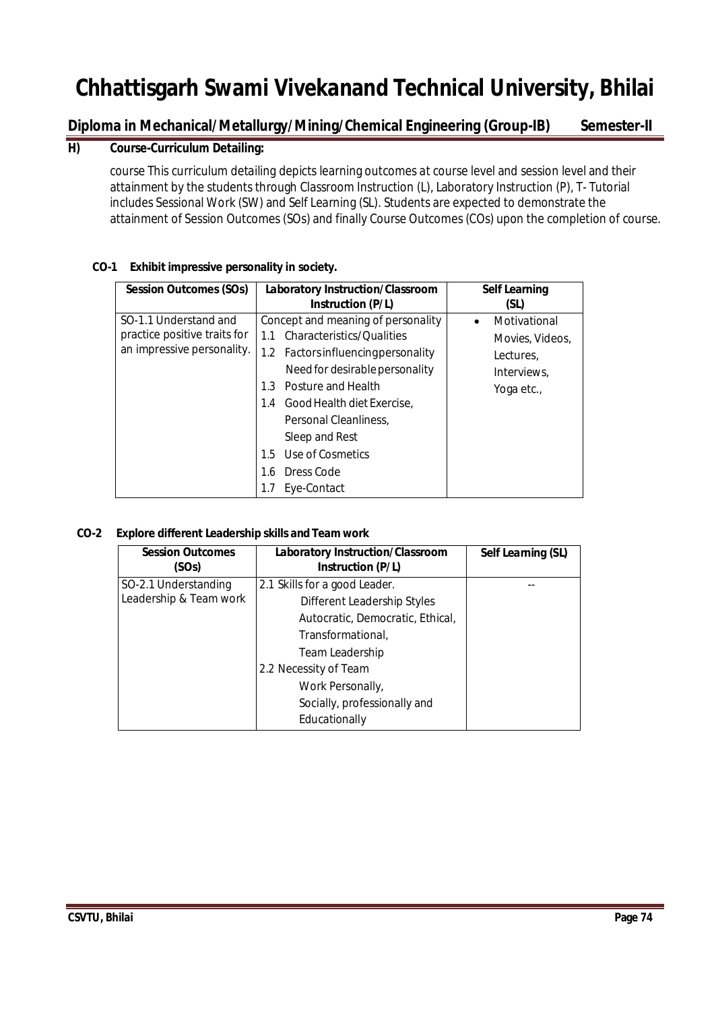# **Diploma in Mechanical/Metallurgy/Mining/Chemical Engineering (Group-IB) Semester-II**

## **H) Course-Curriculum Detailing:**

course This curriculum detailing depicts learning outcomes at course level and session level and their attainment by the students through Classroom Instruction (L), Laboratory Instruction (P), T- Tutorial includes Sessional Work (SW) and Self Learning (SL). Students are expected to demonstrate the attainment of Session Outcomes (SOs) and finally Course Outcomes (COs) upon the completion of course.

| <b>Session Outcomes (SOs)</b>                                                       | Laboratory Instruction/Classroom                                                                                                                                                                                                                                                                                            | <b>Self Learning</b>                                                                   |
|-------------------------------------------------------------------------------------|-----------------------------------------------------------------------------------------------------------------------------------------------------------------------------------------------------------------------------------------------------------------------------------------------------------------------------|----------------------------------------------------------------------------------------|
|                                                                                     | <b>Instruction (P/L)</b>                                                                                                                                                                                                                                                                                                    | (SL)                                                                                   |
| SO-1.1 Understand and<br>practice positive traits for<br>an impressive personality. | Concept and meaning of personality<br>Characteristics/Qualities<br>1.1<br>1.2 Factors influencing personality<br>Need for desirable personality<br>Posture and Health<br>1.3<br>Good Health diet Exercise,<br>1.4<br>Personal Cleanliness.<br>Sleep and Rest<br>Use of Cosmetics<br>1.5<br>Dress Code<br>1.6<br>Eye-Contact | Motivational<br>$\bullet$<br>Movies, Videos,<br>Lectures.<br>Interviews,<br>Yoga etc., |

### **CO-1 Exhibit impressive personality in society.**

### **CO-2 Explore different Leadership skills and Team work**

| <b>Session Outcomes</b><br>(SOs)               | Laboratory Instruction/Classroom<br>Instruction (P/L)                                                                                                                                                                                  | Self Learning (SL) |
|------------------------------------------------|----------------------------------------------------------------------------------------------------------------------------------------------------------------------------------------------------------------------------------------|--------------------|
| SO-2.1 Understanding<br>Leadership & Team work | 2.1 Skills for a good Leader.<br>Different Leadership Styles<br>Autocratic, Democratic, Ethical,<br>Transformational,<br>Team Leadership<br>2.2 Necessity of Team<br>Work Personally,<br>Socially, professionally and<br>Educationally |                    |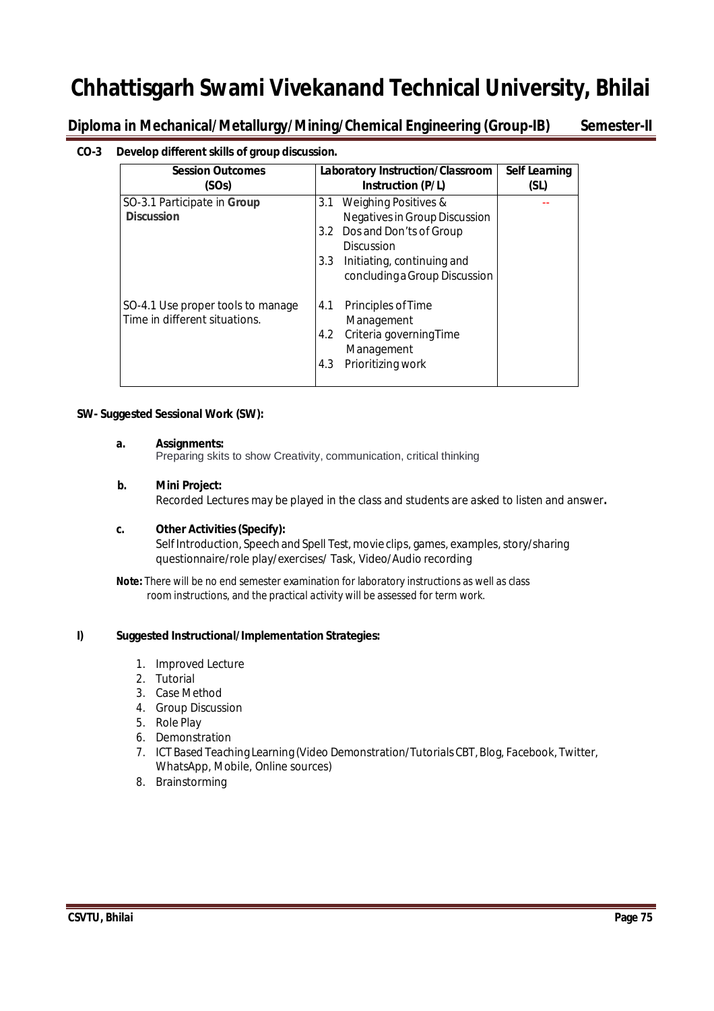Diploma in Mechanical/Metallurgy/Mining/Chemical Engineering (Group-IB) Semester-II

### **CO-3 Develop different skills of group discussion.**

| <b>Session Outcomes</b><br>(SOs)                                   | Laboratory Instruction/Classroom<br>Instruction (P/L)                                                               | <b>Self Learning</b><br>(SL) |
|--------------------------------------------------------------------|---------------------------------------------------------------------------------------------------------------------|------------------------------|
| SO-3.1 Participate in Group<br><b>Discussion</b>                   | Weighing Positives &<br>3.1<br>Negatives in Group Discussion<br>Dos and Don'ts of Group<br>3.2<br><b>Discussion</b> |                              |
|                                                                    | Initiating, continuing and<br>3.3 <sub>1</sub><br>concluding a Group Discussion                                     |                              |
| SO-4.1 Use proper tools to manage<br>Time in different situations. | Principles of Time<br>4.1<br>Management<br>Criteria governing Time<br>4.2<br>Management<br>Prioritizing work<br>4.3 |                              |

#### **SW- Suggested Sessional Work (SW):**

#### **a. Assignments:**

Preparing skits to show Creativity, communication, critical thinking

#### **b. Mini Project:**

Recorded Lectures may be played in the class and students are asked to listen and answer**.**

#### **c. Other Activities(Specify):**

Self Introduction, Speech and Spell Test, movie clips, games, examples, story/sharing questionnaire/role play/exercises/ Task, Video/Audio recording

**Note:** There will be no end semester examination for laboratory instructions as well as class room instructions, and the practical activity will be assessed for term work.

### **I) Suggested Instructional/Implementation Strategies:**

- 1. Improved Lecture
- 2. Tutorial
- 3. Case Method
- 4. Group Discussion
- 5. Role Play
- 6. Demonstration
- 7. ICT Based Teaching Learning (Video Demonstration/Tutorials CBT,Blog, Facebook, Twitter, WhatsApp, Mobile, Online sources)
- 8. Brainstorming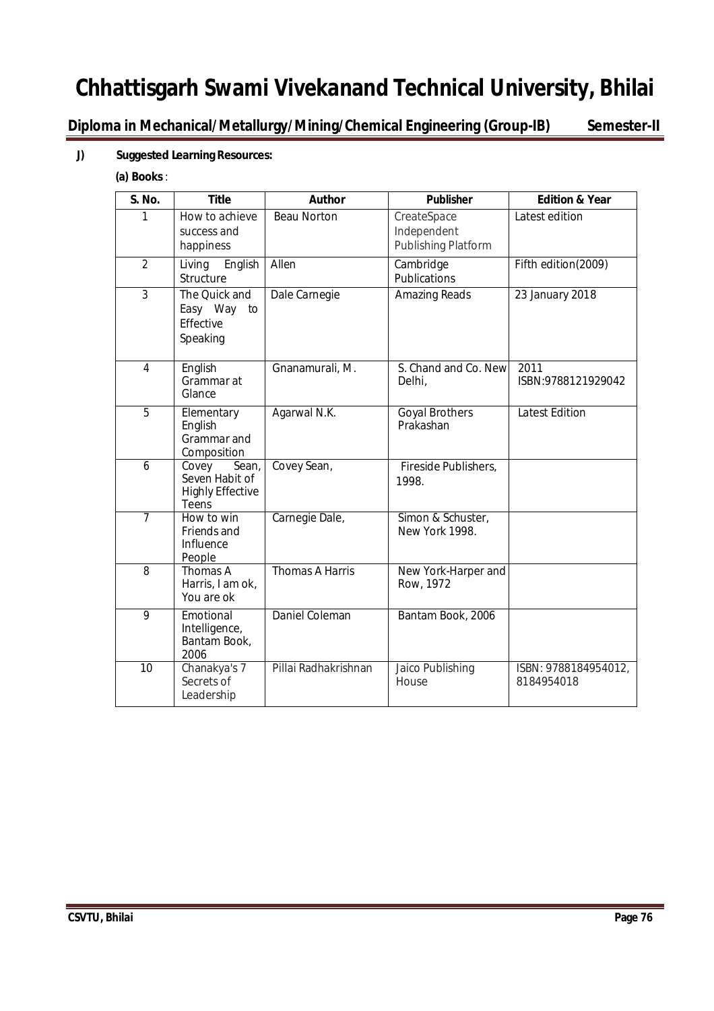**Diploma in Mechanical/Metallurgy/Mining/Chemical Engineering (Group-IB) Semester-II**

### **J) Suggested Learning Resources:**

### **(a) Books**:

| <b>S. No.</b>  | <b>Title</b>                                                         | <b>Author</b>          | <b>Publisher</b>                                  | <b>Edition &amp; Year</b>          |
|----------------|----------------------------------------------------------------------|------------------------|---------------------------------------------------|------------------------------------|
| 1              | How to achieve<br>success and<br>happiness                           | <b>Beau Norton</b>     | CreateSpace<br>Independent<br>Publishing Platform | Latest edition                     |
| $\overline{2}$ | English<br>Living<br>Structure                                       | Allen                  | Cambridge<br>Publications                         | Fifth edition(2009)                |
| 3              | The Quick and<br>Easy Way<br>to<br>Effective<br>Speaking             | Dale Carnegie          | <b>Amazing Reads</b>                              | 23 January 2018                    |
| 4              | English<br>Grammar at<br>Glance                                      | Gnanamurali, M.        | S. Chand and Co. New<br>Delhi,                    | 2011<br>ISBN:9788121929042         |
| 5              | Elementary<br>English<br>Grammar and<br>Composition                  | Agarwal N.K.           | <b>Goyal Brothers</b><br>Prakashan                | <b>Latest Edition</b>              |
| 6              | Covey<br>Sean,<br>Seven Habit of<br><b>Highly Effective</b><br>Teens | Covey Sean,            | Fireside Publishers,<br>1998.                     |                                    |
| $\overline{7}$ | How to win<br>Friends and<br>Influence<br>People                     | Carnegie Dale,         | Simon & Schuster,<br>New York 1998.               |                                    |
| 8              | Thomas A<br>Harris, I am ok,<br>You are ok                           | <b>Thomas A Harris</b> | New York-Harper and<br>Row, 1972                  |                                    |
| 9              | Emotional<br>Intelligence,<br>Bantam Book,<br>2006                   | Daniel Coleman         | Bantam Book, 2006                                 |                                    |
| 10             | Chanakya's 7<br>Secrets of<br>Leadership                             | Pillai Radhakrishnan   | Jaico Publishing<br>House                         | ISBN: 9788184954012,<br>8184954018 |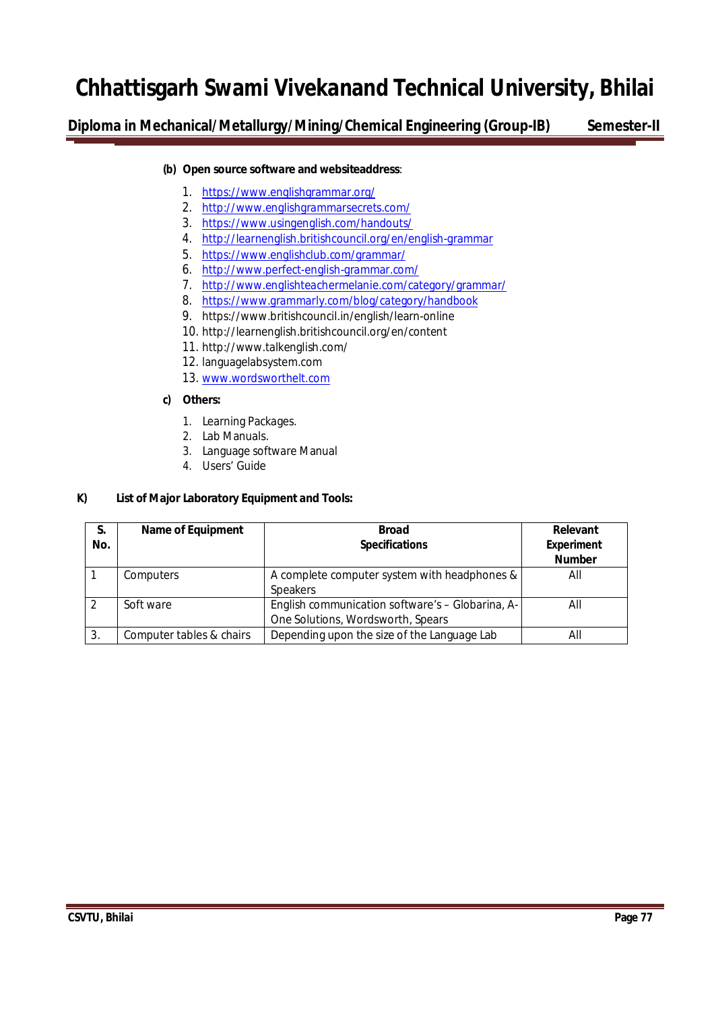**Diploma in Mechanical/Metallurgy/Mining/Chemical Engineering (Group-IB) Semester-II**

### **(b) Open source software and websiteaddress**:

- 1. https://www.englishgrammar.org/
- 2. http://www.englishgrammarsecrets.com/
- 3. https://www.usingenglish.com/handouts/
- 4. http://learnenglish.britishcouncil.org/en/english-grammar
- 5. https://www.englishclub.com/grammar/
- 6. http://www.perfect-english-grammar.com/
- 7. http://www.englishteachermelanie.com/category/grammar/
- 8. https://www.grammarly.com/blog/category/handbook
- 9. https://www.britishcouncil.in/english/learn-online
- 10. http://learnenglish.britishcouncil.org/en/content
- 11. http://www.talkenglish.com/
- 12. languagelabsystem.com
- 13. www.wordsworthelt.com

#### **c) Others:**

- 1. Learning Packages.
- 2. Lab Manuals.
- 3. Language software Manual
- 4. Users' Guide

### **K) List of Major Laboratory Equipment and Tools:**

| S.  | <b>Name of Equipment</b> | <b>Broad</b>                                     |                   |
|-----|--------------------------|--------------------------------------------------|-------------------|
| No. |                          | <b>Specifications</b>                            | <b>Experiment</b> |
|     |                          |                                                  | <b>Number</b>     |
|     | Computers                | A complete computer system with headphones &     | All               |
|     |                          | <b>Speakers</b>                                  |                   |
|     | Soft ware                | English communication software's - Globarina, A- | All               |
|     |                          | One Solutions, Wordsworth, Spears                |                   |
| 3.  | Computer tables & chairs | Depending upon the size of the Language Lab      | All               |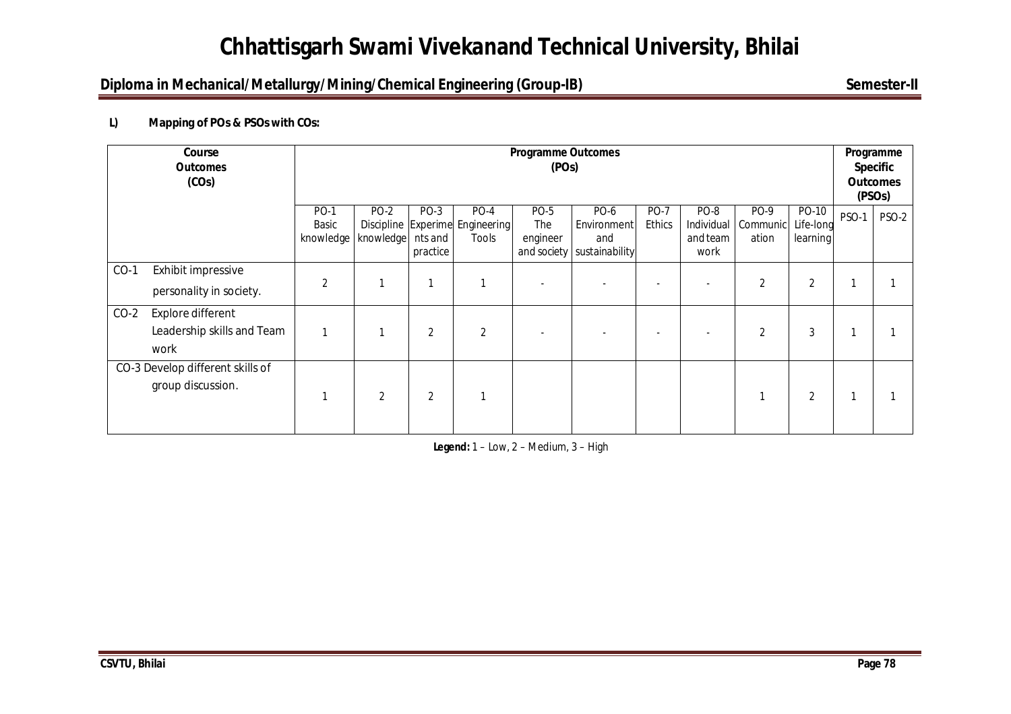# **Diploma in Mechanical/Metallurgy/Mining/Chemical Engineering (Group-IB)** Semester-II

## **L) Mapping of POs & PSOs with COs:**

|        | Course<br><b>Outcomes</b><br>(COs)                      |                                               | <b>Programme Outcomes</b><br>(POs) |                             |                                                  |                         |                                                            |                              |                                        |                           |                                | Programme<br><b>Specific</b><br><b>Outcomes</b><br>(PSO <sub>s</sub> ) |              |
|--------|---------------------------------------------------------|-----------------------------------------------|------------------------------------|-----------------------------|--------------------------------------------------|-------------------------|------------------------------------------------------------|------------------------------|----------------------------------------|---------------------------|--------------------------------|------------------------------------------------------------------------|--------------|
|        |                                                         | <b>PO-1</b><br>Basic<br>knowledge   knowledge | PO-2                               | PO-3<br>nts and<br>practice | PO-4<br>Discipline Experime Engineering<br>Tools | PO-5<br>The<br>engineer | PO-6<br>Environment<br>and<br>and society   sustainability | <b>PO-7</b><br><b>Ethics</b> | PO-8<br>Individual<br>and team<br>work | PO-9<br>Communic<br>ation | PO-10<br>Life-long<br>learning | PSO-1                                                                  | <b>PSO-2</b> |
| $CO-1$ | Exhibit impressive<br>personality in society.           | $\overline{2}$                                | 1                                  |                             |                                                  |                         |                                                            | -                            |                                        | $\overline{2}$            | $\overline{2}$                 |                                                                        |              |
| $CO-2$ | Explore different<br>Leadership skills and Team<br>work | 1                                             | 1                                  | 2                           | $\overline{2}$                                   |                         |                                                            |                              |                                        | $\overline{2}$            | $\mathfrak{Z}$                 | и                                                                      |              |
|        | CO-3 Develop different skills of<br>group discussion.   |                                               | $\overline{2}$                     | 2                           |                                                  |                         |                                                            |                              |                                        |                           | 2                              |                                                                        |              |

**Legend:** 1 – Low, 2 – Medium, 3 – High